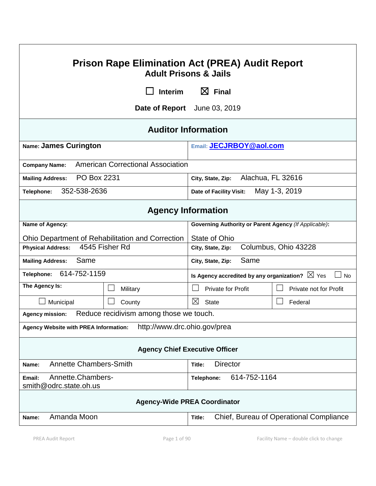| <b>Prison Rape Elimination Act (PREA) Audit Report</b><br><b>Adult Prisons &amp; Jails</b> |                                                  |                                                                        |                        |  |  |  |  |
|--------------------------------------------------------------------------------------------|--------------------------------------------------|------------------------------------------------------------------------|------------------------|--|--|--|--|
|                                                                                            | <b>Interim</b>                                   | $\boxtimes$ Final                                                      |                        |  |  |  |  |
|                                                                                            |                                                  | Date of Report June 03, 2019                                           |                        |  |  |  |  |
| <b>Auditor Information</b>                                                                 |                                                  |                                                                        |                        |  |  |  |  |
| Name: James Curington                                                                      |                                                  | Email: JECJRBOY@aol.com                                                |                        |  |  |  |  |
| <b>Company Name:</b>                                                                       | <b>American Correctional Association</b>         |                                                                        |                        |  |  |  |  |
| PO Box 2231<br><b>Mailing Address:</b>                                                     |                                                  | Alachua, FL 32616<br>City, State, Zip:                                 |                        |  |  |  |  |
| 352-538-2636<br>Telephone:                                                                 |                                                  | May 1-3, 2019<br>Date of Facility Visit:                               |                        |  |  |  |  |
| <b>Agency Information</b>                                                                  |                                                  |                                                                        |                        |  |  |  |  |
| Name of Agency:                                                                            |                                                  | <b>Governing Authority or Parent Agency (If Applicable):</b>           |                        |  |  |  |  |
|                                                                                            | Ohio Department of Rehabilitation and Correction | State of Ohio                                                          |                        |  |  |  |  |
| <b>Physical Address:</b>                                                                   | 4545 Fisher Rd                                   | Columbus, Ohio 43228<br>City, State, Zip:                              |                        |  |  |  |  |
| Same<br><b>Mailing Address:</b>                                                            |                                                  | Same<br>City, State, Zip:                                              |                        |  |  |  |  |
| 614-752-1159<br>Telephone:                                                                 |                                                  | Is Agency accredited by any organization? $\boxtimes$ Yes<br><b>No</b> |                        |  |  |  |  |
| The Agency Is:                                                                             | Military                                         | Private for Profit                                                     | Private not for Profit |  |  |  |  |
| Municipal                                                                                  | County                                           | ⊠<br><b>State</b>                                                      | Federal                |  |  |  |  |
| <b>Agency mission:</b>                                                                     | Reduce recidivism among those we touch.          |                                                                        |                        |  |  |  |  |
| http://www.drc.ohio.gov/prea<br><b>Agency Website with PREA Information:</b>               |                                                  |                                                                        |                        |  |  |  |  |
| <b>Agency Chief Executive Officer</b>                                                      |                                                  |                                                                        |                        |  |  |  |  |
| <b>Annette Chambers-Smith</b><br>Name:                                                     |                                                  | <b>Director</b><br>Title:                                              |                        |  |  |  |  |
| Annette.Chambers-<br>Email:<br>smith@odrc.state.oh.us                                      |                                                  | 614-752-1164<br>Telephone:                                             |                        |  |  |  |  |
| <b>Agency-Wide PREA Coordinator</b>                                                        |                                                  |                                                                        |                        |  |  |  |  |
| Amanda Moon<br>Chief, Bureau of Operational Compliance<br>Name:<br>Title:                  |                                                  |                                                                        |                        |  |  |  |  |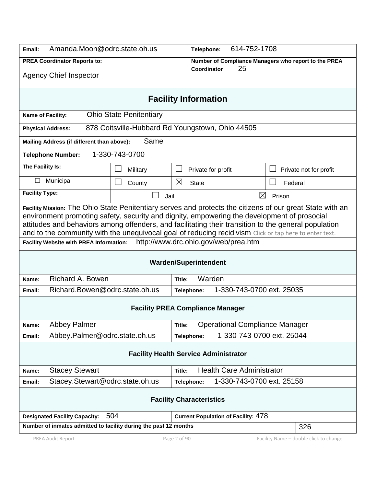| Amanda.Moon@odrc.state.oh.us<br>Email:                                                                                                                                                                                                                                                                                                                                                                                                                                                                               |                                                  | 614-752-1708<br>Telephone:                           |                                            |         |                        |  |
|----------------------------------------------------------------------------------------------------------------------------------------------------------------------------------------------------------------------------------------------------------------------------------------------------------------------------------------------------------------------------------------------------------------------------------------------------------------------------------------------------------------------|--------------------------------------------------|------------------------------------------------------|--------------------------------------------|---------|------------------------|--|
| <b>PREA Coordinator Reports to:</b>                                                                                                                                                                                                                                                                                                                                                                                                                                                                                  |                                                  | Number of Compliance Managers who report to the PREA |                                            |         |                        |  |
| <b>Agency Chief Inspector</b>                                                                                                                                                                                                                                                                                                                                                                                                                                                                                        | Coordinator                                      | 25                                                   |                                            |         |                        |  |
| <b>Facility Information</b>                                                                                                                                                                                                                                                                                                                                                                                                                                                                                          |                                                  |                                                      |                                            |         |                        |  |
| Name of Facility:                                                                                                                                                                                                                                                                                                                                                                                                                                                                                                    | <b>Ohio State Penitentiary</b>                   |                                                      |                                            |         |                        |  |
| <b>Physical Address:</b>                                                                                                                                                                                                                                                                                                                                                                                                                                                                                             | 878 Coitsville-Hubbard Rd Youngstown, Ohio 44505 |                                                      |                                            |         |                        |  |
| Mailing Address (if different than above):                                                                                                                                                                                                                                                                                                                                                                                                                                                                           | Same                                             |                                                      |                                            |         |                        |  |
| <b>Telephone Number:</b>                                                                                                                                                                                                                                                                                                                                                                                                                                                                                             | 1-330-743-0700                                   |                                                      |                                            |         |                        |  |
| The Facility Is:                                                                                                                                                                                                                                                                                                                                                                                                                                                                                                     | Military                                         | Private for profit                                   |                                            |         | Private not for profit |  |
| Municipal<br>$\Box$                                                                                                                                                                                                                                                                                                                                                                                                                                                                                                  | County                                           | ⊠<br><b>State</b>                                    |                                            | Federal |                        |  |
| <b>Facility Type:</b>                                                                                                                                                                                                                                                                                                                                                                                                                                                                                                | Jail                                             |                                                      | ⊠                                          | Prison  |                        |  |
| Facility Mission: The Ohio State Penitentiary serves and protects the citizens of our great State with an<br>environment promoting safety, security and dignity, empowering the development of prosocial<br>attitudes and behaviors among offenders, and facilitating their transition to the general population<br>and to the community with the unequivocal goal of reducing recidivism Click or tap here to enter text.<br>http://www.drc.ohio.gov/web/prea.htm<br><b>Facility Website with PREA Information:</b> |                                                  |                                                      |                                            |         |                        |  |
| <b>Warden/Superintendent</b>                                                                                                                                                                                                                                                                                                                                                                                                                                                                                         |                                                  |                                                      |                                            |         |                        |  |
| Name:                                                                                                                                                                                                                                                                                                                                                                                                                                                                                                                | Richard A. Bowen                                 |                                                      | Warden<br>Title:                           |         |                        |  |
| Richard.Bowen@odrc.state.oh.us<br>Email:                                                                                                                                                                                                                                                                                                                                                                                                                                                                             |                                                  | Telephone:                                           | 1-330-743-0700 ext. 25035                  |         |                        |  |
| <b>Facility PREA Compliance Manager</b>                                                                                                                                                                                                                                                                                                                                                                                                                                                                              |                                                  |                                                      |                                            |         |                        |  |
| <b>Abbey Palmer</b><br>Name:                                                                                                                                                                                                                                                                                                                                                                                                                                                                                         | <b>Operational Compliance Manager</b><br>Title:  |                                                      |                                            |         |                        |  |
| Abbey.Palmer@odrc.state.oh.us<br>Email:                                                                                                                                                                                                                                                                                                                                                                                                                                                                              |                                                  | Telephone:                                           | 1-330-743-0700 ext. 25044                  |         |                        |  |
| <b>Facility Health Service Administrator</b>                                                                                                                                                                                                                                                                                                                                                                                                                                                                         |                                                  |                                                      |                                            |         |                        |  |
| <b>Health Care Administrator</b><br><b>Stacey Stewart</b><br>Name:<br>Title:                                                                                                                                                                                                                                                                                                                                                                                                                                         |                                                  |                                                      |                                            |         |                        |  |
| Stacey.Stewart@odrc.state.oh.us<br>Email:                                                                                                                                                                                                                                                                                                                                                                                                                                                                            |                                                  | 1-330-743-0700 ext. 25158<br>Telephone:              |                                            |         |                        |  |
| <b>Facility Characteristics</b>                                                                                                                                                                                                                                                                                                                                                                                                                                                                                      |                                                  |                                                      |                                            |         |                        |  |
| 504<br><b>Designated Facility Capacity:</b>                                                                                                                                                                                                                                                                                                                                                                                                                                                                          |                                                  |                                                      | <b>Current Population of Facility: 478</b> |         |                        |  |
| Number of inmates admitted to facility during the past 12 months                                                                                                                                                                                                                                                                                                                                                                                                                                                     |                                                  |                                                      |                                            |         | 326                    |  |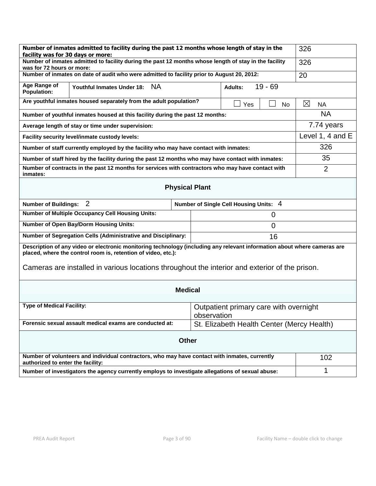| Number of inmates admitted to facility during the past 12 months whose length of stay in the<br>facility was for 30 days or more:                                                                                                                                                           | 326                                        |  |                |  |  |  |
|---------------------------------------------------------------------------------------------------------------------------------------------------------------------------------------------------------------------------------------------------------------------------------------------|--------------------------------------------|--|----------------|--|--|--|
| Number of inmates admitted to facility during the past 12 months whose length of stay in the facility<br>was for 72 hours or more:                                                                                                                                                          | 326                                        |  |                |  |  |  |
| Number of inmates on date of audit who were admitted to facility prior to August 20, 2012:                                                                                                                                                                                                  | 20                                         |  |                |  |  |  |
| Age Range of<br><b>NA</b><br>Youthful Inmates Under 18:<br><b>Population:</b>                                                                                                                                                                                                               |                                            |  |                |  |  |  |
| Are youthful inmates housed separately from the adult population?                                                                                                                                                                                                                           | $\boxtimes$<br>NA                          |  |                |  |  |  |
| Number of youthful inmates housed at this facility during the past 12 months:                                                                                                                                                                                                               | <b>NA</b>                                  |  |                |  |  |  |
| Average length of stay or time under supervision:                                                                                                                                                                                                                                           | 7.74 years                                 |  |                |  |  |  |
| Facility security level/inmate custody levels:                                                                                                                                                                                                                                              | Level 1, 4 and E                           |  |                |  |  |  |
| Number of staff currently employed by the facility who may have contact with inmates:                                                                                                                                                                                                       |                                            |  | 326            |  |  |  |
| Number of staff hired by the facility during the past 12 months who may have contact with inmates:                                                                                                                                                                                          |                                            |  | 35             |  |  |  |
| Number of contracts in the past 12 months for services with contractors who may have contact with<br>inmates:                                                                                                                                                                               |                                            |  | $\overline{2}$ |  |  |  |
| <b>Physical Plant</b>                                                                                                                                                                                                                                                                       |                                            |  |                |  |  |  |
| 2<br><b>Number of Buildings:</b>                                                                                                                                                                                                                                                            | Number of Single Cell Housing Units: 4     |  |                |  |  |  |
| <b>Number of Multiple Occupancy Cell Housing Units:</b>                                                                                                                                                                                                                                     |                                            |  |                |  |  |  |
| <b>Number of Open Bay/Dorm Housing Units:</b>                                                                                                                                                                                                                                               |                                            |  |                |  |  |  |
| Number of Segregation Cells (Administrative and Disciplinary:<br>16                                                                                                                                                                                                                         |                                            |  |                |  |  |  |
| Description of any video or electronic monitoring technology (including any relevant information about where cameras are<br>placed, where the control room is, retention of video, etc.):<br>Cameras are installed in various locations throughout the interior and exterior of the prison. |                                            |  |                |  |  |  |
| <b>Medical</b>                                                                                                                                                                                                                                                                              |                                            |  |                |  |  |  |
| <b>Type of Medical Facility:</b><br>Outpatient primary care with overnight<br>observation                                                                                                                                                                                                   |                                            |  |                |  |  |  |
| Forensic sexual assault medical exams are conducted at:                                                                                                                                                                                                                                     | St. Elizabeth Health Center (Mercy Health) |  |                |  |  |  |
| <b>Other</b>                                                                                                                                                                                                                                                                                |                                            |  |                |  |  |  |
| Number of volunteers and individual contractors, who may have contact with inmates, currently<br>authorized to enter the facility:                                                                                                                                                          |                                            |  | 102            |  |  |  |
| Number of investigators the agency currently employs to investigate allegations of sexual abuse:                                                                                                                                                                                            | 1                                          |  |                |  |  |  |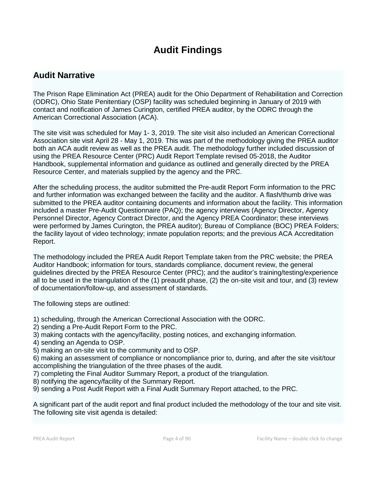# **Audit Findings**

## **Audit Narrative**

The Prison Rape Elimination Act (PREA) audit for the Ohio Department of Rehabilitation and Correction (ODRC), Ohio State Penitentiary (OSP) facility was scheduled beginning in January of 2019 with contact and notification of James Curington, certified PREA auditor, by the ODRC through the American Correctional Association (ACA).

The site visit was scheduled for May 1- 3, 2019. The site visit also included an American Correctional Association site visit April 28 - May 1, 2019. This was part of the methodology giving the PREA auditor both an ACA audit review as well as the PREA audit. The methodology further included discussion of using the PREA Resource Center (PRC) Audit Report Template revised 05-2018, the Auditor Handbook, supplemental information and guidance as outlined and generally directed by the PREA Resource Center, and materials supplied by the agency and the PRC.

After the scheduling process, the auditor submitted the Pre-audit Report Form information to the PRC and further information was exchanged between the facility and the auditor. A flash/thumb drive was submitted to the PREA auditor containing documents and information about the facility. This information included a master Pre-Audit Questionnaire (PAQ); the agency interviews (Agency Director, Agency Personnel Director, Agency Contract Director, and the Agency PREA Coordinator; these interviews were performed by James Curington, the PREA auditor); Bureau of Compliance (BOC) PREA Folders; the facility layout of video technology; inmate population reports; and the previous ACA Accreditation Report.

The methodology included the PREA Audit Report Template taken from the PRC website; the PREA Auditor Handbook; information for tours, standards compliance, document review, the general guidelines directed by the PREA Resource Center (PRC); and the auditor's training/testing/experience all to be used in the triangulation of the (1) preaudit phase, (2) the on-site visit and tour, and (3) review of documentation/follow-up, and assessment of standards.

The following steps are outlined:

- 1) scheduling, through the American Correctional Association with the ODRC.
- 2) sending a Pre-Audit Report Form to the PRC.
- 3) making contacts with the agency/facility, posting notices, and exchanging information.
- 4) sending an Agenda to OSP.
- 5) making an on-site visit to the community and to OSP.

6) making an assessment of compliance or noncompliance prior to, during, and after the site visit/tour accomplishing the triangulation of the three phases of the audit.

- 7) completing the Final Auditor Summary Report, a product of the triangulation.
- 8) notifying the agency/facility of the Summary Report.
- 9) sending a Post Audit Report with a Final Audit Summary Report attached, to the PRC.

A significant part of the audit report and final product included the methodology of the tour and site visit. The following site visit agenda is detailed: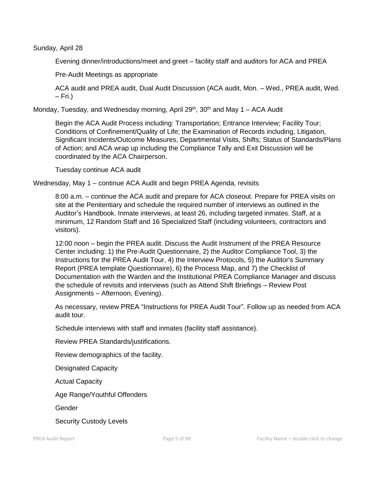Sunday, April 28

Evening dinner/introductions/meet and greet – facility staff and auditors for ACA and PREA

Pre-Audit Meetings as appropriate

ACA audit and PREA audit, Dual Audit Discussion (ACA audit, Mon. – Wed., PREA audit, Wed. – Fri.)

Monday, Tuesday, and Wednesday morning, April  $29<sup>th</sup>$ ,  $30<sup>th</sup>$  and May 1 – ACA Audit

Begin the ACA Audit Process including: Transportation; Entrance Interview; Facility Tour; Conditions of Confinement/Quality of Life; the Examination of Records including, Litigation, Significant Incidents/Outcome Measures, Departmental Visits, Shifts; Status of Standards/Plans of Action; and ACA wrap up including the Compliance Tally and Exit Discussion will be coordinated by the ACA Chairperson.

Tuesday continue ACA audit

Wednesday, May 1 – continue ACA Audit and begin PREA Agenda, revisits

8:00 a.m. – continue the ACA audit and prepare for ACA closeout. Prepare for PREA visits on site at the Penitentiary and schedule the required number of interviews as outlined in the Auditor's Handbook. Inmate interviews, at least 26, including targeted inmates. Staff, at a minimum, 12 Random Staff and 16 Specialized Staff (including volunteers, contractors and visitors).

12:00 noon – begin the PREA audit. Discuss the Audit Instrument of the PREA Resource Center including: 1) the Pre-Audit Questionnaire, 2) the Auditor Compliance Tool, 3) the Instructions for the PREA Audit Tour, 4) the Interview Protocols, 5) the Auditor's Summary Report (PREA template Questionnaire), 6) the Process Map, and 7) the Checklist of Documentation with the Warden and the Institutional PREA Compliance Manager and discuss the schedule of revisits and interviews (such as Attend Shift Briefings – Review Post Assignments – Afternoon, Evening).

As necessary, review PREA "Instructions for PREA Audit Tour". Follow up as needed from ACA audit tour.

Schedule interviews with staff and inmates (facility staff assistance).

Review PREA Standards/justifications.

Review demographics of the facility.

Designated Capacity

Actual Capacity

Age Range/Youthful Offenders

Gender

Security Custody Levels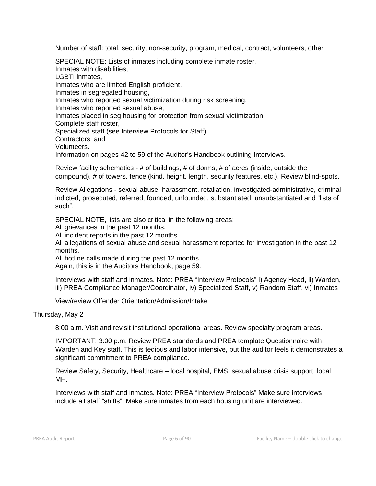Number of staff: total, security, non-security, program, medical, contract, volunteers, other

SPECIAL NOTE: Lists of inmates including complete inmate roster. Inmates with disabilities, LGBTI inmates, Inmates who are limited English proficient, Inmates in segregated housing, Inmates who reported sexual victimization during risk screening, Inmates who reported sexual abuse, Inmates placed in seg housing for protection from sexual victimization, Complete staff roster, Specialized staff (see Interview Protocols for Staff), Contractors, and Volunteers. Information on pages 42 to 59 of the Auditor's Handbook outlining Interviews.

Review facility schematics - # of buildings, # of dorms, # of acres (inside, outside the compound), # of towers, fence (kind, height, length, security features, etc.). Review blind-spots.

Review Allegations - sexual abuse, harassment, retaliation, investigated-administrative, criminal indicted, prosecuted, referred, founded, unfounded, substantiated, unsubstantiated and "lists of such".

SPECIAL NOTE, lists are also critical in the following areas:

All grievances in the past 12 months.

All incident reports in the past 12 months.

All allegations of sexual abuse and sexual harassment reported for investigation in the past 12 months.

All hotline calls made during the past 12 months.

Again, this is in the Auditors Handbook, page 59.

Interviews with staff and inmates. Note: PREA "Interview Protocols" i) Agency Head, ii) Warden, iii) PREA Compliance Manager/Coordinator, iv) Specialized Staff, v) Random Staff, vi) Inmates

View/review Offender Orientation/Admission/Intake

#### Thursday, May 2

8:00 a.m. Visit and revisit institutional operational areas. Review specialty program areas.

IMPORTANT! 3:00 p.m. Review PREA standards and PREA template Questionnaire with Warden and Key staff. This is tedious and labor intensive, but the auditor feels it demonstrates a significant commitment to PREA compliance.

Review Safety, Security, Healthcare – local hospital, EMS, sexual abuse crisis support, local MH.

Interviews with staff and inmates. Note: PREA "Interview Protocols" Make sure interviews include all staff "shifts". Make sure inmates from each housing unit are interviewed.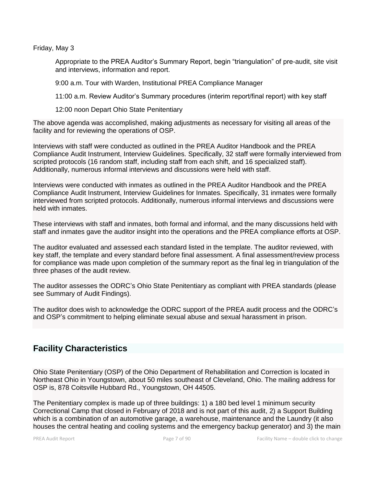Friday, May 3

Appropriate to the PREA Auditor's Summary Report, begin "triangulation" of pre-audit, site visit and interviews, information and report.

9:00 a.m. Tour with Warden, Institutional PREA Compliance Manager

11:00 a.m. Review Auditor's Summary procedures (interim report/final report) with key staff

12:00 noon Depart Ohio State Penitentiary

The above agenda was accomplished, making adjustments as necessary for visiting all areas of the facility and for reviewing the operations of OSP.

Interviews with staff were conducted as outlined in the PREA Auditor Handbook and the PREA Compliance Audit Instrument, Interview Guidelines. Specifically, 32 staff were formally interviewed from scripted protocols (16 random staff, including staff from each shift, and 16 specialized staff). Additionally, numerous informal interviews and discussions were held with staff.

Interviews were conducted with inmates as outlined in the PREA Auditor Handbook and the PREA Compliance Audit Instrument, Interview Guidelines for Inmates. Specifically, 31 inmates were formally interviewed from scripted protocols. Additionally, numerous informal interviews and discussions were held with inmates.

These interviews with staff and inmates, both formal and informal, and the many discussions held with staff and inmates gave the auditor insight into the operations and the PREA compliance efforts at OSP.

The auditor evaluated and assessed each standard listed in the template. The auditor reviewed, with key staff, the template and every standard before final assessment. A final assessment/review process for compliance was made upon completion of the summary report as the final leg in triangulation of the three phases of the audit review.

The auditor assesses the ODRC's Ohio State Penitentiary as compliant with PREA standards (please see Summary of Audit Findings).

The auditor does wish to acknowledge the ODRC support of the PREA audit process and the ODRC's and OSP's commitment to helping eliminate sexual abuse and sexual harassment in prison.

## **Facility Characteristics**

Ohio State Penitentiary (OSP) of the Ohio Department of Rehabilitation and Correction is located in Northeast Ohio in Youngstown, about 50 miles southeast of Cleveland, Ohio. The mailing address for OSP is, 878 Coitsville Hubbard Rd., Youngstown, OH 44505.

The Penitentiary complex is made up of three buildings: 1) a 180 bed level 1 minimum security Correctional Camp that closed in February of 2018 and is not part of this audit, 2) a Support Building which is a combination of an automotive garage, a warehouse, maintenance and the Laundry (it also houses the central heating and cooling systems and the emergency backup generator) and 3) the main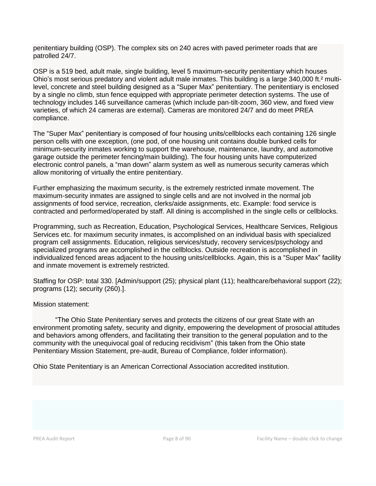penitentiary building (OSP). The complex sits on 240 acres with paved perimeter roads that are patrolled 24/7.

OSP is a 519 bed, adult male, single building, level 5 maximum-security penitentiary which houses Ohio's most serious predatory and violent adult male inmates. This building is a large 340,000 ft.² multilevel, concrete and steel building designed as a "Super Max" penitentiary. The penitentiary is enclosed by a single no climb, stun fence equipped with appropriate perimeter detection systems. The use of technology includes 146 surveillance cameras (which include pan-tilt-zoom, 360 view, and fixed view varieties, of which 24 cameras are external). Cameras are monitored 24/7 and do meet PREA compliance.

The "Super Max" penitentiary is composed of four housing units/cellblocks each containing 126 single person cells with one exception, (one pod, of one housing unit contains double bunked cells for minimum-security inmates working to support the warehouse, maintenance, laundry, and automotive garage outside the perimeter fencing/main building). The four housing units have computerized electronic control panels, a "man down" alarm system as well as numerous security cameras which allow monitoring of virtually the entire penitentiary.

Further emphasizing the maximum security, is the extremely restricted inmate movement. The maximum-security inmates are assigned to single cells and are not involved in the normal job assignments of food service, recreation, clerks/aide assignments, etc. Example: food service is contracted and performed/operated by staff. All dining is accomplished in the single cells or cellblocks.

Programming, such as Recreation, Education, Psychological Services, Healthcare Services, Religious Services etc. for maximum security inmates, is accomplished on an individual basis with specialized program cell assignments. Education, religious services/study, recovery services/psychology and specialized programs are accomplished in the cellblocks. Outside recreation is accomplished in individualized fenced areas adjacent to the housing units/cellblocks. Again, this is a "Super Max" facility and inmate movement is extremely restricted.

Staffing for OSP: total 330. [Admin/support (25); physical plant (11); healthcare/behavioral support (22); programs (12); security (260).].

#### Mission statement:

"The Ohio State Penitentiary serves and protects the citizens of our great State with an environment promoting safety, security and dignity, empowering the development of prosocial attitudes and behaviors among offenders, and facilitating their transition to the general population and to the community with the unequivocal goal of reducing recidivism" (this taken from the Ohio state Penitentiary Mission Statement, pre-audit, Bureau of Compliance, folder information).

Ohio State Penitentiary is an American Correctional Association accredited institution.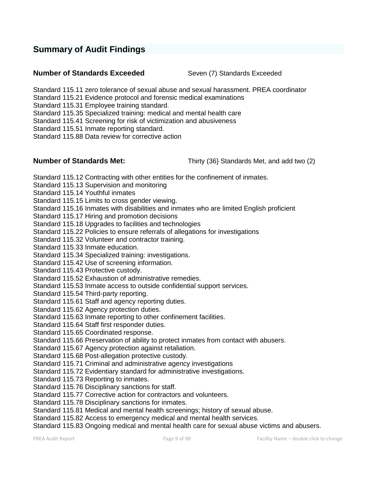## **Summary of Audit Findings**

#### **Number of Standards Exceeded** Seven (7) Standards Exceeded

Standard 115.11 zero tolerance of sexual abuse and sexual harassment. PREA coordinator

Standard 115.21 Evidence protocol and forensic medical examinations

Standard 115.31 Employee training standard.

Standard 115.35 Specialized training: medical and mental health care

Standard 115.41 Screening for risk of victimization and abusiveness

Standard 115.51 Inmate reporting standard.

Standard 115.88 Data review for corrective action

**Number of Standards Met:** Thirty (36} Standards Met, and add two (2)

Standard 115.12 Contracting with other entities for the confinement of inmates.

Standard 115.13 Supervision and monitoring

Standard 115.14 Youthful inmates

Standard 115.15 Limits to cross gender viewing.

Standard 115.16 Inmates with disabilities and inmates who are limited English proficient

Standard 115.17 Hiring and promotion decisions

Standard 115.18 Upgrades to facilities and technologies

Standard 115.22 Policies to ensure referrals of allegations for investigations

Standard 115.32 Volunteer and contractor training.

Standard 115.33 Inmate education.

Standard 115.34 Specialized training: investigations.

Standard 115.42 Use of screening information.

Standard 115.43 Protective custody.

Standard 115.52 Exhaustion of administrative remedies.

Standard 115.53 Inmate access to outside confidential support services.

Standard 115.54 Third-party reporting.

Standard 115.61 Staff and agency reporting duties.

Standard 115.62 Agency protection duties.

Standard 115.63 Inmate reporting to other confinement facilities.

Standard 115.64 Staff first responder duties.

Standard 115.65 Coordinated response.

Standard 115.66 Preservation of ability to protect inmates from contact with abusers.

Standard 115.67 Agency protection against retaliation.

Standard 115.68 Post-allegation protective custody.

Standard 115.71 Criminal and administrative agency investigations

Standard 115.72 Evidentiary standard for administrative investigations.

Standard 115.73 Reporting to inmates.

Standard 115.76 Disciplinary sanctions for staff.

Standard 115.77 Corrective action for contractors and volunteers.

Standard 115.78 Disciplinary sanctions for inmates.

Standard 115.81 Medical and mental health screenings; history of sexual abuse.

Standard 115.82 Access to emergency medical and mental health services.

Standard 115.83 Ongoing medical and mental health care for sexual abuse victims and abusers.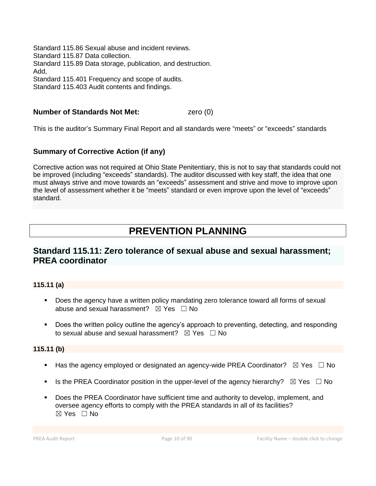Standard 115.86 Sexual abuse and incident reviews. Standard 115.87 Data collection. Standard 115.89 Data storage, publication, and destruction. Add, Standard 115.401 Frequency and scope of audits. Standard 115.403 Audit contents and findings.

#### **Number of Standards Not Met:**  $\qquad \qquad$  zero (0)

This is the auditor's Summary Final Report and all standards were "meets" or "exceeds" standards

#### **Summary of Corrective Action (if any)**

Corrective action was not required at Ohio State Penitentiary, this is not to say that standards could not be improved (including "exceeds" standards). The auditor discussed with key staff, the idea that one must always strive and move towards an "exceeds" assessment and strive and move to improve upon the level of assessment whether it be "meets" standard or even improve upon the level of "exceeds" standard.

## **PREVENTION PLANNING**

## **Standard 115.11: Zero tolerance of sexual abuse and sexual harassment; PREA coordinator**

#### **115.11 (a)**

- Does the agency have a written policy mandating zero tolerance toward all forms of sexual abuse and sexual harassment?  $\boxtimes$  Yes  $\Box$  No
- Does the written policy outline the agency's approach to preventing, detecting, and responding to sexual abuse and sexual harassment?  $\boxtimes$  Yes  $\Box$  No

#### **115.11 (b)**

- **■** Has the agency employed or designated an agency-wide PREA Coordinator?  $\boxtimes$  Yes  $\Box$  No
- **■** Is the PREA Coordinator position in the upper-level of the agency hierarchy?  $\boxtimes$  Yes  $\Box$  No
- Does the PREA Coordinator have sufficient time and authority to develop, implement, and oversee agency efforts to comply with the PREA standards in all of its facilities?  $\boxtimes$  Yes  $\Box$  No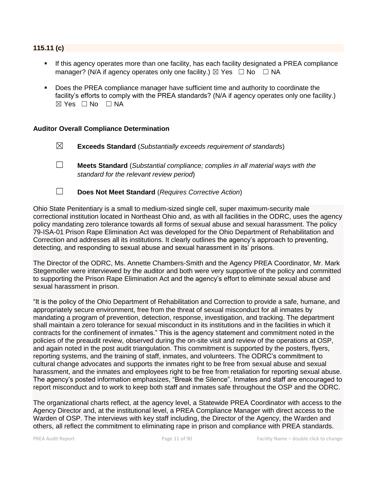#### **115.11 (c)**

- If this agency operates more than one facility, has each facility designated a PREA compliance manager? (N/A if agency operates only one facility.)  $\boxtimes$  Yes  $\Box$  No  $\Box$  NA
- Does the PREA compliance manager have sufficient time and authority to coordinate the facility's efforts to comply with the PREA standards? (N/A if agency operates only one facility.)  $\boxtimes$  Yes  $\Box$  No  $\Box$  NA

#### **Auditor Overall Compliance Determination**

- ☒ **Exceeds Standard** (*Substantially exceeds requirement of standards*)
- ☐ **Meets Standard** (*Substantial compliance; complies in all material ways with the standard for the relevant review period*)
- 
- ☐ **Does Not Meet Standard** (*Requires Corrective Action*)

Ohio State Penitentiary is a small to medium-sized single cell, super maximum-security male correctional institution located in Northeast Ohio and, as with all facilities in the ODRC, uses the agency policy mandating zero tolerance towards all forms of sexual abuse and sexual harassment. The policy 79-ISA-01 Prison Rape Elimination Act was developed for the Ohio Department of Rehabilitation and Correction and addresses all its institutions. It clearly outlines the agency's approach to preventing, detecting, and responding to sexual abuse and sexual harassment in its' prisons.

The Director of the ODRC, Ms. Annette Chambers-Smith and the Agency PREA Coordinator, Mr. Mark Stegemoller were interviewed by the auditor and both were very supportive of the policy and committed to supporting the Prison Rape Elimination Act and the agency's effort to eliminate sexual abuse and sexual harassment in prison.

"It is the policy of the Ohio Department of Rehabilitation and Correction to provide a safe, humane, and appropriately secure environment, free from the threat of sexual misconduct for all inmates by mandating a program of prevention, detection, response, investigation, and tracking. The department shall maintain a zero tolerance for sexual misconduct in its institutions and in the facilities in which it contracts for the confinement of inmates." This is the agency statement and commitment noted in the policies of the preaudit review, observed during the on-site visit and review of the operations at OSP, and again noted in the post audit triangulation. This commitment is supported by the posters, flyers, reporting systems, and the training of staff, inmates, and volunteers. The ODRC's commitment to cultural change advocates and supports the inmates right to be free from sexual abuse and sexual harassment, and the inmates and employees right to be free from retaliation for reporting sexual abuse. The agency's posted information emphasizes, "Break the Silence". Inmates and staff are encouraged to report misconduct and to work to keep both staff and inmates safe throughout the OSP and the ODRC.

The organizational charts reflect, at the agency level, a Statewide PREA Coordinator with access to the Agency Director and, at the institutional level, a PREA Compliance Manager with direct access to the Warden of OSP. The interviews with key staff including, the Director of the Agency, the Warden and others, all reflect the commitment to eliminating rape in prison and compliance with PREA standards.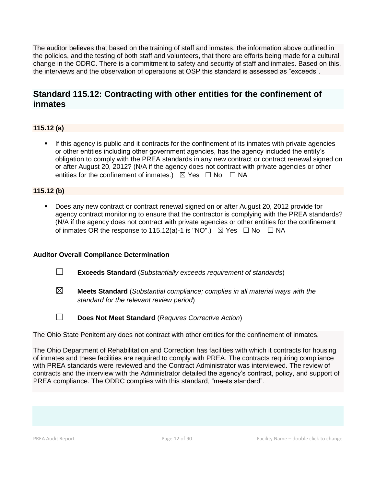The auditor believes that based on the training of staff and inmates, the information above outlined in the policies, and the testing of both staff and volunteers, that there are efforts being made for a cultural change in the ODRC. There is a commitment to safety and security of staff and inmates. Based on this, the interviews and the observation of operations at OSP this standard is assessed as "exceeds".

## **Standard 115.12: Contracting with other entities for the confinement of inmates**

### **115.12 (a)**

**.** If this agency is public and it contracts for the confinement of its inmates with private agencies or other entities including other government agencies, has the agency included the entity's obligation to comply with the PREA standards in any new contract or contract renewal signed on or after August 20, 2012? (N/A if the agency does not contract with private agencies or other entities for the confinement of inmates.)  $\boxtimes$  Yes  $\Box$  No  $\Box$  NA

#### **115.12 (b)**

Does any new contract or contract renewal signed on or after August 20, 2012 provide for agency contract monitoring to ensure that the contractor is complying with the PREA standards? (N/A if the agency does not contract with private agencies or other entities for the confinement of inmates OR the response to 115.12(a)-1 is "NO".)  $\boxtimes$  Yes  $\Box$  No  $\Box$  NA

#### **Auditor Overall Compliance Determination**

- ☐ **Exceeds Standard** (*Substantially exceeds requirement of standards*)
- ☒ **Meets Standard** (*Substantial compliance; complies in all material ways with the standard for the relevant review period*)
- ☐ **Does Not Meet Standard** (*Requires Corrective Action*)

The Ohio State Penitentiary does not contract with other entities for the confinement of inmates.

The Ohio Department of Rehabilitation and Correction has facilities with which it contracts for housing of inmates and these facilities are required to comply with PREA. The contracts requiring compliance with PREA standards were reviewed and the Contract Administrator was interviewed. The review of contracts and the interview with the Administrator detailed the agency's contract, policy, and support of PREA compliance. The ODRC complies with this standard, "meets standard".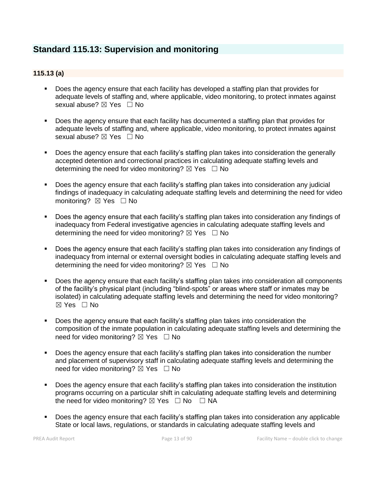## **Standard 115.13: Supervision and monitoring**

#### **115.13 (a)**

- Does the agency ensure that each facility has developed a staffing plan that provides for adequate levels of staffing and, where applicable, video monitoring, to protect inmates against sexual abuse? ⊠ Yes □ No
- Does the agency ensure that each facility has documented a staffing plan that provides for adequate levels of staffing and, where applicable, video monitoring, to protect inmates against sexual abuse?  $\boxtimes$  Yes  $\Box$  No
- Does the agency ensure that each facility's staffing plan takes into consideration the generally accepted detention and correctional practices in calculating adequate staffing levels and determining the need for video monitoring?  $\boxtimes$  Yes  $\Box$  No
- Does the agency ensure that each facility's staffing plan takes into consideration any judicial findings of inadequacy in calculating adequate staffing levels and determining the need for video monitoring? ⊠ Yes □ No
- Does the agency ensure that each facility's staffing plan takes into consideration any findings of inadequacy from Federal investigative agencies in calculating adequate staffing levels and determining the need for video monitoring?  $\boxtimes$  Yes  $\Box$  No
- Does the agency ensure that each facility's staffing plan takes into consideration any findings of inadequacy from internal or external oversight bodies in calculating adequate staffing levels and determining the need for video monitoring?  $\boxtimes$  Yes  $\Box$  No
- Does the agency ensure that each facility's staffing plan takes into consideration all components of the facility's physical plant (including "blind-spots" or areas where staff or inmates may be isolated) in calculating adequate staffing levels and determining the need for video monitoring? ☒ Yes ☐ No
- Does the agency ensure that each facility's staffing plan takes into consideration the composition of the inmate population in calculating adequate staffing levels and determining the need for video monitoring?  $\boxtimes$  Yes  $\Box$  No
- Does the agency ensure that each facility's staffing plan takes into consideration the number and placement of supervisory staff in calculating adequate staffing levels and determining the need for video monitoring?  $\boxtimes$  Yes  $\Box$  No
- Does the agency ensure that each facility's staffing plan takes into consideration the institution programs occurring on a particular shift in calculating adequate staffing levels and determining the need for video monitoring?  $\boxtimes$  Yes  $\Box$  No  $\Box$  NA
- Does the agency ensure that each facility's staffing plan takes into consideration any applicable State or local laws, regulations, or standards in calculating adequate staffing levels and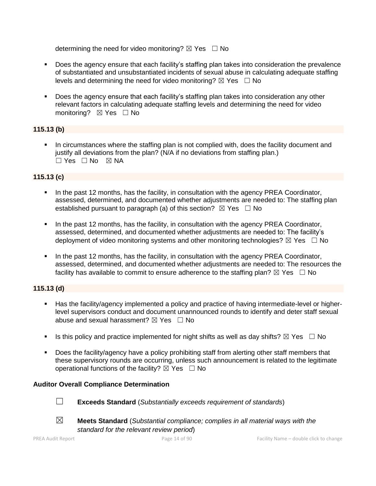determining the need for video monitoring?  $\boxtimes$  Yes  $\Box$  No

- Does the agency ensure that each facility's staffing plan takes into consideration the prevalence of substantiated and unsubstantiated incidents of sexual abuse in calculating adequate staffing levels and determining the need for video monitoring?  $\boxtimes$  Yes  $\Box$  No
- Does the agency ensure that each facility's staffing plan takes into consideration any other relevant factors in calculating adequate staffing levels and determining the need for video monitoring? ⊠ Yes □ No

#### **115.13 (b)**

In circumstances where the staffing plan is not complied with, does the facility document and justify all deviations from the plan? (N/A if no deviations from staffing plan.)  $\Box$  Yes  $\Box$  No  $\boxtimes$  NA

#### **115.13 (c)**

- In the past 12 months, has the facility, in consultation with the agency PREA Coordinator, assessed, determined, and documented whether adjustments are needed to: The staffing plan established pursuant to paragraph (a) of this section?  $\boxtimes$  Yes  $\Box$  No
- **•** In the past 12 months, has the facility, in consultation with the agency PREA Coordinator, assessed, determined, and documented whether adjustments are needed to: The facility's deployment of video monitoring systems and other monitoring technologies?  $\boxtimes$  Yes  $\Box$  No
- In the past 12 months, has the facility, in consultation with the agency PREA Coordinator, assessed, determined, and documented whether adjustments are needed to: The resources the facility has available to commit to ensure adherence to the staffing plan?  $\boxtimes$  Yes  $\Box$  No

#### **115.13 (d)**

- Has the facility/agency implemented a policy and practice of having intermediate-level or higherlevel supervisors conduct and document unannounced rounds to identify and deter staff sexual abuse and sexual harassment?  $\boxtimes$  Yes  $\Box$  No
- **■** Is this policy and practice implemented for night shifts as well as day shifts?  $\boxtimes$  Yes  $\Box$  No
- Does the facility/agency have a policy prohibiting staff from alerting other staff members that these supervisory rounds are occurring, unless such announcement is related to the legitimate operational functions of the facility?  $\boxtimes$  Yes  $\Box$  No

#### **Auditor Overall Compliance Determination**



☐ **Exceeds Standard** (*Substantially exceeds requirement of standards*)





☒ **Meets Standard** (*Substantial compliance; complies in all material ways with the standard for the relevant review period*)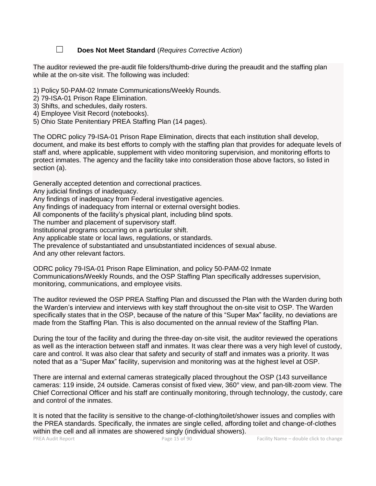☐ **Does Not Meet Standard** (*Requires Corrective Action*)

The auditor reviewed the pre-audit file folders/thumb-drive during the preaudit and the staffing plan while at the on-site visit. The following was included:

- 1) Policy 50-PAM-02 Inmate Communications/Weekly Rounds.
- 2) 79-ISA-01 Prison Rape Elimination.
- 3) Shifts, and schedules, daily rosters.
- 4) Employee Visit Record (notebooks).
- 5) Ohio State Penitentiary PREA Staffing Plan (14 pages).

The ODRC policy 79-ISA-01 Prison Rape Elimination, directs that each institution shall develop, document, and make its best efforts to comply with the staffing plan that provides for adequate levels of staff and, where applicable, supplement with video monitoring supervision, and monitoring efforts to protect inmates. The agency and the facility take into consideration those above factors, so listed in section (a).

Generally accepted detention and correctional practices.

Any judicial findings of inadequacy.

Any findings of inadequacy from Federal investigative agencies.

Any findings of inadequacy from internal or external oversight bodies.

All components of the facility's physical plant, including blind spots.

The number and placement of supervisory staff.

Institutional programs occurring on a particular shift.

Any applicable state or local laws, regulations, or standards.

The prevalence of substantiated and unsubstantiated incidences of sexual abuse.

And any other relevant factors.

ODRC policy 79-ISA-01 Prison Rape Elimination, and policy 50-PAM-02 Inmate Communications/Weekly Rounds, and the OSP Staffing Plan specifically addresses supervision, monitoring, communications, and employee visits.

The auditor reviewed the OSP PREA Staffing Plan and discussed the Plan with the Warden during both the Warden's interview and interviews with key staff throughout the on-site visit to OSP. The Warden specifically states that in the OSP, because of the nature of this "Super Max" facility, no deviations are made from the Staffing Plan. This is also documented on the annual review of the Staffing Plan.

During the tour of the facility and during the three-day on-site visit, the auditor reviewed the operations as well as the interaction between staff and inmates. It was clear there was a very high level of custody, care and control. It was also clear that safety and security of staff and inmates was a priority. It was noted that as a "Super Max" facility, supervision and monitoring was at the highest level at OSP.

There are internal and external cameras strategically placed throughout the OSP (143 surveillance cameras: 119 inside, 24 outside. Cameras consist of fixed view, 360° view, and pan-tilt-zoom view. The Chief Correctional Officer and his staff are continually monitoring, through technology, the custody, care and control of the inmates.

It is noted that the facility is sensitive to the change-of-clothing/toilet/shower issues and complies with the PREA standards. Specifically, the inmates are single celled, affording toilet and change-of-clothes within the cell and all inmates are showered singly (individual showers).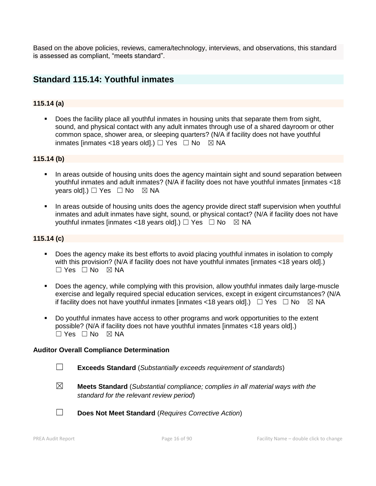Based on the above policies, reviews, camera/technology, interviews, and observations, this standard is assessed as compliant, "meets standard".

## **Standard 115.14: Youthful inmates**

#### **115.14 (a)**

**•** Does the facility place all youthful inmates in housing units that separate them from sight, sound, and physical contact with any adult inmates through use of a shared dayroom or other common space, shower area, or sleeping quarters? (N/A if facility does not have youthful inmates [inmates <18 years old].)  $\Box$  Yes  $\Box$  No  $\boxtimes$  NA

#### **115.14 (b)**

- In areas outside of housing units does the agency maintain sight and sound separation between youthful inmates and adult inmates? (N/A if facility does not have youthful inmates [inmates <18 years old].)  $\Box$  Yes  $\Box$  No  $\boxtimes$  NA
- **•** In areas outside of housing units does the agency provide direct staff supervision when youthful inmates and adult inmates have sight, sound, or physical contact? (N/A if facility does not have youthful inmates [inmates <18 years old].)  $\Box$  Yes  $\Box$  No  $\boxtimes$  NA

#### **115.14 (c)**

- Does the agency make its best efforts to avoid placing youthful inmates in isolation to comply with this provision? (N/A if facility does not have youthful inmates [inmates <18 years old].) ☐ Yes ☐ No ☒ NA
- Does the agency, while complying with this provision, allow youthful inmates daily large-muscle exercise and legally required special education services, except in exigent circumstances? (N/A if facility does not have youthful inmates [inmates <18 years old].)  $\Box$  Yes  $\Box$  No  $\boxtimes$  NA
- Do youthful inmates have access to other programs and work opportunities to the extent possible? (N/A if facility does not have youthful inmates [inmates <18 years old].)  $\Box$  Yes  $\Box$  No  $\boxtimes$  NA

#### **Auditor Overall Compliance Determination**

- ☐ **Exceeds Standard** (*Substantially exceeds requirement of standards*)
- ☒ **Meets Standard** (*Substantial compliance; complies in all material ways with the standard for the relevant review period*)
- ☐ **Does Not Meet Standard** (*Requires Corrective Action*)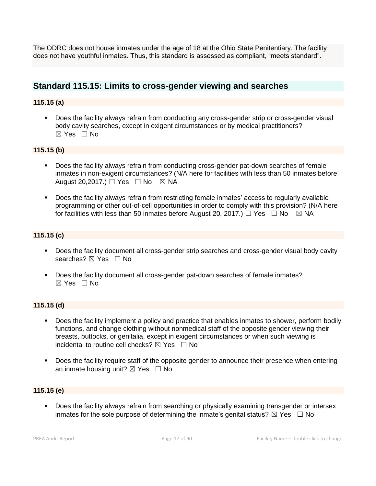The ODRC does not house inmates under the age of 18 at the Ohio State Penitentiary. The facility does not have youthful inmates. Thus, this standard is assessed as compliant, "meets standard".

## **Standard 115.15: Limits to cross-gender viewing and searches**

#### **115.15 (a)**

**•** Does the facility always refrain from conducting any cross-gender strip or cross-gender visual body cavity searches, except in exigent circumstances or by medical practitioners? ☒ Yes ☐ No

#### **115.15 (b)**

- Does the facility always refrain from conducting cross-gender pat-down searches of female inmates in non-exigent circumstances? (N/A here for facilities with less than 50 inmates before August 20,2017.)  $\Box$  Yes  $\Box$  No  $\boxtimes$  NA
- Does the facility always refrain from restricting female inmates' access to regularly available programming or other out-of-cell opportunities in order to comply with this provision? (N/A here for facilities with less than 50 inmates before August 20, 2017.)  $\Box$  Yes  $\Box$  No  $\boxtimes$  NA

#### **115.15 (c)**

- Does the facility document all cross-gender strip searches and cross-gender visual body cavity searches? ⊠ Yes □ No
- Does the facility document all cross-gender pat-down searches of female inmates? ☒ Yes ☐ No

#### **115.15 (d)**

- Does the facility implement a policy and practice that enables inmates to shower, perform bodily functions, and change clothing without nonmedical staff of the opposite gender viewing their breasts, buttocks, or genitalia, except in exigent circumstances or when such viewing is incidental to routine cell checks?  $\boxtimes$  Yes  $\Box$  No
- Does the facility require staff of the opposite gender to announce their presence when entering an inmate housing unit?  $\boxtimes$  Yes  $\Box$  No

#### **115.15 (e)**

▪ Does the facility always refrain from searching or physically examining transgender or intersex inmates for the sole purpose of determining the inmate's genital status?  $\boxtimes$  Yes  $\Box$  No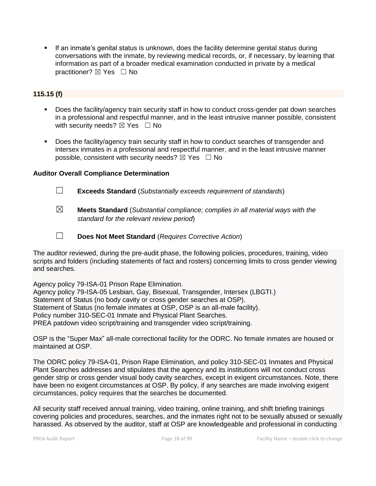▪ If an inmate's genital status is unknown, does the facility determine genital status during conversations with the inmate, by reviewing medical records, or, if necessary, by learning that information as part of a broader medical examination conducted in private by a medical practitioner? ⊠ Yes □ No

#### **115.15 (f)**

- Does the facility/agency train security staff in how to conduct cross-gender pat down searches in a professional and respectful manner, and in the least intrusive manner possible, consistent with security needs?  $\boxtimes$  Yes  $\Box$  No
- Does the facility/agency train security staff in how to conduct searches of transgender and intersex inmates in a professional and respectful manner, and in the least intrusive manner possible, consistent with security needs?  $\boxtimes$  Yes  $\Box$  No

#### **Auditor Overall Compliance Determination**

☐ **Exceeds Standard** (*Substantially exceeds requirement of standards*)

- ☒ **Meets Standard** (*Substantial compliance; complies in all material ways with the standard for the relevant review period*)
- 
- ☐ **Does Not Meet Standard** (*Requires Corrective Action*)

The auditor reviewed, during the pre-audit phase, the following policies, procedures, training, video scripts and folders (including statements of fact and rosters) concerning limits to cross gender viewing and searches.

Agency policy 79-ISA-01 Prison Rape Elimination. Agency policy 79-ISA-05 Lesbian, Gay, Bisexual, Transgender, Intersex (LBGTI.) Statement of Status (no body cavity or cross gender searches at OSP). Statement of Status (no female inmates at OSP, OSP is an all-male facility). Policy number 310-SEC-01 Inmate and Physical Plant Searches. PREA patdown video script/training and transgender video script/training.

OSP is the "Super Max" all-male correctional facility for the ODRC. No female inmates are housed or maintained at OSP.

The ODRC policy 79-ISA-01, Prison Rape Elimination, and policy 310-SEC-01 Inmates and Physical Plant Searches addresses and stipulates that the agency and its institutions will not conduct cross gender strip or cross gender visual body cavity searches, except in exigent circumstances. Note, there have been no exigent circumstances at OSP. By policy, if any searches are made involving exigent circumstances, policy requires that the searches be documented.

All security staff received annual training, video training, online training, and shift briefing trainings covering policies and procedures, searches, and the inmates right not to be sexually abused or sexually harassed. As observed by the auditor, staff at OSP are knowledgeable and professional in conducting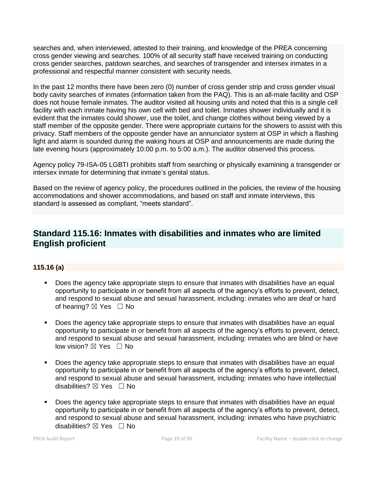searches and, when interviewed, attested to their training, and knowledge of the PREA concerning cross gender viewing and searches. 100% of all security staff have received training on conducting cross gender searches, patdown searches, and searches of transgender and intersex inmates in a professional and respectful manner consistent with security needs.

In the past 12 months there have been zero (0) number of cross gender strip and cross gender visual body cavity searches of inmates (information taken from the PAQ). This is an all-male facility and OSP does not house female inmates. The auditor visited all housing units and noted that this is a single cell facility with each inmate having his own cell with bed and toilet. Inmates shower individually and it is evident that the inmates could shower, use the toilet, and change clothes without being viewed by a staff member of the opposite gender. There were appropriate curtains for the showers to assist with this privacy. Staff members of the opposite gender have an annunciator system at OSP in which a flashing light and alarm is sounded during the waking hours at OSP and announcements are made during the late evening hours (approximately 10:00 p.m. to 5:00 a.m.). The auditor observed this process.

Agency policy 79-ISA-05 LGBTI prohibits staff from searching or physically examining a transgender or intersex inmate for determining that inmate's genital status.

Based on the review of agency policy, the procedures outlined in the policies, the review of the housing accommodations and shower accommodations, and based on staff and inmate interviews, this standard is assessed as compliant, "meets standard".

## **Standard 115.16: Inmates with disabilities and inmates who are limited English proficient**

#### **115.16 (a)**

- Does the agency take appropriate steps to ensure that inmates with disabilities have an equal opportunity to participate in or benefit from all aspects of the agency's efforts to prevent, detect, and respond to sexual abuse and sexual harassment, including: inmates who are deaf or hard of hearing?  $\boxtimes$  Yes  $\Box$  No
- Does the agency take appropriate steps to ensure that inmates with disabilities have an equal opportunity to participate in or benefit from all aspects of the agency's efforts to prevent, detect, and respond to sexual abuse and sexual harassment, including: inmates who are blind or have low vision?  $\boxtimes$  Yes  $\Box$  No
- Does the agency take appropriate steps to ensure that inmates with disabilities have an equal opportunity to participate in or benefit from all aspects of the agency's efforts to prevent, detect, and respond to sexual abuse and sexual harassment, including: inmates who have intellectual disabilities?  $\boxtimes$  Yes  $\Box$  No
- **•** Does the agency take appropriate steps to ensure that inmates with disabilities have an equal opportunity to participate in or benefit from all aspects of the agency's efforts to prevent, detect, and respond to sexual abuse and sexual harassment, including: inmates who have psychiatric disabilities?  $\boxtimes$  Yes  $\Box$  No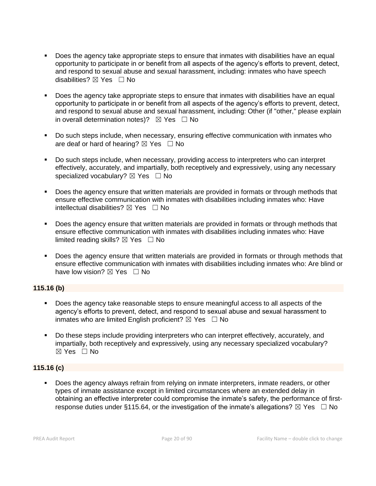- Does the agency take appropriate steps to ensure that inmates with disabilities have an equal opportunity to participate in or benefit from all aspects of the agency's efforts to prevent, detect, and respond to sexual abuse and sexual harassment, including: inmates who have speech disabilities? ☒ Yes ☐ No
- Does the agency take appropriate steps to ensure that inmates with disabilities have an equal opportunity to participate in or benefit from all aspects of the agency's efforts to prevent, detect, and respond to sexual abuse and sexual harassment, including: Other (if "other," please explain in overall determination notes)?  $\boxtimes$  Yes  $\Box$  No
- Do such steps include, when necessary, ensuring effective communication with inmates who are deaf or hard of hearing?  $\boxtimes$  Yes  $\Box$  No
- Do such steps include, when necessary, providing access to interpreters who can interpret effectively, accurately, and impartially, both receptively and expressively, using any necessary specialized vocabulary?  $\boxtimes$  Yes  $\Box$  No
- Does the agency ensure that written materials are provided in formats or through methods that ensure effective communication with inmates with disabilities including inmates who: Have intellectual disabilities?  $\boxtimes$  Yes  $\Box$  No
- **•** Does the agency ensure that written materials are provided in formats or through methods that ensure effective communication with inmates with disabilities including inmates who: Have limited reading skills?  $\boxtimes$  Yes  $\Box$  No
- Does the agency ensure that written materials are provided in formats or through methods that ensure effective communication with inmates with disabilities including inmates who: Are blind or have low vision?  $\boxtimes$  Yes  $\Box$  No

#### **115.16 (b)**

- Does the agency take reasonable steps to ensure meaningful access to all aspects of the agency's efforts to prevent, detect, and respond to sexual abuse and sexual harassment to inmates who are limited English proficient?  $\boxtimes$  Yes  $\Box$  No
- Do these steps include providing interpreters who can interpret effectively, accurately, and impartially, both receptively and expressively, using any necessary specialized vocabulary? ☒ Yes ☐ No

#### **115.16 (c)**

Does the agency always refrain from relying on inmate interpreters, inmate readers, or other types of inmate assistance except in limited circumstances where an extended delay in obtaining an effective interpreter could compromise the inmate's safety, the performance of firstresponse duties under §115.64, or the investigation of the inmate's allegations?  $\boxtimes$  Yes  $\Box$  No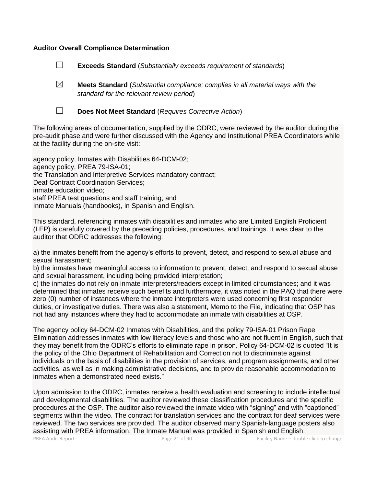#### **Auditor Overall Compliance Determination**

☐ **Exceeds Standard** (*Substantially exceeds requirement of standards*)

☒ **Meets Standard** (*Substantial compliance; complies in all material ways with the standard for the relevant review period*)



☐ **Does Not Meet Standard** (*Requires Corrective Action*)

The following areas of documentation, supplied by the ODRC, were reviewed by the auditor during the pre-audit phase and were further discussed with the Agency and Institutional PREA Coordinators while at the facility during the on-site visit:

agency policy, Inmates with Disabilities 64-DCM-02; agency policy, PREA 79-ISA-01; the Translation and Interpretive Services mandatory contract; Deaf Contract Coordination Services; inmate education video; staff PREA test questions and staff training; and Inmate Manuals (handbooks), in Spanish and English.

This standard, referencing inmates with disabilities and inmates who are Limited English Proficient (LEP) is carefully covered by the preceding policies, procedures, and trainings. It was clear to the auditor that ODRC addresses the following:

a) the inmates benefit from the agency's efforts to prevent, detect, and respond to sexual abuse and sexual harassment;

b) the inmates have meaningful access to information to prevent, detect, and respond to sexual abuse and sexual harassment, including being provided interpretation;

c) the inmates do not rely on inmate interpreters/readers except in limited circumstances; and it was determined that inmates receive such benefits and furthermore, it was noted in the PAQ that there were zero (0) number of instances where the inmate interpreters were used concerning first responder duties, or investigative duties. There was also a statement, Memo to the File, indicating that OSP has not had any instances where they had to accommodate an inmate with disabilities at OSP.

The agency policy 64-DCM-02 Inmates with Disabilities, and the policy 79-ISA-01 Prison Rape Elimination addresses inmates with low literacy levels and those who are not fluent in English, such that they may benefit from the ODRC's efforts to eliminate rape in prison. Policy 64-DCM-02 is quoted "It is the policy of the Ohio Department of Rehabilitation and Correction not to discriminate against individuals on the basis of disabilities in the provision of services, and program assignments, and other activities, as well as in making administrative decisions, and to provide reasonable accommodation to inmates when a demonstrated need exists."

Upon admission to the ODRC, inmates receive a health evaluation and screening to include intellectual and developmental disabilities. The auditor reviewed these classification procedures and the specific procedures at the OSP. The auditor also reviewed the inmate video with "signing" and with "captioned" segments within the video. The contract for translation services and the contract for deaf services were reviewed. The two services are provided. The auditor observed many Spanish-language posters also assisting with PREA information. The Inmate Manual was provided in Spanish and English.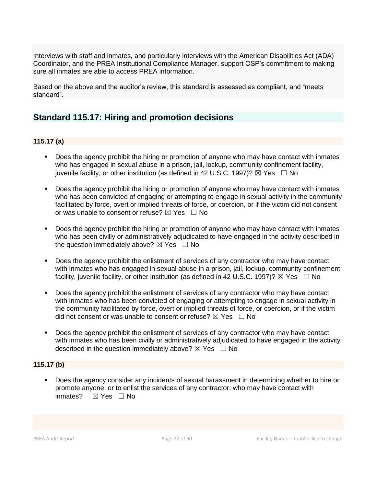Interviews with staff and inmates, and particularly interviews with the American Disabilities Act (ADA) Coordinator, and the PREA Institutional Compliance Manager, support OSP's commitment to making sure all inmates are able to access PREA information.

Based on the above and the auditor's review, this standard is assessed as compliant, and "meets standard".

## **Standard 115.17: Hiring and promotion decisions**

#### **115.17 (a)**

- **•** Does the agency prohibit the hiring or promotion of anyone who may have contact with inmates who has engaged in sexual abuse in a prison, jail, lockup, community confinement facility, juvenile facility, or other institution (as defined in 42 U.S.C. 1997)?  $\boxtimes$  Yes  $\Box$  No
- Does the agency prohibit the hiring or promotion of anyone who may have contact with inmates who has been convicted of engaging or attempting to engage in sexual activity in the community facilitated by force, overt or implied threats of force, or coercion, or if the victim did not consent or was unable to consent or refuse?  $\boxtimes$  Yes  $\Box$  No
- Does the agency prohibit the hiring or promotion of anyone who may have contact with inmates who has been civilly or administratively adjudicated to have engaged in the activity described in the question immediately above?  $\boxtimes$  Yes  $\Box$  No
- Does the agency prohibit the enlistment of services of any contractor who may have contact with inmates who has engaged in sexual abuse in a prison, jail, lockup, community confinement facility, juvenile facility, or other institution (as defined in 42 U.S.C. 1997)?  $\boxtimes$  Yes  $\Box$  No
- Does the agency prohibit the enlistment of services of any contractor who may have contact with inmates who has been convicted of engaging or attempting to engage in sexual activity in the community facilitated by force, overt or implied threats of force, or coercion, or if the victim did not consent or was unable to consent or refuse?  $\boxtimes$  Yes  $\Box$  No
- Does the agency prohibit the enlistment of services of any contractor who may have contact with inmates who has been civilly or administratively adjudicated to have engaged in the activity described in the question immediately above?  $\boxtimes$  Yes  $\Box$  No

#### **115.17 (b)**

Does the agency consider any incidents of sexual harassment in determining whether to hire or promote anyone, or to enlist the services of any contractor, who may have contact with inmates? ☒ Yes ☐ No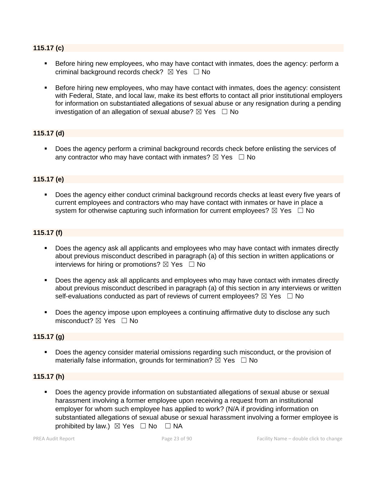#### **115.17 (c)**

- Before hiring new employees, who may have contact with inmates, does the agency: perform a criminal background records check?  $\boxtimes$  Yes  $\Box$  No
- **EXEL Before hiring new employees, who may have contact with inmates, does the agency: consistent** with Federal, State, and local law, make its best efforts to contact all prior institutional employers for information on substantiated allegations of sexual abuse or any resignation during a pending investigation of an allegation of sexual abuse?  $\boxtimes$  Yes  $\Box$  No

#### **115.17 (d)**

▪ Does the agency perform a criminal background records check before enlisting the services of any contractor who may have contact with inmates?  $\boxtimes$  Yes  $\Box$  No

#### **115.17 (e)**

Does the agency either conduct criminal background records checks at least every five years of current employees and contractors who may have contact with inmates or have in place a system for otherwise capturing such information for current employees?  $\boxtimes$  Yes  $\Box$  No

#### **115.17 (f)**

- **•** Does the agency ask all applicants and employees who may have contact with inmates directly about previous misconduct described in paragraph (a) of this section in written applications or interviews for hiring or promotions?  $\boxtimes$  Yes  $\Box$  No
- Does the agency ask all applicants and employees who may have contact with inmates directly about previous misconduct described in paragraph (a) of this section in any interviews or written self-evaluations conducted as part of reviews of current employees?  $\boxtimes$  Yes  $\Box$  No
- Does the agency impose upon employees a continuing affirmative duty to disclose any such misconduct?  $\boxtimes$  Yes  $\Box$  No

#### **115.17 (g)**

▪ Does the agency consider material omissions regarding such misconduct, or the provision of materially false information, grounds for termination?  $\boxtimes$  Yes  $\Box$  No

#### **115.17 (h)**

▪ Does the agency provide information on substantiated allegations of sexual abuse or sexual harassment involving a former employee upon receiving a request from an institutional employer for whom such employee has applied to work? (N/A if providing information on substantiated allegations of sexual abuse or sexual harassment involving a former employee is prohibited by law.)  $\boxtimes$  Yes  $\Box$  No  $\Box$  NA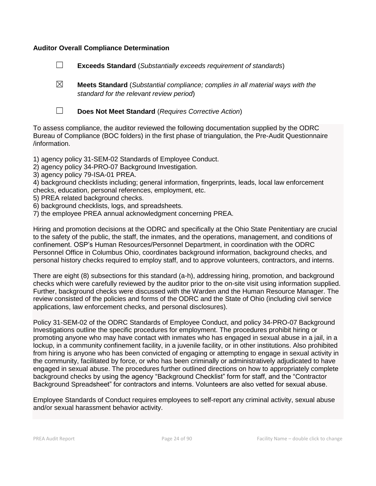#### **Auditor Overall Compliance Determination**

☐ **Exceeds Standard** (*Substantially exceeds requirement of standards*)

☒ **Meets Standard** (*Substantial compliance; complies in all material ways with the standard for the relevant review period*)



☐ **Does Not Meet Standard** (*Requires Corrective Action*)

To assess compliance, the auditor reviewed the following documentation supplied by the ODRC Bureau of Compliance (BOC folders) in the first phase of triangulation, the Pre-Audit Questionnaire /information.

1) agency policy 31-SEM-02 Standards of Employee Conduct.

- 2) agency policy 34-PRO-07 Background Investigation.
- 3) agency policy 79-ISA-01 PREA.

4) background checklists including; general information, fingerprints, leads, local law enforcement checks, education, personal references, employment, etc.

- 5) PREA related background checks.
- 6) background checklists, logs, and spreadsheets.
- 7) the employee PREA annual acknowledgment concerning PREA.

Hiring and promotion decisions at the ODRC and specifically at the Ohio State Penitentiary are crucial to the safety of the public, the staff, the inmates, and the operations, management, and conditions of confinement. OSP's Human Resources/Personnel Department, in coordination with the ODRC Personnel Office in Columbus Ohio, coordinates background information, background checks, and personal history checks required to employ staff, and to approve volunteers, contractors, and interns.

There are eight (8) subsections for this standard (a-h), addressing hiring, promotion, and background checks which were carefully reviewed by the auditor prior to the on-site visit using information supplied. Further, background checks were discussed with the Warden and the Human Resource Manager. The review consisted of the policies and forms of the ODRC and the State of Ohio (including civil service applications, law enforcement checks, and personal disclosures).

Policy 31-SEM-02 of the ODRC Standards of Employee Conduct, and policy 34-PRO-07 Background Investigations outline the specific procedures for employment. The procedures prohibit hiring or promoting anyone who may have contact with inmates who has engaged in sexual abuse in a jail, in a lockup, in a community confinement facility, in a juvenile facility, or in other institutions. Also prohibited from hiring is anyone who has been convicted of engaging or attempting to engage in sexual activity in the community, facilitated by force, or who has been criminally or administratively adjudicated to have engaged in sexual abuse. The procedures further outlined directions on how to appropriately complete background checks by using the agency "Background Checklist" form for staff, and the "Contractor Background Spreadsheet" for contractors and interns. Volunteers are also vetted for sexual abuse.

Employee Standards of Conduct requires employees to self-report any criminal activity, sexual abuse and/or sexual harassment behavior activity.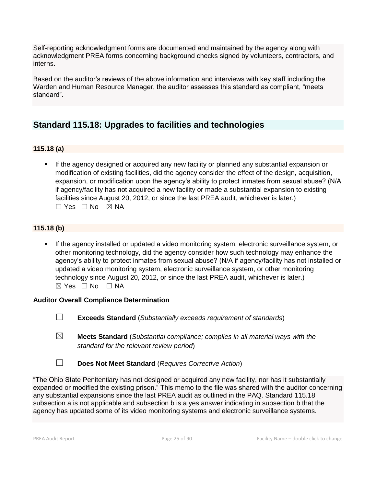Self-reporting acknowledgment forms are documented and maintained by the agency along with acknowledgment PREA forms concerning background checks signed by volunteers, contractors, and interns.

Based on the auditor's reviews of the above information and interviews with key staff including the Warden and Human Resource Manager, the auditor assesses this standard as compliant, "meets standard".

## **Standard 115.18: Upgrades to facilities and technologies**

#### **115.18 (a)**

**■** If the agency designed or acquired any new facility or planned any substantial expansion or modification of existing facilities, did the agency consider the effect of the design, acquisition, expansion, or modification upon the agency's ability to protect inmates from sexual abuse? (N/A if agency/facility has not acquired a new facility or made a substantial expansion to existing facilities since August 20, 2012, or since the last PREA audit, whichever is later.) ☐ Yes ☐ No ☒ NA

#### **115.18 (b)**

If the agency installed or updated a video monitoring system, electronic surveillance system, or other monitoring technology, did the agency consider how such technology may enhance the agency's ability to protect inmates from sexual abuse? (N/A if agency/facility has not installed or updated a video monitoring system, electronic surveillance system, or other monitoring technology since August 20, 2012, or since the last PREA audit, whichever is later.)  $\boxtimes$  Yes  $\Box$  No  $\Box$  NA

#### **Auditor Overall Compliance Determination**

- ☐ **Exceeds Standard** (*Substantially exceeds requirement of standards*)
- ☒ **Meets Standard** (*Substantial compliance; complies in all material ways with the standard for the relevant review period*)
- ☐ **Does Not Meet Standard** (*Requires Corrective Action*)

"The Ohio State Penitentiary has not designed or acquired any new facility, nor has it substantially expanded or modified the existing prison." This memo to the file was shared with the auditor concerning any substantial expansions since the last PREA audit as outlined in the PAQ. Standard 115.18 subsection a is not applicable and subsection b is a yes answer indicating in subsection b that the agency has updated some of its video monitoring systems and electronic surveillance systems.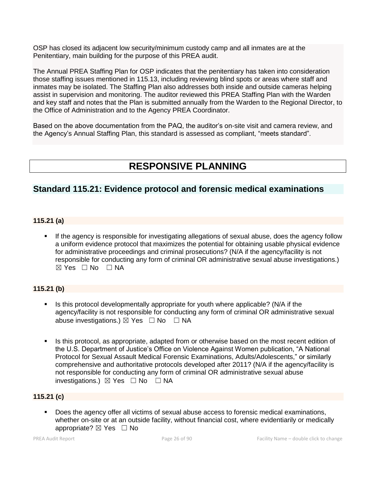OSP has closed its adjacent low security/minimum custody camp and all inmates are at the Penitentiary, main building for the purpose of this PREA audit.

The Annual PREA Staffing Plan for OSP indicates that the penitentiary has taken into consideration those staffing issues mentioned in 115.13, including reviewing blind spots or areas where staff and inmates may be isolated. The Staffing Plan also addresses both inside and outside cameras helping assist in supervision and monitoring. The auditor reviewed this PREA Staffing Plan with the Warden and key staff and notes that the Plan is submitted annually from the Warden to the Regional Director, to the Office of Administration and to the Agency PREA Coordinator.

Based on the above documentation from the PAQ, the auditor's on-site visit and camera review, and the Agency's Annual Staffing Plan, this standard is assessed as compliant, "meets standard".

# **RESPONSIVE PLANNING**

## **Standard 115.21: Evidence protocol and forensic medical examinations**

#### **115.21 (a)**

**.** If the agency is responsible for investigating allegations of sexual abuse, does the agency follow a uniform evidence protocol that maximizes the potential for obtaining usable physical evidence for administrative proceedings and criminal prosecutions? (N/A if the agency/facility is not responsible for conducting any form of criminal OR administrative sexual abuse investigations.)  $\boxtimes$  Yes  $\Box$  No  $\Box$  NA

#### **115.21 (b)**

- Is this protocol developmentally appropriate for youth where applicable? (N/A if the agency/facility is not responsible for conducting any form of criminal OR administrative sexual abuse investigations.)  $\boxtimes$  Yes  $\Box$  No  $\Box$  NA
- Is this protocol, as appropriate, adapted from or otherwise based on the most recent edition of the U.S. Department of Justice's Office on Violence Against Women publication, "A National Protocol for Sexual Assault Medical Forensic Examinations, Adults/Adolescents," or similarly comprehensive and authoritative protocols developed after 2011? (N/A if the agency/facility is not responsible for conducting any form of criminal OR administrative sexual abuse investigations.)  $\boxtimes$  Yes  $\Box$  No  $\Box$  NA

#### **115.21 (c)**

Does the agency offer all victims of sexual abuse access to forensic medical examinations, whether on-site or at an outside facility, without financial cost, where evidentiarily or medically appropriate?  $\boxtimes$  Yes  $\Box$  No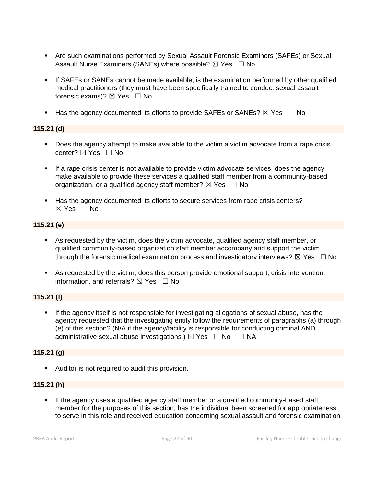- Are such examinations performed by Sexual Assault Forensic Examiners (SAFEs) or Sexual Assault Nurse Examiners (SANEs) where possible?  $\boxtimes$  Yes  $\Box$  No
- **.** If SAFEs or SANEs cannot be made available, is the examination performed by other qualified medical practitioners (they must have been specifically trained to conduct sexual assault forensic exams)?  $\boxtimes$  Yes  $\Box$  No
- **■** Has the agency documented its efforts to provide SAFEs or SANEs?  $\boxtimes$  Yes  $\Box$  No

#### **115.21 (d)**

- Does the agency attempt to make available to the victim a victim advocate from a rape crisis center? ☒ Yes ☐ No
- **.** If a rape crisis center is not available to provide victim advocate services, does the agency make available to provide these services a qualified staff member from a community-based organization, or a qualified agency staff member?  $\boxtimes$  Yes  $\Box$  No
- Has the agency documented its efforts to secure services from rape crisis centers?  $\boxtimes$  Yes  $\Box$  No

#### **115.21 (e)**

- As requested by the victim, does the victim advocate, qualified agency staff member, or qualified community-based organization staff member accompany and support the victim through the forensic medical examination process and investigatory interviews?  $\boxtimes$  Yes  $\Box$  No
- As requested by the victim, does this person provide emotional support, crisis intervention, information, and referrals?  $\boxtimes$  Yes  $\Box$  No

#### **115.21 (f)**

**.** If the agency itself is not responsible for investigating allegations of sexual abuse, has the agency requested that the investigating entity follow the requirements of paragraphs (a) through (e) of this section? (N/A if the agency/facility is responsible for conducting criminal AND administrative sexual abuse investigations.)  $\boxtimes$  Yes  $\Box$  No  $\Box$  NA

#### **115.21 (g)**

■ Auditor is not required to audit this provision.

#### **115.21 (h)**

If the agency uses a qualified agency staff member or a qualified community-based staff member for the purposes of this section, has the individual been screened for appropriateness to serve in this role and received education concerning sexual assault and forensic examination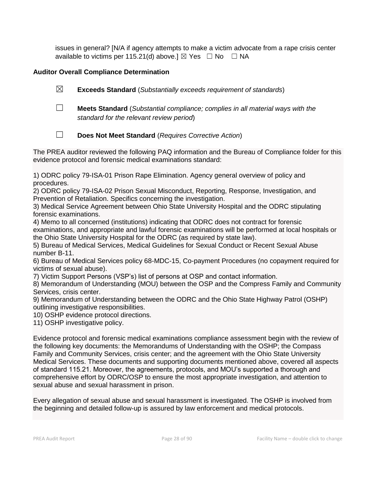issues in general? [N/A if agency attempts to make a victim advocate from a rape crisis center available to victims per 115.21(d) above.]  $\boxtimes$  Yes  $\Box$  No  $\Box$  NA

### **Auditor Overall Compliance Determination**

☒ **Exceeds Standard** (*Substantially exceeds requirement of standards*)

☐ **Meets Standard** (*Substantial compliance; complies in all material ways with the standard for the relevant review period*)

☐ **Does Not Meet Standard** (*Requires Corrective Action*)

The PREA auditor reviewed the following PAQ information and the Bureau of Compliance folder for this evidence protocol and forensic medical examinations standard:

1) ODRC policy 79-ISA-01 Prison Rape Elimination. Agency general overview of policy and procedures.

2) ODRC policy 79-ISA-02 Prison Sexual Misconduct, Reporting, Response, Investigation, and Prevention of Retaliation. Specifics concerning the investigation.

3) Medical Service Agreement between Ohio State University Hospital and the ODRC stipulating forensic examinations.

4) Memo to all concerned (institutions) indicating that ODRC does not contract for forensic examinations, and appropriate and lawful forensic examinations will be performed at local hospitals or the Ohio State University Hospital for the ODRC (as required by state law).

5) Bureau of Medical Services, Medical Guidelines for Sexual Conduct or Recent Sexual Abuse number B-11.

6) Bureau of Medical Services policy 68-MDC-15, Co-payment Procedures (no copayment required for victims of sexual abuse).

7) Victim Support Persons (VSP's) list of persons at OSP and contact information.

8) Memorandum of Understanding (MOU) between the OSP and the Compress Family and Community Services, crisis center.

9) Memorandum of Understanding between the ODRC and the Ohio State Highway Patrol (OSHP) outlining investigative responsibilities.

10) OSHP evidence protocol directions.

11) OSHP investigative policy.

Evidence protocol and forensic medical examinations compliance assessment begin with the review of the following key documents: the Memorandums of Understanding with the OSHP; the Compass Family and Community Services, crisis center; and the agreement with the Ohio State University Medical Services. These documents and supporting documents mentioned above, covered all aspects of standard 115.21. Moreover, the agreements, protocols, and MOU's supported a thorough and comprehensive effort by ODRC/OSP to ensure the most appropriate investigation, and attention to sexual abuse and sexual harassment in prison.

Every allegation of sexual abuse and sexual harassment is investigated. The OSHP is involved from the beginning and detailed follow-up is assured by law enforcement and medical protocols.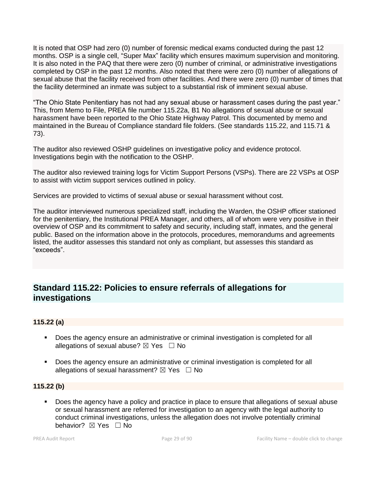It is noted that OSP had zero (0) number of forensic medical exams conducted during the past 12 months. OSP is a single cell, "Super Max" facility which ensures maximum supervision and monitoring. It is also noted in the PAQ that there were zero (0) number of criminal, or administrative investigations completed by OSP in the past 12 months. Also noted that there were zero (0) number of allegations of sexual abuse that the facility received from other facilities. And there were zero (0) number of times that the facility determined an inmate was subject to a substantial risk of imminent sexual abuse.

"The Ohio State Penitentiary has not had any sexual abuse or harassment cases during the past year." This, from Memo to File, PREA file number 115.22a, B1 No allegations of sexual abuse or sexual harassment have been reported to the Ohio State Highway Patrol. This documented by memo and maintained in the Bureau of Compliance standard file folders. (See standards 115.22, and 115.71 & 73).

The auditor also reviewed OSHP guidelines on investigative policy and evidence protocol. Investigations begin with the notification to the OSHP.

The auditor also reviewed training logs for Victim Support Persons (VSPs). There are 22 VSPs at OSP to assist with victim support services outlined in policy.

Services are provided to victims of sexual abuse or sexual harassment without cost.

The auditor interviewed numerous specialized staff, including the Warden, the OSHP officer stationed for the penitentiary, the Institutional PREA Manager, and others, all of whom were very positive in their overview of OSP and its commitment to safety and security, including staff, inmates, and the general public. Based on the information above in the protocols, procedures, memorandums and agreements listed, the auditor assesses this standard not only as compliant, but assesses this standard as "exceeds".

## **Standard 115.22: Policies to ensure referrals of allegations for investigations**

#### **115.22 (a)**

- Does the agency ensure an administrative or criminal investigation is completed for all allegations of sexual abuse?  $\boxtimes$  Yes  $\Box$  No
- Does the agency ensure an administrative or criminal investigation is completed for all allegations of sexual harassment?  $\boxtimes$  Yes  $\Box$  No

#### **115.22 (b)**

Does the agency have a policy and practice in place to ensure that allegations of sexual abuse or sexual harassment are referred for investigation to an agency with the legal authority to conduct criminal investigations, unless the allegation does not involve potentially criminal behavior? **⊠** Yes □ No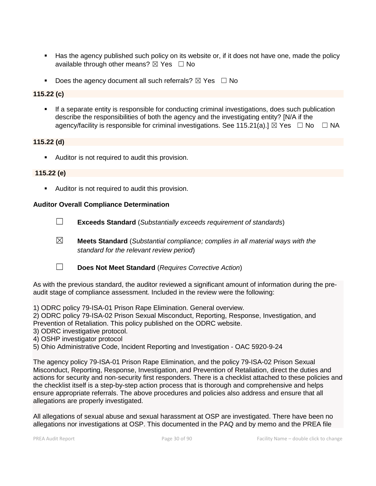- Has the agency published such policy on its website or, if it does not have one, made the policy available through other means?  $\boxtimes$  Yes  $\Box$  No
- **•** Does the agency document all such referrals?  $\boxtimes$  Yes  $\Box$  No

#### **115.22 (c)**

**•** If a separate entity is responsible for conducting criminal investigations, does such publication describe the responsibilities of both the agency and the investigating entity? [N/A if the agency/facility is responsible for criminal investigations. See 115.21(a).]  $\boxtimes$  Yes  $\Box$  No  $\Box$  NA

#### **115.22 (d)**

■ Auditor is not required to audit this provision.

#### **115.22 (e)**

**EXEC** Auditor is not required to audit this provision.

#### **Auditor Overall Compliance Determination**

- ☐ **Exceeds Standard** (*Substantially exceeds requirement of standards*)
- ☒ **Meets Standard** (*Substantial compliance; complies in all material ways with the standard for the relevant review period*)
- ☐ **Does Not Meet Standard** (*Requires Corrective Action*)

As with the previous standard, the auditor reviewed a significant amount of information during the preaudit stage of compliance assessment. Included in the review were the following:

1) ODRC policy 79-ISA-01 Prison Rape Elimination. General overview.

2) ODRC policy 79-ISA-02 Prison Sexual Misconduct, Reporting, Response, Investigation, and Prevention of Retaliation. This policy published on the ODRC website.

- 3) ODRC investigative protocol.
- 4) OSHP investigator protocol
- 5) Ohio Administrative Code, Incident Reporting and Investigation OAC 5920-9-24

The agency policy 79-ISA-01 Prison Rape Elimination, and the policy 79-ISA-02 Prison Sexual Misconduct, Reporting, Response, Investigation, and Prevention of Retaliation, direct the duties and actions for security and non-security first responders. There is a checklist attached to these policies and the checklist itself is a step-by-step action process that is thorough and comprehensive and helps ensure appropriate referrals. The above procedures and policies also address and ensure that all allegations are properly investigated.

All allegations of sexual abuse and sexual harassment at OSP are investigated. There have been no allegations nor investigations at OSP. This documented in the PAQ and by memo and the PREA file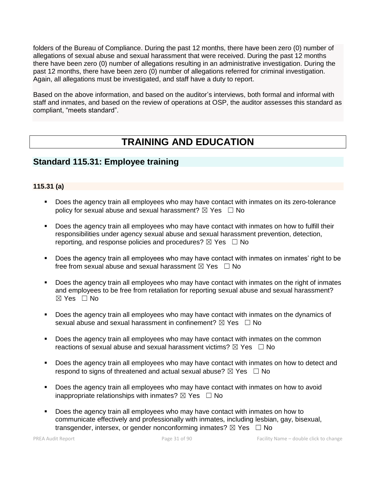folders of the Bureau of Compliance. During the past 12 months, there have been zero (0) number of allegations of sexual abuse and sexual harassment that were received. During the past 12 months there have been zero (0) number of allegations resulting in an administrative investigation. During the past 12 months, there have been zero (0) number of allegations referred for criminal investigation. Again, all allegations must be investigated, and staff have a duty to report.

Based on the above information, and based on the auditor's interviews, both formal and informal with staff and inmates, and based on the review of operations at OSP, the auditor assesses this standard as compliant, "meets standard".

# **TRAINING AND EDUCATION**

## **Standard 115.31: Employee training**

#### **115.31 (a)**

- Does the agency train all employees who may have contact with inmates on its zero-tolerance policy for sexual abuse and sexual harassment?  $\boxtimes$  Yes  $\Box$  No
- **•** Does the agency train all employees who may have contact with inmates on how to fulfill their responsibilities under agency sexual abuse and sexual harassment prevention, detection, reporting, and response policies and procedures?  $\boxtimes$  Yes  $\Box$  No
- Does the agency train all employees who may have contact with inmates on inmates' right to be free from sexual abuse and sexual harassment  $\boxtimes$  Yes  $\Box$  No
- Does the agency train all employees who may have contact with inmates on the right of inmates and employees to be free from retaliation for reporting sexual abuse and sexual harassment?  $\boxtimes$  Yes  $\Box$  No
- Does the agency train all employees who may have contact with inmates on the dynamics of sexual abuse and sexual harassment in confinement?  $\boxtimes$  Yes  $\Box$  No
- Does the agency train all employees who may have contact with inmates on the common reactions of sexual abuse and sexual harassment victims?  $\boxtimes$  Yes  $\Box$  No
- Does the agency train all employees who may have contact with inmates on how to detect and respond to signs of threatened and actual sexual abuse?  $\boxtimes$  Yes  $\Box$  No
- Does the agency train all employees who may have contact with inmates on how to avoid inappropriate relationships with inmates?  $\boxtimes$  Yes  $\Box$  No
- Does the agency train all employees who may have contact with inmates on how to communicate effectively and professionally with inmates, including lesbian, gay, bisexual, transgender, intersex, or gender nonconforming inmates?  $\boxtimes$  Yes  $\Box$  No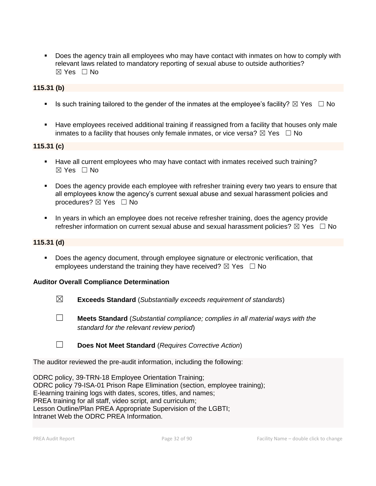■ Does the agency train all employees who may have contact with inmates on how to comply with relevant laws related to mandatory reporting of sexual abuse to outside authorities? ☒ Yes ☐ No

#### **115.31 (b)**

- **■** Is such training tailored to the gender of the inmates at the employee's facility?  $\boxtimes$  Yes  $\Box$  No
- **EXED** Have employees received additional training if reassigned from a facility that houses only male inmates to a facility that houses only female inmates, or vice versa?  $\boxtimes$  Yes  $\Box$  No

#### **115.31 (c)**

- Have all current employees who may have contact with inmates received such training?  $\boxtimes$  Yes  $\Box$  No
- **•** Does the agency provide each employee with refresher training every two years to ensure that all employees know the agency's current sexual abuse and sexual harassment policies and procedures? ⊠ Yes □ No
- In years in which an employee does not receive refresher training, does the agency provide refresher information on current sexual abuse and sexual harassment policies?  $\boxtimes$  Yes  $\Box$  No

#### **115.31 (d)**

**•** Does the agency document, through employee signature or electronic verification, that employees understand the training they have received?  $\boxtimes$  Yes  $\Box$  No

#### **Auditor Overall Compliance Determination**

- ☒ **Exceeds Standard** (*Substantially exceeds requirement of standards*)
- ☐ **Meets Standard** (*Substantial compliance; complies in all material ways with the standard for the relevant review period*)
- ☐ **Does Not Meet Standard** (*Requires Corrective Action*)

The auditor reviewed the pre-audit information, including the following:

ODRC policy, 39-TRN-18 Employee Orientation Training; ODRC policy 79-ISA-01 Prison Rape Elimination (section, employee training); E-learning training logs with dates, scores, titles, and names; PREA training for all staff, video script, and curriculum; Lesson Outline/Plan PREA Appropriate Supervision of the LGBTI; Intranet Web the ODRC PREA Information.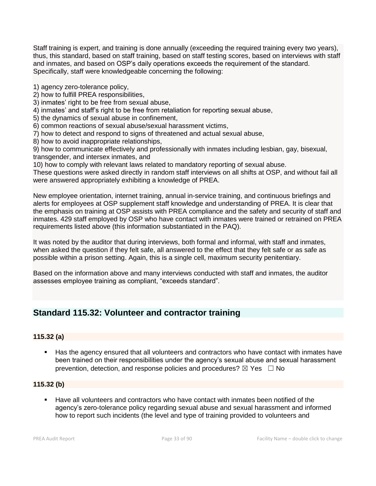Staff training is expert, and training is done annually (exceeding the required training every two years), thus, this standard, based on staff training, based on staff testing scores, based on interviews with staff and inmates, and based on OSP's daily operations exceeds the requirement of the standard. Specifically, staff were knowledgeable concerning the following:

- 1) agency zero-tolerance policy,
- 2) how to fulfill PREA responsibilities,
- 3) inmates' right to be free from sexual abuse,
- 4) inmates' and staff's right to be free from retaliation for reporting sexual abuse,
- 5) the dynamics of sexual abuse in confinement,
- 6) common reactions of sexual abuse/sexual harassment victims,
- 7) how to detect and respond to signs of threatened and actual sexual abuse,
- 8) how to avoid inappropriate relationships,

9) how to communicate effectively and professionally with inmates including lesbian, gay, bisexual, transgender, and intersex inmates, and

10) how to comply with relevant laws related to mandatory reporting of sexual abuse.

These questions were asked directly in random staff interviews on all shifts at OSP, and without fail all were answered appropriately exhibiting a knowledge of PREA.

New employee orientation, internet training, annual in-service training, and continuous briefings and alerts for employees at OSP supplement staff knowledge and understanding of PREA. It is clear that the emphasis on training at OSP assists with PREA compliance and the safety and security of staff and inmates. 429 staff employed by OSP who have contact with inmates were trained or retrained on PREA requirements listed above (this information substantiated in the PAQ).

It was noted by the auditor that during interviews, both formal and informal, with staff and inmates, when asked the question if they felt safe, all answered to the effect that they felt safe or as safe as possible within a prison setting. Again, this is a single cell, maximum security penitentiary.

Based on the information above and many interviews conducted with staff and inmates, the auditor assesses employee training as compliant, "exceeds standard".

## **Standard 115.32: Volunteer and contractor training**

#### **115.32 (a)**

Has the agency ensured that all volunteers and contractors who have contact with inmates have been trained on their responsibilities under the agency's sexual abuse and sexual harassment prevention, detection, and response policies and procedures?  $\boxtimes$  Yes  $\Box$  No

#### **115.32 (b)**

Have all volunteers and contractors who have contact with inmates been notified of the agency's zero-tolerance policy regarding sexual abuse and sexual harassment and informed how to report such incidents (the level and type of training provided to volunteers and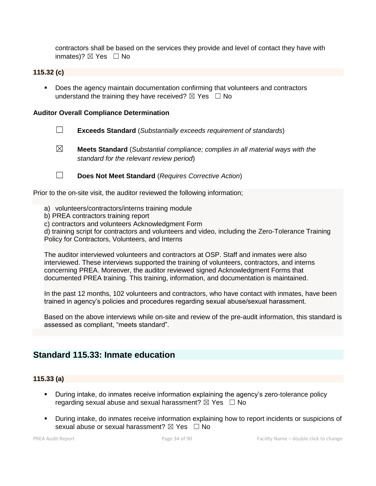contractors shall be based on the services they provide and level of contact they have with inmates)?  $\boxtimes$  Yes  $\Box$  No

#### **115.32 (c)**

■ Does the agency maintain documentation confirming that volunteers and contractors understand the training they have received?  $\boxtimes$  Yes  $\Box$  No

#### **Auditor Overall Compliance Determination**

- ☐ **Exceeds Standard** (*Substantially exceeds requirement of standards*)
- 
- ☒ **Meets Standard** (*Substantial compliance; complies in all material ways with the standard for the relevant review period*)
- 
- ☐ **Does Not Meet Standard** (*Requires Corrective Action*)

Prior to the on-site visit, the auditor reviewed the following information;

- a) volunteers/contractors/interns training module
- b) PREA contractors training report
- c) contractors and volunteers Acknowledgment Form

d) training script for contractors and volunteers and video, including the Zero-Tolerance Training Policy for Contractors, Volunteers, and Interns

The auditor interviewed volunteers and contractors at OSP. Staff and inmates were also interviewed. These interviews supported the training of volunteers, contractors, and interns concerning PREA. Moreover, the auditor reviewed signed Acknowledgment Forms that documented PREA training. This training, information, and documentation is maintained.

In the past 12 months, 102 volunteers and contractors, who have contact with inmates, have been trained in agency's policies and procedures regarding sexual abuse/sexual harassment.

Based on the above interviews while on-site and review of the pre-audit information, this standard is assessed as compliant, "meets standard".

## **Standard 115.33: Inmate education**

#### **115.33 (a)**

- **EXT** During intake, do inmates receive information explaining the agency's zero-tolerance policy regarding sexual abuse and sexual harassment?  $\boxtimes$  Yes  $\Box$  No
- During intake, do inmates receive information explaining how to report incidents or suspicions of sexual abuse or sexual harassment?  $\boxtimes$  Yes  $\Box$  No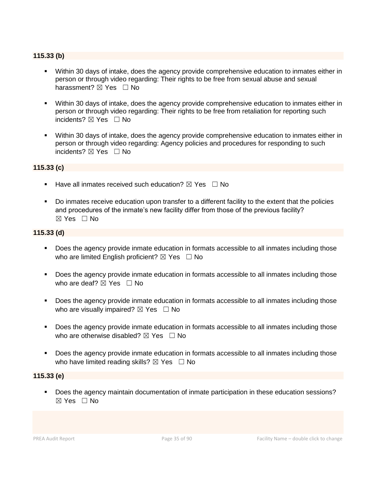#### **115.33 (b)**

- Within 30 days of intake, does the agency provide comprehensive education to inmates either in person or through video regarding: Their rights to be free from sexual abuse and sexual harassment? ⊠ Yes □ No
- Within 30 days of intake, does the agency provide comprehensive education to inmates either in person or through video regarding: Their rights to be free from retaliation for reporting such incidents? ⊠ Yes □ No
- Within 30 days of intake, does the agency provide comprehensive education to inmates either in person or through video regarding: Agency policies and procedures for responding to such incidents? ⊠ Yes □ No

#### **115.33 (c)**

- **■** Have all inmates received such education?  $\boxtimes$  Yes  $\Box$  No
- Do inmates receive education upon transfer to a different facility to the extent that the policies and procedures of the inmate's new facility differ from those of the previous facility?  $\boxtimes$  Yes  $\Box$  No

#### **115.33 (d)**

- **•** Does the agency provide inmate education in formats accessible to all inmates including those who are limited English proficient?  $\boxtimes$  Yes  $\Box$  No
- Does the agency provide inmate education in formats accessible to all inmates including those who are deaf?  $\boxtimes$  Yes  $\Box$  No
- Does the agency provide inmate education in formats accessible to all inmates including those who are visually impaired?  $\boxtimes$  Yes  $\Box$  No
- Does the agency provide inmate education in formats accessible to all inmates including those who are otherwise disabled?  $\boxtimes$  Yes  $\Box$  No
- Does the agency provide inmate education in formats accessible to all inmates including those who have limited reading skills?  $\boxtimes$  Yes  $\Box$  No

#### **115.33 (e)**

▪ Does the agency maintain documentation of inmate participation in these education sessions? ☒ Yes ☐ No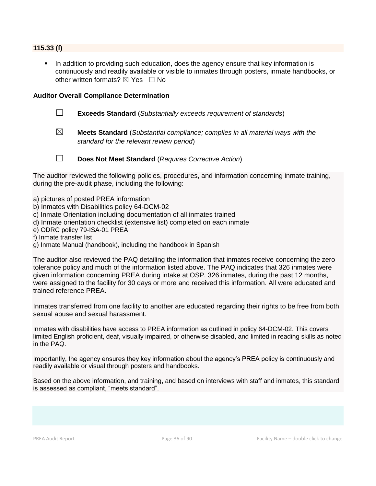#### **115.33 (f)**

In addition to providing such education, does the agency ensure that key information is continuously and readily available or visible to inmates through posters, inmate handbooks, or other written formats?  $\boxtimes$  Yes  $\Box$  No

#### **Auditor Overall Compliance Determination**

- ☐ **Exceeds Standard** (*Substantially exceeds requirement of standards*)
- ☒ **Meets Standard** (*Substantial compliance; complies in all material ways with the standard for the relevant review period*)
- 
- ☐ **Does Not Meet Standard** (*Requires Corrective Action*)

The auditor reviewed the following policies, procedures, and information concerning inmate training, during the pre-audit phase, including the following:

- a) pictures of posted PREA information
- b) Inmates with Disabilities policy 64-DCM-02
- c) Inmate Orientation including documentation of all inmates trained
- d) Inmate orientation checklist (extensive list) completed on each inmate
- e) ODRC policy 79-ISA-01 PREA
- f) Inmate transfer list
- g) Inmate Manual (handbook), including the handbook in Spanish

The auditor also reviewed the PAQ detailing the information that inmates receive concerning the zero tolerance policy and much of the information listed above. The PAQ indicates that 326 inmates were given information concerning PREA during intake at OSP. 326 inmates, during the past 12 months, were assigned to the facility for 30 days or more and received this information. All were educated and trained reference PREA.

Inmates transferred from one facility to another are educated regarding their rights to be free from both sexual abuse and sexual harassment.

Inmates with disabilities have access to PREA information as outlined in policy 64-DCM-02. This covers limited English proficient, deaf, visually impaired, or otherwise disabled, and limited in reading skills as noted in the PAQ.

Importantly, the agency ensures they key information about the agency's PREA policy is continuously and readily available or visual through posters and handbooks.

Based on the above information, and training, and based on interviews with staff and inmates, this standard is assessed as compliant, "meets standard".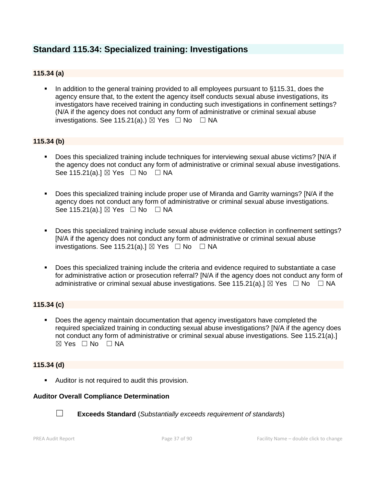### **Standard 115.34: Specialized training: Investigations**

### **115.34 (a)**

In addition to the general training provided to all employees pursuant to §115.31, does the agency ensure that, to the extent the agency itself conducts sexual abuse investigations, its investigators have received training in conducting such investigations in confinement settings? (N/A if the agency does not conduct any form of administrative or criminal sexual abuse investigations. See 115.21(a).)  $\boxtimes$  Yes  $\Box$  No  $\Box$  NA

### **115.34 (b)**

- Does this specialized training include techniques for interviewing sexual abuse victims? [N/A if the agency does not conduct any form of administrative or criminal sexual abuse investigations. See 115.21(a).] ⊠ Yes □ No □ NA
- Does this specialized training include proper use of Miranda and Garrity warnings? [N/A if the agency does not conduct any form of administrative or criminal sexual abuse investigations. See 115.21(a).]  $\boxtimes$  Yes  $\Box$  No  $\Box$  NA
- Does this specialized training include sexual abuse evidence collection in confinement settings? [N/A if the agency does not conduct any form of administrative or criminal sexual abuse investigations. See 115.21(a).]  $\boxtimes$  Yes  $\Box$  No  $\Box$  NA
- Does this specialized training include the criteria and evidence required to substantiate a case for administrative action or prosecution referral? [N/A if the agency does not conduct any form of administrative or criminal sexual abuse investigations. See 115.21(a).]  $\boxtimes$  Yes  $\Box$  No  $\Box$  NA

### **115.34 (c)**

**• Does the agency maintain documentation that agency investigators have completed the** required specialized training in conducting sexual abuse investigations? [N/A if the agency does not conduct any form of administrative or criminal sexual abuse investigations. See 115.21(a).]  $\boxtimes$  Yes  $\Box$  No  $\Box$  NA

#### **115.34 (d)**

■ Auditor is not required to audit this provision.

#### **Auditor Overall Compliance Determination**



☐ **Exceeds Standard** (*Substantially exceeds requirement of standards*)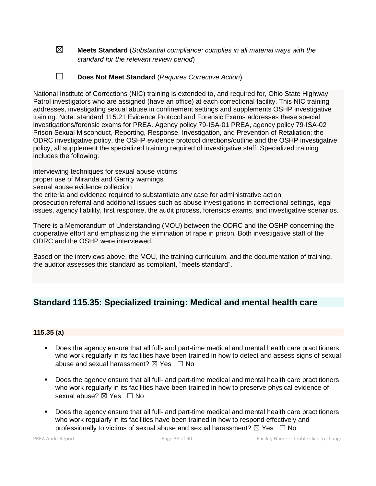- ☒ **Meets Standard** (*Substantial compliance; complies in all material ways with the standard for the relevant review period*)
- ☐ **Does Not Meet Standard** (*Requires Corrective Action*)

National Institute of Corrections (NIC) training is extended to, and required for, Ohio State Highway Patrol investigators who are assigned (have an office) at each correctional facility. This NIC training addresses, investigating sexual abuse in confinement settings and supplements OSHP investigative training. Note: standard 115.21 Evidence Protocol and Forensic Exams addresses these special investigations/forensic exams for PREA. Agency policy 79-ISA-01 PREA, agency policy 79-ISA-02 Prison Sexual Misconduct, Reporting, Response, Investigation, and Prevention of Retaliation; the ODRC investigative policy, the OSHP evidence protocol directions/outline and the OSHP investigative policy, all supplement the specialized training required of investigative staff. Specialized training includes the following:

interviewing techniques for sexual abuse victims proper use of Miranda and Garrity warnings sexual abuse evidence collection the criteria and evidence required to substantiate any case for administrative action prosecution referral and additional issues such as abuse investigations in correctional settings, legal issues, agency liability, first response, the audit process, forensics exams, and investigative scenarios.

There is a Memorandum of Understanding (MOU) between the ODRC and the OSHP concerning the cooperative effort and emphasizing the elimination of rape in prison. Both investigative staff of the ODRC and the OSHP were interviewed.

Based on the interviews above, the MOU, the training curriculum, and the documentation of training, the auditor assesses this standard as compliant, "meets standard".

### **Standard 115.35: Specialized training: Medical and mental health care**

### **115.35 (a)**

- Does the agency ensure that all full- and part-time medical and mental health care practitioners who work regularly in its facilities have been trained in how to detect and assess signs of sexual abuse and sexual harassment?  $\boxtimes$  Yes  $\Box$  No
- Does the agency ensure that all full- and part-time medical and mental health care practitioners who work regularly in its facilities have been trained in how to preserve physical evidence of sexual abuse? ⊠ Yes □ No
- Does the agency ensure that all full- and part-time medical and mental health care practitioners who work regularly in its facilities have been trained in how to respond effectively and professionally to victims of sexual abuse and sexual harassment?  $\boxtimes$  Yes  $\Box$  No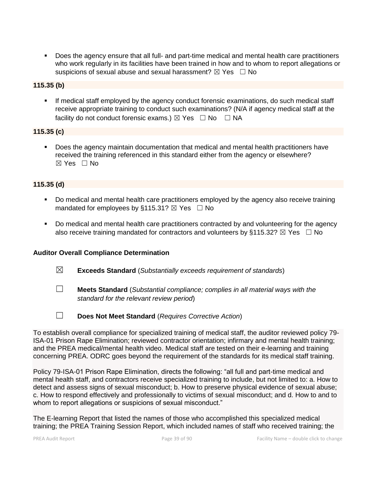Does the agency ensure that all full- and part-time medical and mental health care practitioners who work regularly in its facilities have been trained in how and to whom to report allegations or suspicions of sexual abuse and sexual harassment?  $\boxtimes$  Yes  $\Box$  No

### **115.35 (b)**

**EXED If medical staff employed by the agency conduct forensic examinations, do such medical staff** receive appropriate training to conduct such examinations? (N/A if agency medical staff at the facility do not conduct forensic exams.)  $\boxtimes$  Yes  $\Box$  No  $\Box$  NA

### **115.35 (c)**

Does the agency maintain documentation that medical and mental health practitioners have received the training referenced in this standard either from the agency or elsewhere?  $\boxtimes$  Yes  $\Box$  No

### **115.35 (d)**

- Do medical and mental health care practitioners employed by the agency also receive training mandated for employees by §115.31?  $\boxtimes$  Yes  $\Box$  No
- Do medical and mental health care practitioners contracted by and volunteering for the agency also receive training mandated for contractors and volunteers by §115.32?  $\boxtimes$  Yes  $\Box$  No

### **Auditor Overall Compliance Determination**

- ☒ **Exceeds Standard** (*Substantially exceeds requirement of standards*)
- ☐ **Meets Standard** (*Substantial compliance; complies in all material ways with the standard for the relevant review period*)
- ☐ **Does Not Meet Standard** (*Requires Corrective Action*)

To establish overall compliance for specialized training of medical staff, the auditor reviewed policy 79- ISA-01 Prison Rape Elimination; reviewed contractor orientation; infirmary and mental health training; and the PREA medical/mental health video. Medical staff are tested on their e-learning and training concerning PREA. ODRC goes beyond the requirement of the standards for its medical staff training.

Policy 79-ISA-01 Prison Rape Elimination, directs the following: "all full and part-time medical and mental health staff, and contractors receive specialized training to include, but not limited to: a. How to detect and assess signs of sexual misconduct; b. How to preserve physical evidence of sexual abuse; c. How to respond effectively and professionally to victims of sexual misconduct; and d. How to and to whom to report allegations or suspicions of sexual misconduct."

The E-learning Report that listed the names of those who accomplished this specialized medical training; the PREA Training Session Report, which included names of staff who received training; the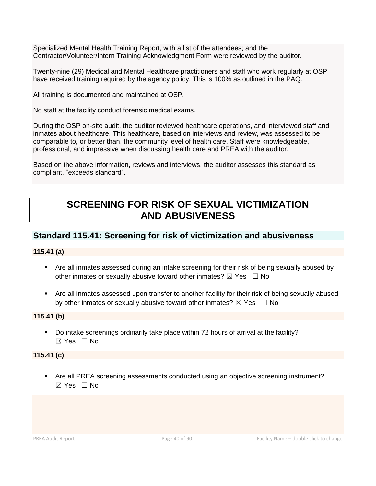Specialized Mental Health Training Report, with a list of the attendees; and the Contractor/Volunteer/Intern Training Acknowledgment Form were reviewed by the auditor.

Twenty-nine (29) Medical and Mental Healthcare practitioners and staff who work regularly at OSP have received training required by the agency policy. This is 100% as outlined in the PAQ.

All training is documented and maintained at OSP.

No staff at the facility conduct forensic medical exams.

During the OSP on-site audit, the auditor reviewed healthcare operations, and interviewed staff and inmates about healthcare. This healthcare, based on interviews and review, was assessed to be comparable to, or better than, the community level of health care. Staff were knowledgeable, professional, and impressive when discussing health care and PREA with the auditor.

Based on the above information, reviews and interviews, the auditor assesses this standard as compliant, "exceeds standard".

# **SCREENING FOR RISK OF SEXUAL VICTIMIZATION AND ABUSIVENESS**

### **Standard 115.41: Screening for risk of victimization and abusiveness**

### **115.41 (a)**

- Are all inmates assessed during an intake screening for their risk of being sexually abused by other inmates or sexually abusive toward other inmates?  $\boxtimes$  Yes  $\Box$  No
- **EXT** Are all inmates assessed upon transfer to another facility for their risk of being sexually abused by other inmates or sexually abusive toward other inmates?  $\boxtimes$  Yes  $\Box$  No

### **115.41 (b)**

▪ Do intake screenings ordinarily take place within 72 hours of arrival at the facility? ☒ Yes ☐ No

### **115.41 (c)**

■ Are all PREA screening assessments conducted using an objective screening instrument? ☒ Yes ☐ No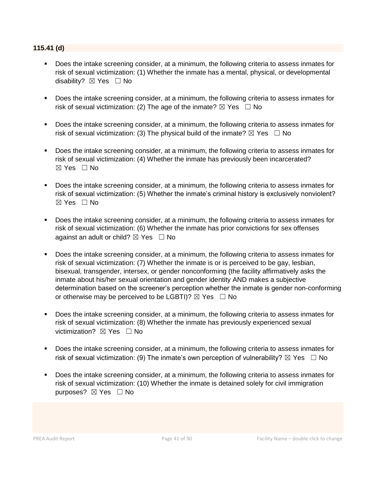### **115.41 (d)**

- Does the intake screening consider, at a minimum, the following criteria to assess inmates for risk of sexual victimization: (1) Whether the inmate has a mental, physical, or developmental disability? ⊠ Yes □ No
- Does the intake screening consider, at a minimum, the following criteria to assess inmates for risk of sexual victimization: (2) The age of the inmate?  $\boxtimes$  Yes  $\Box$  No
- Does the intake screening consider, at a minimum, the following criteria to assess inmates for risk of sexual victimization: (3) The physical build of the inmate?  $\boxtimes$  Yes  $\Box$  No
- Does the intake screening consider, at a minimum, the following criteria to assess inmates for risk of sexual victimization: (4) Whether the inmate has previously been incarcerated? ☒ Yes ☐ No
- Does the intake screening consider, at a minimum, the following criteria to assess inmates for risk of sexual victimization: (5) Whether the inmate's criminal history is exclusively nonviolent? ☒ Yes ☐ No
- Does the intake screening consider, at a minimum, the following criteria to assess inmates for risk of sexual victimization: (6) Whether the inmate has prior convictions for sex offenses against an adult or child?  $\boxtimes$  Yes  $\Box$  No
- Does the intake screening consider, at a minimum, the following criteria to assess inmates for risk of sexual victimization: (7) Whether the inmate is or is perceived to be gay, lesbian, bisexual, transgender, intersex, or gender nonconforming (the facility affirmatively asks the inmate about his/her sexual orientation and gender identity AND makes a subjective determination based on the screener's perception whether the inmate is gender non-conforming or otherwise may be perceived to be LGBTI)?  $\boxtimes$  Yes  $\Box$  No
- Does the intake screening consider, at a minimum, the following criteria to assess inmates for risk of sexual victimization: (8) Whether the inmate has previously experienced sexual victimization? **⊠** Yes □ No
- Does the intake screening consider, at a minimum, the following criteria to assess inmates for risk of sexual victimization: (9) The inmate's own perception of vulnerability?  $\boxtimes$  Yes  $\Box$  No
- Does the intake screening consider, at a minimum, the following criteria to assess inmates for risk of sexual victimization: (10) Whether the inmate is detained solely for civil immigration purposes? ⊠ Yes □ No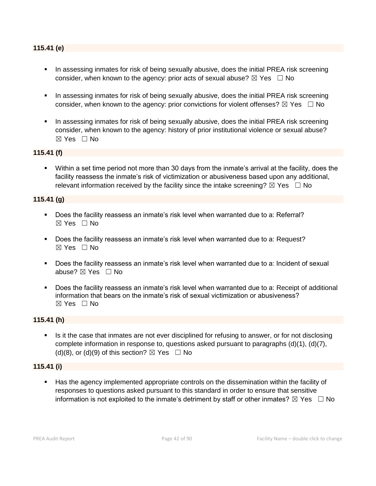### **115.41 (e)**

- In assessing inmates for risk of being sexually abusive, does the initial PREA risk screening consider, when known to the agency: prior acts of sexual abuse?  $\boxtimes$  Yes  $\Box$  No
- **■** In assessing inmates for risk of being sexually abusive, does the initial PREA risk screening consider, when known to the agency: prior convictions for violent offenses?  $\boxtimes$  Yes  $\Box$  No
- **•** In assessing inmates for risk of being sexually abusive, does the initial PREA risk screening consider, when known to the agency: history of prior institutional violence or sexual abuse? ☒ Yes ☐ No

### **115.41 (f)**

▪ Within a set time period not more than 30 days from the inmate's arrival at the facility, does the facility reassess the inmate's risk of victimization or abusiveness based upon any additional, relevant information received by the facility since the intake screening?  $\boxtimes$  Yes  $\Box$  No

#### **115.41 (g)**

- Does the facility reassess an inmate's risk level when warranted due to a: Referral? ☒ Yes ☐ No
- Does the facility reassess an inmate's risk level when warranted due to a: Request?  $\boxtimes$  Yes  $\Box$  No
- Does the facility reassess an inmate's risk level when warranted due to a: Incident of sexual abuse? ⊠ Yes □ No
- Does the facility reassess an inmate's risk level when warranted due to a: Receipt of additional information that bears on the inmate's risk of sexual victimization or abusiveness?  $\boxtimes$  Yes  $\Box$  No

#### **115.41 (h)**

Is it the case that inmates are not ever disciplined for refusing to answer, or for not disclosing complete information in response to, questions asked pursuant to paragraphs (d)(1), (d)(7), (d)(8), or (d)(9) of this section?  $\boxtimes$  Yes  $\Box$  No

#### **115.41 (i)**

Has the agency implemented appropriate controls on the dissemination within the facility of responses to questions asked pursuant to this standard in order to ensure that sensitive information is not exploited to the inmate's detriment by staff or other inmates?  $\boxtimes$  Yes  $\Box$  No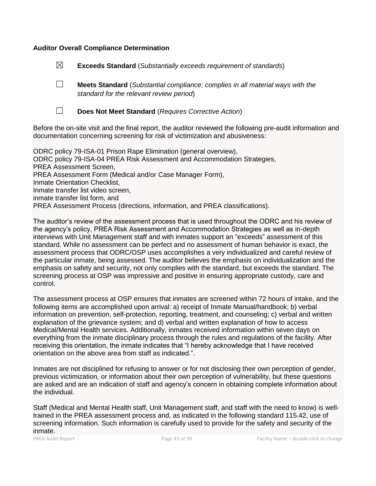### **Auditor Overall Compliance Determination**

☒ **Exceeds Standard** (*Substantially exceeds requirement of standards*)

☐ **Meets Standard** (*Substantial compliance; complies in all material ways with the standard for the relevant review period*)



☐ **Does Not Meet Standard** (*Requires Corrective Action*)

Before the on-site visit and the final report, the auditor reviewed the following pre-audit information and documentation concerning screening for risk of victimization and abusiveness:

ODRC policy 79-ISA-01 Prison Rape Elimination (general overview), ODRC policy 79-ISA-04 PREA Risk Assessment and Accommodation Strategies, PREA Assessment Screen, PREA Assessment Form (Medical and/or Case Manager Form), Inmate Orientation Checklist, Inmate transfer list video screen, inmate transfer list form, and PREA Assessment Process (directions, information, and PREA classifications).

The auditor's review of the assessment process that is used throughout the ODRC and his review of the agency's policy, PREA Risk Assessment and Accommodation Strategies as well as in-depth interviews with Unit Management staff and with inmates support an "exceeds" assessment of this standard. While no assessment can be perfect and no assessment of human behavior is exact, the assessment process that ODRC/OSP uses accomplishes a very individualized and careful review of the particular inmate, being assessed. The auditor believes the emphasis on individualization and the emphasis on safety and security, not only complies with the standard, but exceeds the standard. The screening process at OSP was impressive and positive in ensuring appropriate custody, care and control.

The assessment process at OSP ensures that inmates are screened within 72 hours of intake, and the following items are accomplished upon arrival: a) receipt of Inmate Manual/handbook; b) verbal information on prevention, self-protection, reporting, treatment, and counseling; c) verbal and written explanation of the grievance system; and d) verbal and written explanation of how to access Medical/Mental Health services. Additionally, inmates received information within seven days on everything from the inmate disciplinary process through the rules and regulations of the facility. After receiving this orientation, the inmate indicates that "I hereby acknowledge that I have received orientation on the above area from staff as indicated.".

Inmates are not disciplined for refusing to answer or for not disclosing their own perception of gender, previous victimization, or information about their own perception of vulnerability, but these questions are asked and are an indication of staff and agency's concern in obtaining complete information about the individual.

Staff (Medical and Mental Health staff, Unit Management staff, and staff with the need to know) is welltrained in the PREA assessment process and, as indicated in the following standard 115.42, use of screening information. Such information is carefully used to provide for the safety and security of the inmate.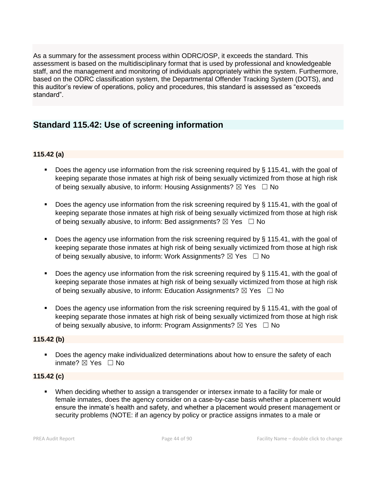As a summary for the assessment process within ODRC/OSP, it exceeds the standard. This assessment is based on the multidisciplinary format that is used by professional and knowledgeable staff, and the management and monitoring of individuals appropriately within the system. Furthermore, based on the ODRC classification system, the Departmental Offender Tracking System (DOTS), and this auditor's review of operations, policy and procedures, this standard is assessed as "exceeds standard".

### **Standard 115.42: Use of screening information**

### **115.42 (a)**

- **Does the agency use information from the risk screening required by**  $\S$  **115.41, with the goal of** keeping separate those inmates at high risk of being sexually victimized from those at high risk of being sexually abusive, to inform: Housing Assignments?  $\boxtimes$  Yes  $\Box$  No
- **•** Does the agency use information from the risk screening required by  $\S$  115.41, with the goal of keeping separate those inmates at high risk of being sexually victimized from those at high risk of being sexually abusive, to inform: Bed assignments?  $\boxtimes$  Yes  $\Box$  No
- Does the agency use information from the risk screening required by § 115.41, with the goal of keeping separate those inmates at high risk of being sexually victimized from those at high risk of being sexually abusive, to inform: Work Assignments?  $\boxtimes$  Yes  $\Box$  No
- **•** Does the agency use information from the risk screening required by  $\S$  115.41, with the goal of keeping separate those inmates at high risk of being sexually victimized from those at high risk of being sexually abusive, to inform: Education Assignments?  $\boxtimes$  Yes  $\Box$  No
- **•** Does the agency use information from the risk screening required by  $\S$  115.41, with the goal of keeping separate those inmates at high risk of being sexually victimized from those at high risk of being sexually abusive, to inform: Program Assignments?  $\boxtimes$  Yes  $\Box$  No

### **115.42 (b)**

■ Does the agency make individualized determinations about how to ensure the safety of each inmate? ⊠ Yes □ No

### **115.42 (c)**

▪ When deciding whether to assign a transgender or intersex inmate to a facility for male or female inmates, does the agency consider on a case-by-case basis whether a placement would ensure the inmate's health and safety, and whether a placement would present management or security problems (NOTE: if an agency by policy or practice assigns inmates to a male or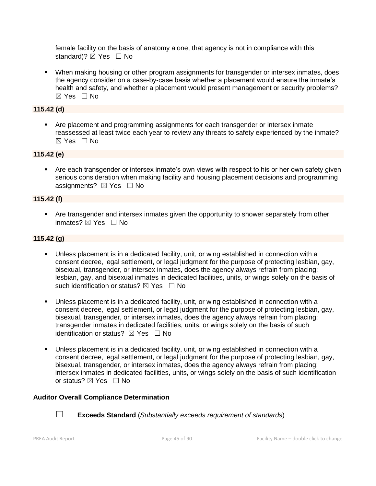female facility on the basis of anatomy alone, that agency is not in compliance with this standard)?  $\boxtimes$  Yes  $\Box$  No

■ When making housing or other program assignments for transgender or intersex inmates, does the agency consider on a case-by-case basis whether a placement would ensure the inmate's health and safety, and whether a placement would present management or security problems?  $\boxtimes$  Yes  $\Box$  No

### **115.42 (d)**

**• Are placement and programming assignments for each transgender or intersex inmate** reassessed at least twice each year to review any threats to safety experienced by the inmate?  $\boxtimes$  Yes  $\Box$  No

### **115.42 (e)**

■ Are each transgender or intersex inmate's own views with respect to his or her own safety given serious consideration when making facility and housing placement decisions and programming assignments?  $\boxtimes$  Yes  $\Box$  No

### **115.42 (f)**

**• Are transgender and intersex inmates given the opportunity to shower separately from other** inmates? ⊠ Yes □ No

### **115.42 (g)**

- Unless placement is in a dedicated facility, unit, or wing established in connection with a consent decree, legal settlement, or legal judgment for the purpose of protecting lesbian, gay, bisexual, transgender, or intersex inmates, does the agency always refrain from placing: lesbian, gay, and bisexual inmates in dedicated facilities, units, or wings solely on the basis of such identification or status?  $\boxtimes$  Yes  $\Box$  No
- Unless placement is in a dedicated facility, unit, or wing established in connection with a consent decree, legal settlement, or legal judgment for the purpose of protecting lesbian, gay, bisexual, transgender, or intersex inmates, does the agency always refrain from placing: transgender inmates in dedicated facilities, units, or wings solely on the basis of such identification or status?  $\boxtimes$  Yes  $\Box$  No
- Unless placement is in a dedicated facility, unit, or wing established in connection with a consent decree, legal settlement, or legal judgment for the purpose of protecting lesbian, gay, bisexual, transgender, or intersex inmates, does the agency always refrain from placing: intersex inmates in dedicated facilities, units, or wings solely on the basis of such identification or status?  $\boxtimes$  Yes  $\Box$  No

### **Auditor Overall Compliance Determination**



☐ **Exceeds Standard** (*Substantially exceeds requirement of standards*)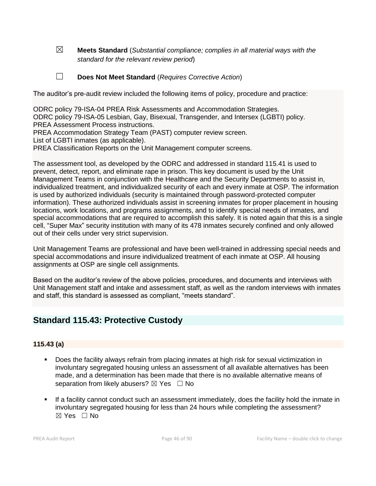☒ **Meets Standard** (*Substantial compliance; complies in all material ways with the standard for the relevant review period*)

☐ **Does Not Meet Standard** (*Requires Corrective Action*)

The auditor's pre-audit review included the following items of policy, procedure and practice:

ODRC policy 79-ISA-04 PREA Risk Assessments and Accommodation Strategies. ODRC policy 79-ISA-05 Lesbian, Gay, Bisexual, Transgender, and Intersex (LGBTI) policy. PREA Assessment Process instructions.

PREA Accommodation Strategy Team (PAST) computer review screen.

List of LGBTI inmates (as applicable).

PREA Classification Reports on the Unit Management computer screens.

The assessment tool, as developed by the ODRC and addressed in standard 115.41 is used to prevent, detect, report, and eliminate rape in prison. This key document is used by the Unit Management Teams in conjunction with the Healthcare and the Security Departments to assist in, individualized treatment, and individualized security of each and every inmate at OSP. The information is used by authorized individuals (security is maintained through password-protected computer information). These authorized individuals assist in screening inmates for proper placement in housing locations, work locations, and programs assignments, and to identify special needs of inmates, and special accommodations that are required to accomplish this safely. It is noted again that this is a single cell, "Super Max" security institution with many of its 478 inmates securely confined and only allowed out of their cells under very strict supervision.

Unit Management Teams are professional and have been well-trained in addressing special needs and special accommodations and insure individualized treatment of each inmate at OSP. All housing assignments at OSP are single cell assignments.

Based on the auditor's review of the above policies, procedures, and documents and interviews with Unit Management staff and intake and assessment staff, as well as the random interviews with inmates and staff, this standard is assessed as compliant, "meets standard".

### **Standard 115.43: Protective Custody**

### **115.43 (a)**

- Does the facility always refrain from placing inmates at high risk for sexual victimization in involuntary segregated housing unless an assessment of all available alternatives has been made, and a determination has been made that there is no available alternative means of separation from likely abusers?  $\boxtimes$  Yes  $\Box$  No
- If a facility cannot conduct such an assessment immediately, does the facility hold the inmate in involuntary segregated housing for less than 24 hours while completing the assessment?  $\boxtimes$  Yes  $\Box$  No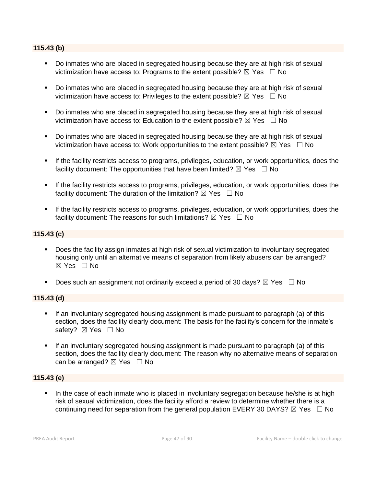### **115.43 (b)**

- Do inmates who are placed in segregated housing because they are at high risk of sexual victimization have access to: Programs to the extent possible?  $\boxtimes$  Yes  $\Box$  No
- Do inmates who are placed in segregated housing because they are at high risk of sexual victimization have access to: Privileges to the extent possible?  $\boxtimes$  Yes  $\Box$  No
- Do inmates who are placed in segregated housing because they are at high risk of sexual victimization have access to: Education to the extent possible?  $\boxtimes$  Yes  $\Box$  No
- Do inmates who are placed in segregated housing because they are at high risk of sexual victimization have access to: Work opportunities to the extent possible?  $\boxtimes$  Yes  $\Box$  No
- **EXECT** If the facility restricts access to programs, privileges, education, or work opportunities, does the facility document: The opportunities that have been limited?  $\boxtimes$  Yes  $\Box$  No
- **•** If the facility restricts access to programs, privileges, education, or work opportunities, does the facility document: The duration of the limitation?  $\boxtimes$  Yes  $\Box$  No
- If the facility restricts access to programs, privileges, education, or work opportunities, does the facility document: The reasons for such limitations?  $\boxtimes$  Yes  $\Box$  No

### **115.43 (c)**

- Does the facility assign inmates at high risk of sexual victimization to involuntary segregated housing only until an alternative means of separation from likely abusers can be arranged? ☒ Yes ☐ No
- **•** Does such an assignment not ordinarily exceed a period of 30 days?  $\boxtimes$  Yes  $\Box$  No

### **115.43 (d)**

- If an involuntary segregated housing assignment is made pursuant to paragraph (a) of this section, does the facility clearly document: The basis for the facility's concern for the inmate's safety? ⊠ Yes □ No
- If an involuntary segregated housing assignment is made pursuant to paragraph (a) of this section, does the facility clearly document: The reason why no alternative means of separation can be arranged?  $\boxtimes$  Yes  $\Box$  No

### **115.43 (e)**

In the case of each inmate who is placed in involuntary segregation because he/she is at high risk of sexual victimization, does the facility afford a review to determine whether there is a continuing need for separation from the general population EVERY 30 DAYS?  $\boxtimes$  Yes  $\Box$  No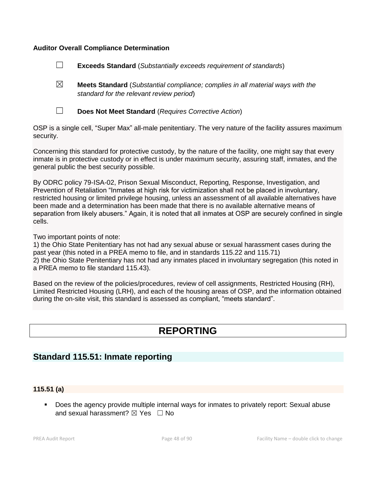### **Auditor Overall Compliance Determination**

- ☐ **Exceeds Standard** (*Substantially exceeds requirement of standards*)
- ☒ **Meets Standard** (*Substantial compliance; complies in all material ways with the standard for the relevant review period*)



☐ **Does Not Meet Standard** (*Requires Corrective Action*)

OSP is a single cell, "Super Max" all-male penitentiary. The very nature of the facility assures maximum security.

Concerning this standard for protective custody, by the nature of the facility, one might say that every inmate is in protective custody or in effect is under maximum security, assuring staff, inmates, and the general public the best security possible.

By ODRC policy 79-ISA-02, Prison Sexual Misconduct, Reporting, Response, Investigation, and Prevention of Retaliation "Inmates at high risk for victimization shall not be placed in involuntary, restricted housing or limited privilege housing, unless an assessment of all available alternatives have been made and a determination has been made that there is no available alternative means of separation from likely abusers." Again, it is noted that all inmates at OSP are securely confined in single cells.

Two important points of note:

1) the Ohio State Penitentiary has not had any sexual abuse or sexual harassment cases during the past year (this noted in a PREA memo to file, and in standards 115.22 and 115.71) 2) the Ohio State Penitentiary has not had any inmates placed in involuntary segregation (this noted in a PREA memo to file standard 115.43).

Based on the review of the policies/procedures, review of cell assignments, Restricted Housing (RH), Limited Restricted Housing (LRH), and each of the housing areas of OSP, and the information obtained during the on-site visit, this standard is assessed as compliant, "meets standard".

# **REPORTING**

### **Standard 115.51: Inmate reporting**

### **115.51 (a)**

▪ Does the agency provide multiple internal ways for inmates to privately report: Sexual abuse and sexual harassment?  $\boxtimes$  Yes  $\Box$  No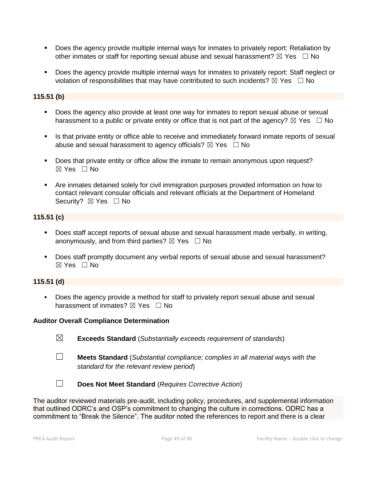- Does the agency provide multiple internal ways for inmates to privately report: Retaliation by other inmates or staff for reporting sexual abuse and sexual harassment?  $\boxtimes$  Yes  $\Box$  No
- Does the agency provide multiple internal ways for inmates to privately report: Staff neglect or violation of responsibilities that may have contributed to such incidents?  $\boxtimes$  Yes  $\Box$  No

### **115.51 (b)**

- Does the agency also provide at least one way for inmates to report sexual abuse or sexual harassment to a public or private entity or office that is not part of the agency?  $\boxtimes$  Yes  $\Box$  No
- **.** Is that private entity or office able to receive and immediately forward inmate reports of sexual abuse and sexual harassment to agency officials?  $\boxtimes$  Yes  $\Box$  No
- Does that private entity or office allow the inmate to remain anonymous upon request? ☒ Yes ☐ No
- Are inmates detained solely for civil immigration purposes provided information on how to contact relevant consular officials and relevant officials at the Department of Homeland Security? ⊠ Yes □ No

### **115.51 (c)**

- Does staff accept reports of sexual abuse and sexual harassment made verbally, in writing, anonymously, and from third parties?  $\boxtimes$  Yes  $\Box$  No
- Does staff promptly document any verbal reports of sexual abuse and sexual harassment? ☒ Yes ☐ No

### **115.51 (d)**

Does the agency provide a method for staff to privately report sexual abuse and sexual harassment of inmates?  $\boxtimes$  Yes  $\Box$  No

### **Auditor Overall Compliance Determination**

- ☒ **Exceeds Standard** (*Substantially exceeds requirement of standards*)
- ☐ **Meets Standard** (*Substantial compliance; complies in all material ways with the standard for the relevant review period*)
- 
- ☐ **Does Not Meet Standard** (*Requires Corrective Action*)

The auditor reviewed materials pre-audit, including policy, procedures, and supplemental information that outlined ODRC's and OSP's commitment to changing the culture in corrections. ODRC has a commitment to "Break the Silence". The auditor noted the references to report and there is a clear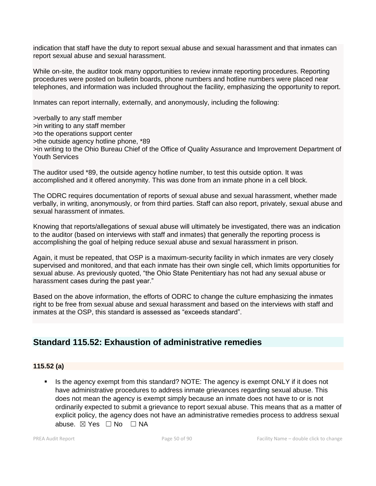indication that staff have the duty to report sexual abuse and sexual harassment and that inmates can report sexual abuse and sexual harassment.

While on-site, the auditor took many opportunities to review inmate reporting procedures. Reporting procedures were posted on bulletin boards, phone numbers and hotline numbers were placed near telephones, and information was included throughout the facility, emphasizing the opportunity to report.

Inmates can report internally, externally, and anonymously, including the following:

>verbally to any staff member >in writing to any staff member >to the operations support center >the outside agency hotline phone, \*89 >in writing to the Ohio Bureau Chief of the Office of Quality Assurance and Improvement Department of Youth Services

The auditor used \*89, the outside agency hotline number, to test this outside option. It was accomplished and it offered anonymity. This was done from an inmate phone in a cell block.

The ODRC requires documentation of reports of sexual abuse and sexual harassment, whether made verbally, in writing, anonymously, or from third parties. Staff can also report, privately, sexual abuse and sexual harassment of inmates.

Knowing that reports/allegations of sexual abuse will ultimately be investigated, there was an indication to the auditor (based on interviews with staff and inmates) that generally the reporting process is accomplishing the goal of helping reduce sexual abuse and sexual harassment in prison.

Again, it must be repeated, that OSP is a maximum-security facility in which inmates are very closely supervised and monitored, and that each inmate has their own single cell, which limits opportunities for sexual abuse. As previously quoted, "the Ohio State Penitentiary has not had any sexual abuse or harassment cases during the past year."

Based on the above information, the efforts of ODRC to change the culture emphasizing the inmates right to be free from sexual abuse and sexual harassment and based on the interviews with staff and inmates at the OSP, this standard is assessed as "exceeds standard".

## **Standard 115.52: Exhaustion of administrative remedies**

### **115.52 (a)**

Is the agency exempt from this standard? NOTE: The agency is exempt ONLY if it does not have administrative procedures to address inmate grievances regarding sexual abuse. This does not mean the agency is exempt simply because an inmate does not have to or is not ordinarily expected to submit a grievance to report sexual abuse. This means that as a matter of explicit policy, the agency does not have an administrative remedies process to address sexual abuse. ⊠ Yes □ No □ NA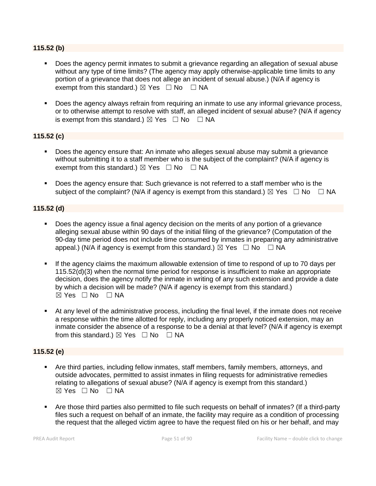### **115.52 (b)**

- Does the agency permit inmates to submit a grievance regarding an allegation of sexual abuse without any type of time limits? (The agency may apply otherwise-applicable time limits to any portion of a grievance that does not allege an incident of sexual abuse.) (N/A if agency is exempt from this standard.)  $\boxtimes$  Yes  $\Box$  No  $\Box$  NA
- Does the agency always refrain from requiring an inmate to use any informal grievance process, or to otherwise attempt to resolve with staff, an alleged incident of sexual abuse? (N/A if agency is exempt from this standard.)  $\boxtimes$  Yes  $\Box$  No  $\Box$  NA

### **115.52 (c)**

- Does the agency ensure that: An inmate who alleges sexual abuse may submit a grievance without submitting it to a staff member who is the subject of the complaint? (N/A if agency is exempt from this standard.)  $\boxtimes$  Yes  $\Box$  No  $\Box$  NA
- Does the agency ensure that: Such grievance is not referred to a staff member who is the subject of the complaint? (N/A if agency is exempt from this standard.)  $\boxtimes$  Yes  $\Box$  No  $\Box$  NA

### **115.52 (d)**

- Does the agency issue a final agency decision on the merits of any portion of a grievance alleging sexual abuse within 90 days of the initial filing of the grievance? (Computation of the 90-day time period does not include time consumed by inmates in preparing any administrative appeal.) (N/A if agency is exempt from this standard.)  $\boxtimes$  Yes  $\Box$  No  $\Box$  NA
- **.** If the agency claims the maximum allowable extension of time to respond of up to 70 days per 115.52(d)(3) when the normal time period for response is insufficient to make an appropriate decision, does the agency notify the inmate in writing of any such extension and provide a date by which a decision will be made? (N/A if agency is exempt from this standard.)  $\boxtimes$  Yes  $\Box$  No  $\Box$  NA
- At any level of the administrative process, including the final level, if the inmate does not receive a response within the time allotted for reply, including any properly noticed extension, may an inmate consider the absence of a response to be a denial at that level? (N/A if agency is exempt from this standard.)  $\boxtimes$  Yes  $\Box$  No  $\Box$  NA

### **115.52 (e)**

- Are third parties, including fellow inmates, staff members, family members, attorneys, and outside advocates, permitted to assist inmates in filing requests for administrative remedies relating to allegations of sexual abuse? (N/A if agency is exempt from this standard.)  $\boxtimes$  Yes  $\Box$  No  $\Box$  NA
- Are those third parties also permitted to file such requests on behalf of inmates? (If a third-party files such a request on behalf of an inmate, the facility may require as a condition of processing the request that the alleged victim agree to have the request filed on his or her behalf, and may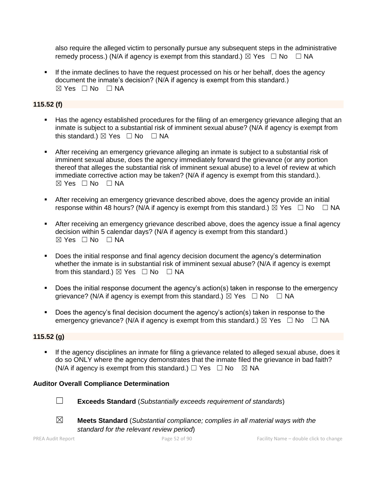also require the alleged victim to personally pursue any subsequent steps in the administrative remedy process.) (N/A if agency is exempt from this standard.)  $\boxtimes$  Yes  $\Box$  No  $\Box$  NA

**.** If the inmate declines to have the request processed on his or her behalf, does the agency document the inmate's decision? (N/A if agency is exempt from this standard.)  $\boxtimes$  Yes  $\Box$  No  $\Box$  NA

### **115.52 (f)**

- **■** Has the agency established procedures for the filing of an emergency grievance alleging that an inmate is subject to a substantial risk of imminent sexual abuse? (N/A if agency is exempt from this standard.)  $\boxtimes$  Yes  $\Box$  No  $\Box$  NA
- **EXECT** After receiving an emergency grievance alleging an inmate is subject to a substantial risk of imminent sexual abuse, does the agency immediately forward the grievance (or any portion thereof that alleges the substantial risk of imminent sexual abuse) to a level of review at which immediate corrective action may be taken? (N/A if agency is exempt from this standard.).  $\boxtimes$  Yes  $\Box$  No  $\Box$  NA
- **EXECT** After receiving an emergency grievance described above, does the agency provide an initial response within 48 hours? (N/A if agency is exempt from this standard.)  $\boxtimes$  Yes  $\Box$  No  $\Box$  NA
- **EXECT** After receiving an emergency grievance described above, does the agency issue a final agency decision within 5 calendar days? (N/A if agency is exempt from this standard.) ☒ Yes ☐ No ☐ NA
- Does the initial response and final agency decision document the agency's determination whether the inmate is in substantial risk of imminent sexual abuse? (N/A if agency is exempt from this standard.)  $\boxtimes$  Yes  $\Box$  No  $\Box$  NA
- Does the initial response document the agency's action(s) taken in response to the emergency grievance? (N/A if agency is exempt from this standard.)  $\boxtimes$  Yes  $\Box$  No  $\Box$  NA
- Does the agency's final decision document the agency's action(s) taken in response to the emergency grievance? (N/A if agency is exempt from this standard.)  $\boxtimes$  Yes  $\Box$  No  $\Box$  NA

#### **115.52 (g)**

**.** If the agency disciplines an inmate for filing a grievance related to alleged sexual abuse, does it do so ONLY where the agency demonstrates that the inmate filed the grievance in bad faith? (N/A if agency is exempt from this standard.)  $\Box$  Yes  $\Box$  No  $\boxtimes$  NA

### **Auditor Overall Compliance Determination**



☐ **Exceeds Standard** (*Substantially exceeds requirement of standards*)





☒ **Meets Standard** (*Substantial compliance; complies in all material ways with the standard for the relevant review period*)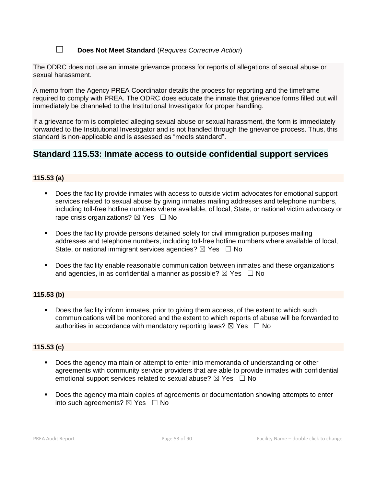☐ **Does Not Meet Standard** (*Requires Corrective Action*)

The ODRC does not use an inmate grievance process for reports of allegations of sexual abuse or sexual harassment.

A memo from the Agency PREA Coordinator details the process for reporting and the timeframe required to comply with PREA. The ODRC does educate the inmate that grievance forms filled out will immediately be channeled to the Institutional Investigator for proper handling.

If a grievance form is completed alleging sexual abuse or sexual harassment, the form is immediately forwarded to the Institutional Investigator and is not handled through the grievance process. Thus, this standard is non-applicable and is assessed as "meets standard".

### **Standard 115.53: Inmate access to outside confidential support services**

### **115.53 (a)**

- Does the facility provide inmates with access to outside victim advocates for emotional support services related to sexual abuse by giving inmates mailing addresses and telephone numbers, including toll-free hotline numbers where available, of local, State, or national victim advocacy or rape crisis organizations?  $\boxtimes$  Yes  $\Box$  No
- Does the facility provide persons detained solely for civil immigration purposes mailing addresses and telephone numbers, including toll-free hotline numbers where available of local, State, or national immigrant services agencies?  $\boxtimes$  Yes  $\Box$  No
- Does the facility enable reasonable communication between inmates and these organizations and agencies, in as confidential a manner as possible?  $\boxtimes$  Yes  $\Box$  No

### **115.53 (b)**

■ Does the facility inform inmates, prior to giving them access, of the extent to which such communications will be monitored and the extent to which reports of abuse will be forwarded to authorities in accordance with mandatory reporting laws?  $\boxtimes$  Yes  $\Box$  No

### **115.53 (c)**

- **•** Does the agency maintain or attempt to enter into memoranda of understanding or other agreements with community service providers that are able to provide inmates with confidential emotional support services related to sexual abuse?  $\boxtimes$  Yes  $\Box$  No
- Does the agency maintain copies of agreements or documentation showing attempts to enter into such agreements?  $\boxtimes$  Yes  $\Box$  No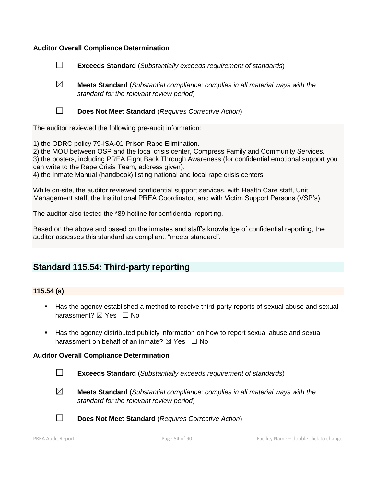### **Auditor Overall Compliance Determination**

- ☐ **Exceeds Standard** (*Substantially exceeds requirement of standards*)
- ☒ **Meets Standard** (*Substantial compliance; complies in all material ways with the standard for the relevant review period*)
- 
- ☐ **Does Not Meet Standard** (*Requires Corrective Action*)

The auditor reviewed the following pre-audit information:

1) the ODRC policy 79-ISA-01 Prison Rape Elimination.

2) the MOU between OSP and the local crisis center, Compress Family and Community Services. 3) the posters, including PREA Fight Back Through Awareness (for confidential emotional support you can write to the Rape Crisis Team, address given).

4) the Inmate Manual (handbook) listing national and local rape crisis centers.

While on-site, the auditor reviewed confidential support services, with Health Care staff, Unit Management staff, the Institutional PREA Coordinator, and with Victim Support Persons (VSP's).

The auditor also tested the \*89 hotline for confidential reporting.

Based on the above and based on the inmates and staff's knowledge of confidential reporting, the auditor assesses this standard as compliant, "meets standard".

### **Standard 115.54: Third-party reporting**

### **115.54 (a)**

- Has the agency established a method to receive third-party reports of sexual abuse and sexual harassment? ⊠ Yes □ No
- Has the agency distributed publicly information on how to report sexual abuse and sexual harassment on behalf of an inmate?  $\boxtimes$  Yes  $\Box$  No

#### **Auditor Overall Compliance Determination**

- ☐ **Exceeds Standard** (*Substantially exceeds requirement of standards*)
- ☒ **Meets Standard** (*Substantial compliance; complies in all material ways with the standard for the relevant review period*)
- 
- ☐ **Does Not Meet Standard** (*Requires Corrective Action*)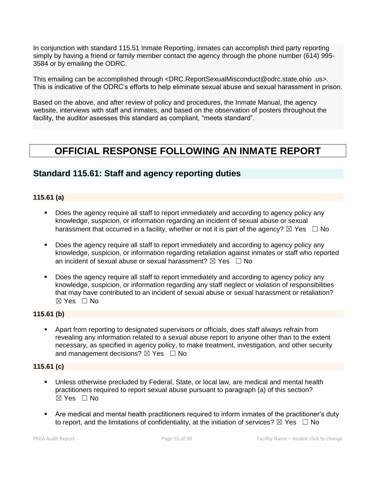In conjunction with standard 115.51 Inmate Reporting, inmates can accomplish third party reporting simply by having a friend or family member contact the agency through the phone number (614) 995- 3584 or by emailing the ODRC.

This emailing can be accomplished through <DRC.ReportSexualMisconduct@odrc.state.ohio .us>. This is indicative of the ODRC's efforts to help eliminate sexual abuse and sexual harassment in prison.

Based on the above, and after review of policy and procedures, the Inmate Manual, the agency website, interviews with staff and inmates, and based on the observation of posters throughout the facility, the auditor assesses this standard as compliant, "meets standard".

# **OFFICIAL RESPONSE FOLLOWING AN INMATE REPORT**

### **Standard 115.61: Staff and agency reporting duties**

### **115.61 (a)**

- Does the agency require all staff to report immediately and according to agency policy any knowledge, suspicion, or information regarding an incident of sexual abuse or sexual harassment that occurred in a facility, whether or not it is part of the agency?  $\boxtimes$  Yes  $\Box$  No
- **•** Does the agency require all staff to report immediately and according to agency policy any knowledge, suspicion, or information regarding retaliation against inmates or staff who reported an incident of sexual abuse or sexual harassment?  $\boxtimes$  Yes  $\Box$  No
- Does the agency require all staff to report immediately and according to agency policy any knowledge, suspicion, or information regarding any staff neglect or violation of responsibilities that may have contributed to an incident of sexual abuse or sexual harassment or retaliation? ☒ Yes ☐ No

### **115.61 (b)**

Apart from reporting to designated supervisors or officials, does staff always refrain from revealing any information related to a sexual abuse report to anyone other than to the extent necessary, as specified in agency policy, to make treatment, investigation, and other security and management decisions?  $\boxtimes$  Yes  $\Box$  No

#### **115.61 (c)**

- Unless otherwise precluded by Federal, State, or local law, are medical and mental health practitioners required to report sexual abuse pursuant to paragraph (a) of this section? ☒ Yes ☐ No
- Are medical and mental health practitioners required to inform inmates of the practitioner's duty to report, and the limitations of confidentiality, at the initiation of services?  $\boxtimes$  Yes  $\Box$  No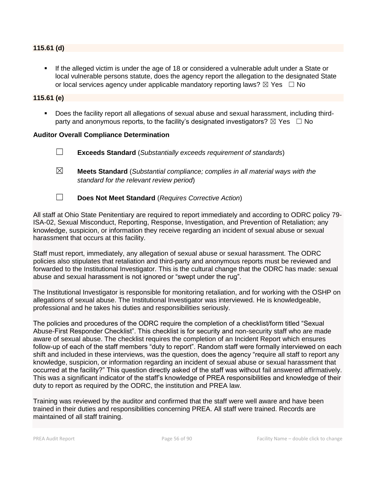#### **115.61 (d)**

**.** If the alleged victim is under the age of 18 or considered a vulnerable adult under a State or local vulnerable persons statute, does the agency report the allegation to the designated State or local services agency under applicable mandatory reporting laws?  $\boxtimes$  Yes  $\Box$  No

#### **115.61 (e)**

Does the facility report all allegations of sexual abuse and sexual harassment, including thirdparty and anonymous reports, to the facility's designated investigators?  $\boxtimes$  Yes  $\Box$  No

#### **Auditor Overall Compliance Determination**

- ☐ **Exceeds Standard** (*Substantially exceeds requirement of standards*)
- ☒ **Meets Standard** (*Substantial compliance; complies in all material ways with the standard for the relevant review period*)
- ☐ **Does Not Meet Standard** (*Requires Corrective Action*)

All staff at Ohio State Penitentiary are required to report immediately and according to ODRC policy 79- ISA-02, Sexual Misconduct, Reporting, Response, Investigation, and Prevention of Retaliation; any knowledge, suspicion, or information they receive regarding an incident of sexual abuse or sexual harassment that occurs at this facility.

Staff must report, immediately, any allegation of sexual abuse or sexual harassment. The ODRC policies also stipulates that retaliation and third-party and anonymous reports must be reviewed and forwarded to the Institutional Investigator. This is the cultural change that the ODRC has made: sexual abuse and sexual harassment is not ignored or "swept under the rug".

The Institutional Investigator is responsible for monitoring retaliation, and for working with the OSHP on allegations of sexual abuse. The Institutional Investigator was interviewed. He is knowledgeable, professional and he takes his duties and responsibilities seriously.

The policies and procedures of the ODRC require the completion of a checklist/form titled "Sexual Abuse-First Responder Checklist". This checklist is for security and non-security staff who are made aware of sexual abuse. The checklist requires the completion of an Incident Report which ensures follow-up of each of the staff members "duty to report". Random staff were formally interviewed on each shift and included in these interviews, was the question, does the agency "require all staff to report any knowledge, suspicion, or information regarding an incident of sexual abuse or sexual harassment that occurred at the facility?" This question directly asked of the staff was without fail answered affirmatively. This was a significant indicator of the staff's knowledge of PREA responsibilities and knowledge of their duty to report as required by the ODRC, the institution and PREA law.

Training was reviewed by the auditor and confirmed that the staff were well aware and have been trained in their duties and responsibilities concerning PREA. All staff were trained. Records are maintained of all staff training.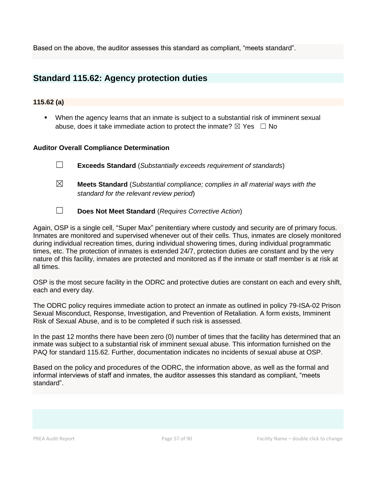Based on the above, the auditor assesses this standard as compliant, "meets standard".

### **Standard 115.62: Agency protection duties**

### **115.62 (a)**

▪ When the agency learns that an inmate is subject to a substantial risk of imminent sexual abuse, does it take immediate action to protect the inmate?  $\boxtimes$  Yes  $\Box$  No

### **Auditor Overall Compliance Determination**

| $\Box$ |  | <b>Exceeds Standard</b> (Substantially exceeds requirement of standards) |
|--------|--|--------------------------------------------------------------------------|
|--------|--|--------------------------------------------------------------------------|

- ☒ **Meets Standard** (*Substantial compliance; complies in all material ways with the standard for the relevant review period*)
- ☐ **Does Not Meet Standard** (*Requires Corrective Action*)

Again, OSP is a single cell, "Super Max" penitentiary where custody and security are of primary focus. Inmates are monitored and supervised whenever out of their cells. Thus, inmates are closely monitored during individual recreation times, during individual showering times, during individual programmatic times, etc. The protection of inmates is extended 24/7, protection duties are constant and by the very nature of this facility, inmates are protected and monitored as if the inmate or staff member is at risk at all times.

OSP is the most secure facility in the ODRC and protective duties are constant on each and every shift, each and every day.

The ODRC policy requires immediate action to protect an inmate as outlined in policy 79-ISA-02 Prison Sexual Misconduct, Response, Investigation, and Prevention of Retaliation. A form exists, Imminent Risk of Sexual Abuse, and is to be completed if such risk is assessed.

In the past 12 months there have been zero (0) number of times that the facility has determined that an inmate was subject to a substantial risk of imminent sexual abuse. This information furnished on the PAQ for standard 115.62. Further, documentation indicates no incidents of sexual abuse at OSP.

Based on the policy and procedures of the ODRC, the information above, as well as the formal and informal interviews of staff and inmates, the auditor assesses this standard as compliant, "meets standard".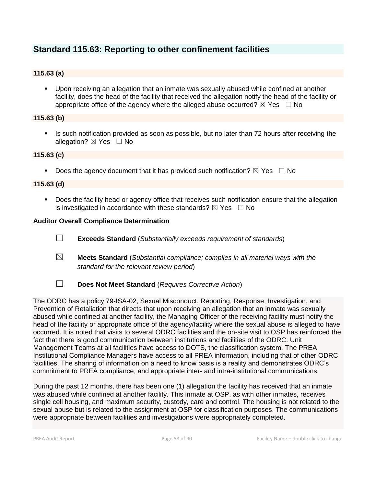### **Standard 115.63: Reporting to other confinement facilities**

### **115.63 (a)**

▪ Upon receiving an allegation that an inmate was sexually abused while confined at another facility, does the head of the facility that received the allegation notify the head of the facility or appropriate office of the agency where the alleged abuse occurred?  $\boxtimes$  Yes  $\Box$  No

### **115.63 (b)**

**.** Is such notification provided as soon as possible, but no later than 72 hours after receiving the allegation?  $\boxtimes$  Yes  $\Box$  No

### **115.63 (c)**

**•** Does the agency document that it has provided such notification?  $\boxtimes$  Yes  $\Box$  No

### **115.63 (d)**

■ Does the facility head or agency office that receives such notification ensure that the allegation is investigated in accordance with these standards?  $\boxtimes$  Yes  $\Box$  No

### **Auditor Overall Compliance Determination**

- ☐ **Exceeds Standard** (*Substantially exceeds requirement of standards*)
- ☒ **Meets Standard** (*Substantial compliance; complies in all material ways with the standard for the relevant review period*)
- ☐ **Does Not Meet Standard** (*Requires Corrective Action*)

The ODRC has a policy 79-ISA-02, Sexual Misconduct, Reporting, Response, Investigation, and Prevention of Retaliation that directs that upon receiving an allegation that an inmate was sexually abused while confined at another facility, the Managing Officer of the receiving facility must notify the head of the facility or appropriate office of the agency/facility where the sexual abuse is alleged to have occurred. It is noted that visits to several ODRC facilities and the on-site visit to OSP has reinforced the fact that there is good communication between institutions and facilities of the ODRC. Unit Management Teams at all facilities have access to DOTS, the classification system. The PREA Institutional Compliance Managers have access to all PREA information, including that of other ODRC facilities. The sharing of information on a need to know basis is a reality and demonstrates ODRC's commitment to PREA compliance, and appropriate inter- and intra-institutional communications.

During the past 12 months, there has been one (1) allegation the facility has received that an inmate was abused while confined at another facility. This inmate at OSP, as with other inmates, receives single cell housing, and maximum security, custody, care and control. The housing is not related to the sexual abuse but is related to the assignment at OSP for classification purposes. The communications were appropriate between facilities and investigations were appropriately completed.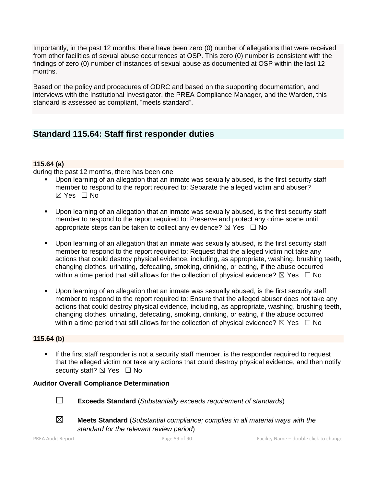Importantly, in the past 12 months, there have been zero (0) number of allegations that were received from other facilities of sexual abuse occurrences at OSP. This zero (0) number is consistent with the findings of zero (0) number of instances of sexual abuse as documented at OSP within the last 12 months.

Based on the policy and procedures of ODRC and based on the supporting documentation, and interviews with the Institutional Investigator, the PREA Compliance Manager, and the Warden, this standard is assessed as compliant, "meets standard".

### **Standard 115.64: Staff first responder duties**

### **115.64 (a)**

during the past 12 months, there has been one

- Upon learning of an allegation that an inmate was sexually abused, is the first security staff member to respond to the report required to: Separate the alleged victim and abuser? ☒ Yes ☐ No
- Upon learning of an allegation that an inmate was sexually abused, is the first security staff member to respond to the report required to: Preserve and protect any crime scene until appropriate steps can be taken to collect any evidence?  $\boxtimes$  Yes  $\Box$  No
- Upon learning of an allegation that an inmate was sexually abused, is the first security staff member to respond to the report required to: Request that the alleged victim not take any actions that could destroy physical evidence, including, as appropriate, washing, brushing teeth, changing clothes, urinating, defecating, smoking, drinking, or eating, if the abuse occurred within a time period that still allows for the collection of physical evidence?  $\boxtimes$  Yes  $\Box$  No
- Upon learning of an allegation that an inmate was sexually abused, is the first security staff member to respond to the report required to: Ensure that the alleged abuser does not take any actions that could destroy physical evidence, including, as appropriate, washing, brushing teeth, changing clothes, urinating, defecating, smoking, drinking, or eating, if the abuse occurred within a time period that still allows for the collection of physical evidence?  $\boxtimes$  Yes  $\Box$  No

### **115.64 (b)**

If the first staff responder is not a security staff member, is the responder required to request that the alleged victim not take any actions that could destroy physical evidence, and then notify security staff?  $\boxtimes$  Yes  $\Box$  No

### **Auditor Overall Compliance Determination**



☐ **Exceeds Standard** (*Substantially exceeds requirement of standards*)



- 
- 

☒ **Meets Standard** (*Substantial compliance; complies in all material ways with the standard for the relevant review period*)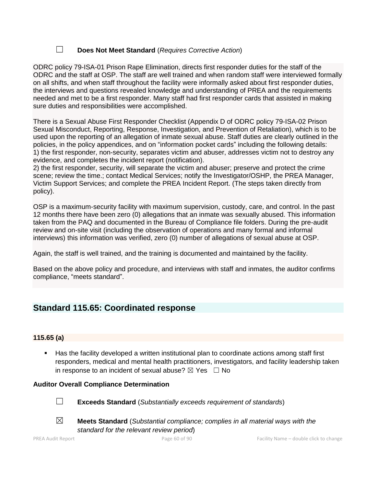### ☐ **Does Not Meet Standard** (*Requires Corrective Action*)

ODRC policy 79-ISA-01 Prison Rape Elimination, directs first responder duties for the staff of the ODRC and the staff at OSP. The staff are well trained and when random staff were interviewed formally on all shifts, and when staff throughout the facility were informally asked about first responder duties, the interviews and questions revealed knowledge and understanding of PREA and the requirements needed and met to be a first responder. Many staff had first responder cards that assisted in making sure duties and responsibilities were accomplished.

There is a Sexual Abuse First Responder Checklist (Appendix D of ODRC policy 79-ISA-02 Prison Sexual Misconduct, Reporting, Response, Investigation, and Prevention of Retaliation), which is to be used upon the reporting of an allegation of inmate sexual abuse. Staff duties are clearly outlined in the policies, in the policy appendices, and on "information pocket cards" including the following details: 1) the first responder, non-security, separates victim and abuser, addresses victim not to destroy any evidence, and completes the incident report (notification).

2) the first responder, security, will separate the victim and abuser; preserve and protect the crime scene; review the time.; contact Medical Services; notify the Investigator/OSHP, the PREA Manager, Victim Support Services; and complete the PREA Incident Report. (The steps taken directly from policy).

OSP is a maximum-security facility with maximum supervision, custody, care, and control. In the past 12 months there have been zero (0) allegations that an inmate was sexually abused. This information taken from the PAQ and documented in the Bureau of Compliance file folders. During the pre-audit review and on-site visit (including the observation of operations and many formal and informal interviews) this information was verified, zero (0) number of allegations of sexual abuse at OSP.

Again, the staff is well trained, and the training is documented and maintained by the facility.

Based on the above policy and procedure, and interviews with staff and inmates, the auditor confirms compliance, "meets standard".

### **Standard 115.65: Coordinated response**

### **115.65 (a)**

■ Has the facility developed a written institutional plan to coordinate actions among staff first responders, medical and mental health practitioners, investigators, and facility leadership taken in response to an incident of sexual abuse?  $\boxtimes$  Yes  $\Box$  No

### **Auditor Overall Compliance Determination**



☐ **Exceeds Standard** (*Substantially exceeds requirement of standards*)





☒ **Meets Standard** (*Substantial compliance; complies in all material ways with the standard for the relevant review period*)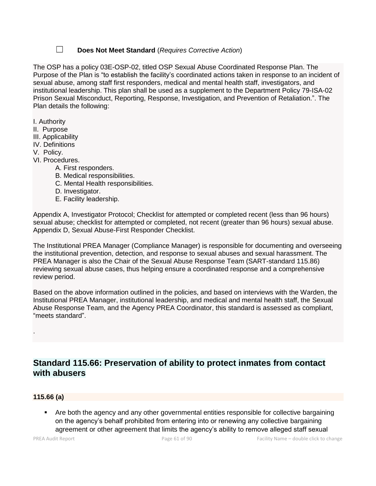### ☐ **Does Not Meet Standard** (*Requires Corrective Action*)

The OSP has a policy 03E-OSP-02, titled OSP Sexual Abuse Coordinated Response Plan. The Purpose of the Plan is "to establish the facility's coordinated actions taken in response to an incident of sexual abuse, among staff first responders, medical and mental health staff, investigators, and institutional leadership. This plan shall be used as a supplement to the Department Policy 79-ISA-02 Prison Sexual Misconduct, Reporting, Response, Investigation, and Prevention of Retaliation.". The Plan details the following:

- I. Authority
- II. Purpose
- III. Applicability
- IV. Definitions
- V. Policy.
- VI. Procedures.
	- A. First responders.
	- B. Medical responsibilities.
	- C. Mental Health responsibilities.
	- D. Investigator.
	- E. Facility leadership.

Appendix A, Investigator Protocol; Checklist for attempted or completed recent (less than 96 hours) sexual abuse; checklist for attempted or completed, not recent (greater than 96 hours) sexual abuse. Appendix D, Sexual Abuse-First Responder Checklist.

The Institutional PREA Manager (Compliance Manager) is responsible for documenting and overseeing the institutional prevention, detection, and response to sexual abuses and sexual harassment. The PREA Manager is also the Chair of the Sexual Abuse Response Team (SART-standard 115.86) reviewing sexual abuse cases, thus helping ensure a coordinated response and a comprehensive review period.

Based on the above information outlined in the policies, and based on interviews with the Warden, the Institutional PREA Manager, institutional leadership, and medical and mental health staff, the Sexual Abuse Response Team, and the Agency PREA Coordinator, this standard is assessed as compliant, "meets standard".

### **Standard 115.66: Preservation of ability to protect inmates from contact with abusers**

### **115.66 (a)**

.

Are both the agency and any other governmental entities responsible for collective bargaining on the agency's behalf prohibited from entering into or renewing any collective bargaining agreement or other agreement that limits the agency's ability to remove alleged staff sexual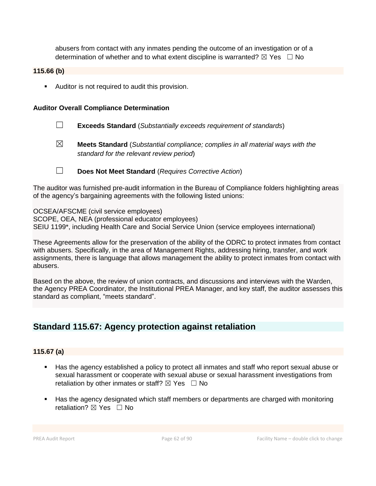abusers from contact with any inmates pending the outcome of an investigation or of a determination of whether and to what extent discipline is warranted?  $\boxtimes$  Yes  $\Box$  No

### **115.66 (b)**

■ Auditor is not required to audit this provision.

### **Auditor Overall Compliance Determination**

- ☐ **Exceeds Standard** (*Substantially exceeds requirement of standards*)
- 

☒ **Meets Standard** (*Substantial compliance; complies in all material ways with the standard for the relevant review period*)

☐ **Does Not Meet Standard** (*Requires Corrective Action*)

The auditor was furnished pre-audit information in the Bureau of Compliance folders highlighting areas of the agency's bargaining agreements with the following listed unions:

OCSEA/AFSCME (civil service employees) SCOPE, OEA, NEA (professional educator employees) SEIU 1199\*, including Health Care and Social Service Union (service employees international)

These Agreements allow for the preservation of the ability of the ODRC to protect inmates from contact with abusers. Specifically, in the area of Management Rights, addressing hiring, transfer, and work assignments, there is language that allows management the ability to protect inmates from contact with abusers.

Based on the above, the review of union contracts, and discussions and interviews with the Warden, the Agency PREA Coordinator, the Institutional PREA Manager, and key staff, the auditor assesses this standard as compliant, "meets standard".

### **Standard 115.67: Agency protection against retaliation**

### **115.67 (a)**

- Has the agency established a policy to protect all inmates and staff who report sexual abuse or sexual harassment or cooperate with sexual abuse or sexual harassment investigations from retaliation by other inmates or staff?  $\boxtimes$  Yes  $\Box$  No
- Has the agency designated which staff members or departments are charged with monitoring retaliation? ⊠ Yes □ No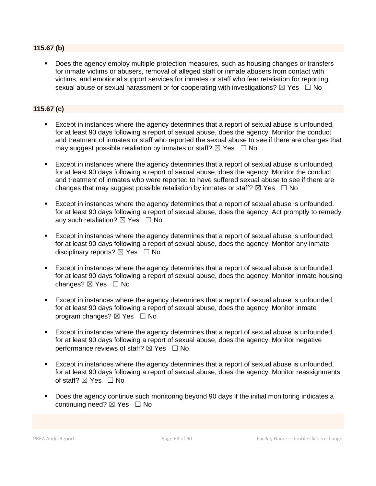### **115.67 (b)**

Does the agency employ multiple protection measures, such as housing changes or transfers for inmate victims or abusers, removal of alleged staff or inmate abusers from contact with victims, and emotional support services for inmates or staff who fear retaliation for reporting sexual abuse or sexual harassment or for cooperating with investigations?  $\boxtimes$  Yes  $\Box$  No

### **115.67 (c)**

- Except in instances where the agency determines that a report of sexual abuse is unfounded, for at least 90 days following a report of sexual abuse, does the agency: Monitor the conduct and treatment of inmates or staff who reported the sexual abuse to see if there are changes that may suggest possible retaliation by inmates or staff?  $\boxtimes$  Yes  $\Box$  No
- Except in instances where the agency determines that a report of sexual abuse is unfounded, for at least 90 days following a report of sexual abuse, does the agency: Monitor the conduct and treatment of inmates who were reported to have suffered sexual abuse to see if there are changes that may suggest possible retaliation by inmates or staff?  $\boxtimes$  Yes  $\Box$  No
- Except in instances where the agency determines that a report of sexual abuse is unfounded, for at least 90 days following a report of sexual abuse, does the agency: Act promptly to remedy any such retaliation?  $\boxtimes$  Yes  $\Box$  No
- Except in instances where the agency determines that a report of sexual abuse is unfounded, for at least 90 days following a report of sexual abuse, does the agency: Monitor any inmate disciplinary reports?  $\boxtimes$  Yes  $\Box$  No
- Except in instances where the agency determines that a report of sexual abuse is unfounded, for at least 90 days following a report of sexual abuse, does the agency: Monitor inmate housing changes? ⊠ Yes □ No
- Except in instances where the agency determines that a report of sexual abuse is unfounded, for at least 90 days following a report of sexual abuse, does the agency: Monitor inmate program changes?  $\boxtimes$  Yes  $\Box$  No
- Except in instances where the agency determines that a report of sexual abuse is unfounded, for at least 90 days following a report of sexual abuse, does the agency: Monitor negative performance reviews of staff?  $\boxtimes$  Yes  $\Box$  No
- Except in instances where the agency determines that a report of sexual abuse is unfounded, for at least 90 days following a report of sexual abuse, does the agency: Monitor reassignments of staff? ⊠ Yes □ No
- Does the agency continue such monitoring beyond 90 days if the initial monitoring indicates a continuing need?  $\boxtimes$  Yes  $\Box$  No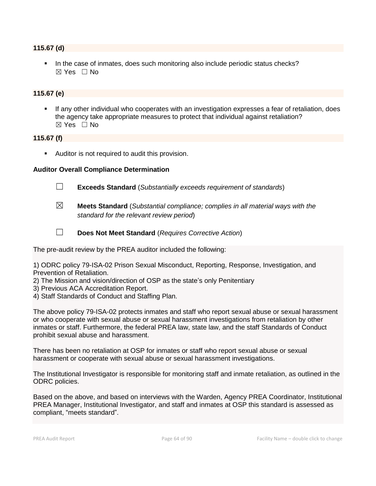#### **115.67 (d)**

In the case of inmates, does such monitoring also include periodic status checks?  $\boxtimes$  Yes  $\Box$  No

### **115.67 (e)**

If any other individual who cooperates with an investigation expresses a fear of retaliation, does the agency take appropriate measures to protect that individual against retaliation? ☒ Yes ☐ No

### **115.67 (f)**

■ Auditor is not required to audit this provision.

#### **Auditor Overall Compliance Determination**



☐ **Exceeds Standard** (*Substantially exceeds requirement of standards*)

- ☒ **Meets Standard** (*Substantial compliance; complies in all material ways with the standard for the relevant review period*)
- 
- ☐ **Does Not Meet Standard** (*Requires Corrective Action*)

The pre-audit review by the PREA auditor included the following:

1) ODRC policy 79-ISA-02 Prison Sexual Misconduct, Reporting, Response, Investigation, and Prevention of Retaliation.

- 2) The Mission and vision/direction of OSP as the state's only Penitentiary
- 3) Previous ACA Accreditation Report.
- 4) Staff Standards of Conduct and Staffing Plan.

The above policy 79-ISA-02 protects inmates and staff who report sexual abuse or sexual harassment or who cooperate with sexual abuse or sexual harassment investigations from retaliation by other inmates or staff. Furthermore, the federal PREA law, state law, and the staff Standards of Conduct prohibit sexual abuse and harassment.

There has been no retaliation at OSP for inmates or staff who report sexual abuse or sexual harassment or cooperate with sexual abuse or sexual harassment investigations.

The Institutional Investigator is responsible for monitoring staff and inmate retaliation, as outlined in the ODRC policies.

Based on the above, and based on interviews with the Warden, Agency PREA Coordinator, Institutional PREA Manager, Institutional Investigator, and staff and inmates at OSP this standard is assessed as compliant, "meets standard".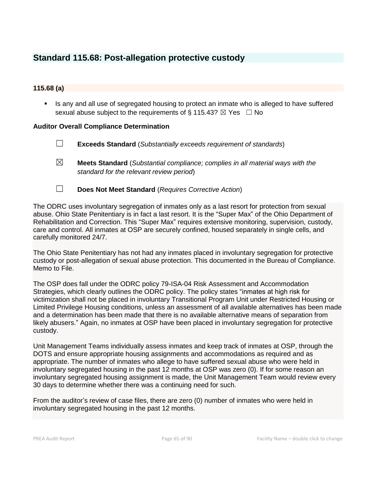### **Standard 115.68: Post-allegation protective custody**

### **115.68 (a)**

**EXECT** Is any and all use of segregated housing to protect an inmate who is alleged to have suffered sexual abuse subject to the requirements of § 115.43?  $\boxtimes$  Yes  $\Box$  No

### **Auditor Overall Compliance Determination**

- ☐ **Exceeds Standard** (*Substantially exceeds requirement of standards*)
- ☒ **Meets Standard** (*Substantial compliance; complies in all material ways with the standard for the relevant review period*)
- ☐ **Does Not Meet Standard** (*Requires Corrective Action*)

The ODRC uses involuntary segregation of inmates only as a last resort for protection from sexual abuse. Ohio State Penitentiary is in fact a last resort. It is the "Super Max" of the Ohio Department of Rehabilitation and Correction. This "Super Max" requires extensive monitoring, supervision, custody, care and control. All inmates at OSP are securely confined, housed separately in single cells, and carefully monitored 24/7.

The Ohio State Penitentiary has not had any inmates placed in involuntary segregation for protective custody or post-allegation of sexual abuse protection. This documented in the Bureau of Compliance. Memo to File.

The OSP does fall under the ODRC policy 79-ISA-04 Risk Assessment and Accommodation Strategies, which clearly outlines the ODRC policy. The policy states "inmates at high risk for victimization shall not be placed in involuntary Transitional Program Unit under Restricted Housing or Limited Privilege Housing conditions, unless an assessment of all available alternatives has been made and a determination has been made that there is no available alternative means of separation from likely abusers." Again, no inmates at OSP have been placed in involuntary segregation for protective custody.

Unit Management Teams individually assess inmates and keep track of inmates at OSP, through the DOTS and ensure appropriate housing assignments and accommodations as required and as appropriate. The number of inmates who allege to have suffered sexual abuse who were held in involuntary segregated housing in the past 12 months at OSP was zero (0). If for some reason an involuntary segregated housing assignment is made, the Unit Management Team would review every 30 days to determine whether there was a continuing need for such.

From the auditor's review of case files, there are zero (0) number of inmates who were held in involuntary segregated housing in the past 12 months.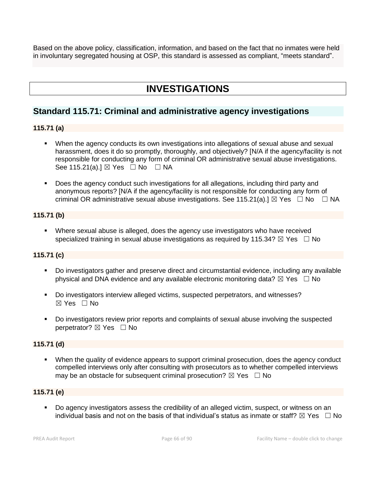Based on the above policy, classification, information, and based on the fact that no inmates were held in involuntary segregated housing at OSP, this standard is assessed as compliant, "meets standard".

# **INVESTIGATIONS**

### **Standard 115.71: Criminal and administrative agency investigations**

### **115.71 (a)**

- When the agency conducts its own investigations into allegations of sexual abuse and sexual harassment, does it do so promptly, thoroughly, and objectively? [N/A if the agency/facility is not responsible for conducting any form of criminal OR administrative sexual abuse investigations. See 115.21(a).]  $\boxtimes$  Yes  $\Box$  No  $\Box$  NA
- Does the agency conduct such investigations for all allegations, including third party and anonymous reports? [N/A if the agency/facility is not responsible for conducting any form of criminal OR administrative sexual abuse investigations. See 115.21(a).]  $\boxtimes$  Yes  $\Box$  No  $\Box$  NA

### **115.71 (b)**

**•** Where sexual abuse is alleged, does the agency use investigators who have received specialized training in sexual abuse investigations as required by 115.34?  $\boxtimes$  Yes  $\Box$  No

### **115.71 (c)**

- Do investigators gather and preserve direct and circumstantial evidence, including any available physical and DNA evidence and any available electronic monitoring data?  $\boxtimes$  Yes  $\Box$  No
- Do investigators interview alleged victims, suspected perpetrators, and witnesses?  $\boxtimes$  Yes  $\Box$  No
- Do investigators review prior reports and complaints of sexual abuse involving the suspected perpetrator? ⊠ Yes □ No

### **115.71 (d)**

When the quality of evidence appears to support criminal prosecution, does the agency conduct compelled interviews only after consulting with prosecutors as to whether compelled interviews may be an obstacle for subsequent criminal prosecution?  $\boxtimes$  Yes  $\Box$  No

### **115.71 (e)**

Do agency investigators assess the credibility of an alleged victim, suspect, or witness on an individual basis and not on the basis of that individual's status as inmate or staff?  $\boxtimes$  Yes  $\Box$  No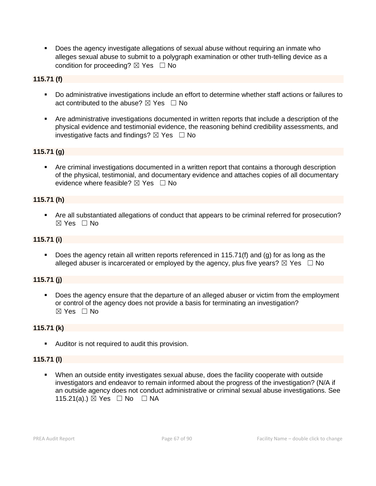▪ Does the agency investigate allegations of sexual abuse without requiring an inmate who alleges sexual abuse to submit to a polygraph examination or other truth-telling device as a condition for proceeding?  $\boxtimes$  Yes  $\Box$  No

### **115.71 (f)**

- Do administrative investigations include an effort to determine whether staff actions or failures to act contributed to the abuse?  $\boxtimes$  Yes  $\Box$  No
- Are administrative investigations documented in written reports that include a description of the physical evidence and testimonial evidence, the reasoning behind credibility assessments, and investigative facts and findings?  $\boxtimes$  Yes  $\Box$  No

### **115.71 (g)**

Are criminal investigations documented in a written report that contains a thorough description of the physical, testimonial, and documentary evidence and attaches copies of all documentary evidence where feasible?  $\boxtimes$  Yes  $\Box$  No

### **115.71 (h)**

■ Are all substantiated allegations of conduct that appears to be criminal referred for prosecution? ☒ Yes ☐ No

### **115.71 (i)**

**•** Does the agency retain all written reports referenced in 115.71(f) and (g) for as long as the alleged abuser is incarcerated or employed by the agency, plus five years?  $\boxtimes$  Yes  $\Box$  No

### **115.71 (j)**

Does the agency ensure that the departure of an alleged abuser or victim from the employment or control of the agency does not provide a basis for terminating an investigation? ☒ Yes ☐ No

### **115.71 (k)**

■ Auditor is not required to audit this provision.

### **115.71 (l)**

When an outside entity investigates sexual abuse, does the facility cooperate with outside investigators and endeavor to remain informed about the progress of the investigation? (N/A if an outside agency does not conduct administrative or criminal sexual abuse investigations. See 115.21(a).) ⊠ Yes □ No □ NA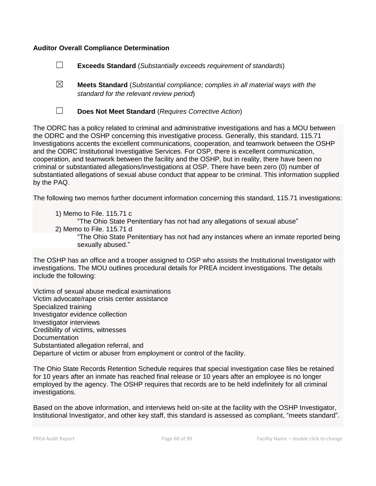### **Auditor Overall Compliance Determination**

☐ **Exceeds Standard** (*Substantially exceeds requirement of standards*)

- ☒ **Meets Standard** (*Substantial compliance; complies in all material ways with the standard for the relevant review period*)
- 

☐ **Does Not Meet Standard** (*Requires Corrective Action*)

The ODRC has a policy related to criminal and administrative investigations and has a MOU between the ODRC and the OSHP concerning this investigative process. Generally, this standard, 115.71 Investigations accents the excellent communications, cooperation, and teamwork between the OSHP and the ODRC Institutional Investigative Services. For OSP, there is excellent communication, cooperation, and teamwork between the facility and the OSHP, but in reality, there have been no criminal or substantiated allegations/investigations at OSP. There have been zero (0) number of substantiated allegations of sexual abuse conduct that appear to be criminal. This information supplied by the PAQ.

The following two memos further document information concerning this standard, 115.71 investigations:

1) Memo to File. 115.71 c "The Ohio State Penitentiary has not had any allegations of sexual abuse" 2) Memo to File. 115.71 d "The Ohio State Penitentiary has not had any instances where an inmate reported being sexually abused."

The OSHP has an office and a trooper assigned to OSP who assists the Institutional Investigator with investigations. The MOU outlines procedural details for PREA incident investigations. The details include the following:

Victims of sexual abuse medical examinations Victim advocate/rape crisis center assistance Specialized training Investigator evidence collection Investigator interviews Credibility of victims, witnesses Documentation Substantiated allegation referral, and Departure of victim or abuser from employment or control of the facility.

The Ohio State Records Retention Schedule requires that special investigation case files be retained for 10 years after an inmate has reached final release or 10 years after an employee is no longer employed by the agency. The OSHP requires that records are to be held indefinitely for all criminal investigations.

Based on the above information, and interviews held on-site at the facility with the OSHP Investigator, Institutional Investigator, and other key staff, this standard is assessed as compliant, "meets standard".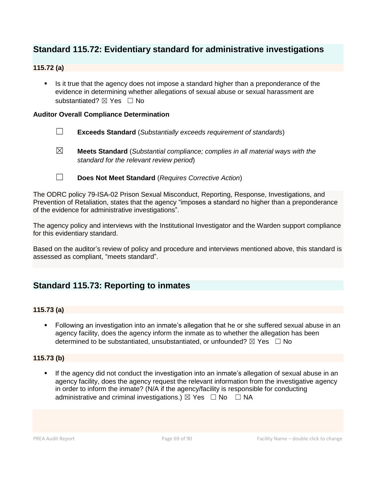### **Standard 115.72: Evidentiary standard for administrative investigations**

### **115.72 (a)**

Is it true that the agency does not impose a standard higher than a preponderance of the evidence in determining whether allegations of sexual abuse or sexual harassment are substantiated?  $\boxtimes$  Yes  $\Box$  No

### **Auditor Overall Compliance Determination**

- ☐ **Exceeds Standard** (*Substantially exceeds requirement of standards*)
- ☒ **Meets Standard** (*Substantial compliance; complies in all material ways with the standard for the relevant review period*)
- ☐ **Does Not Meet Standard** (*Requires Corrective Action*)

The ODRC policy 79-ISA-02 Prison Sexual Misconduct, Reporting, Response, Investigations, and Prevention of Retaliation, states that the agency "imposes a standard no higher than a preponderance of the evidence for administrative investigations".

The agency policy and interviews with the Institutional Investigator and the Warden support compliance for this evidentiary standard.

Based on the auditor's review of policy and procedure and interviews mentioned above, this standard is assessed as compliant, "meets standard".

### **Standard 115.73: Reporting to inmates**

### **115.73 (a)**

■ Following an investigation into an inmate's allegation that he or she suffered sexual abuse in an agency facility, does the agency inform the inmate as to whether the allegation has been determined to be substantiated, unsubstantiated, or unfounded?  $\boxtimes$  Yes  $\Box$  No

### **115.73 (b)**

If the agency did not conduct the investigation into an inmate's allegation of sexual abuse in an agency facility, does the agency request the relevant information from the investigative agency in order to inform the inmate? (N/A if the agency/facility is responsible for conducting administrative and criminal investigations.)  $\boxtimes$  Yes  $\Box$  No  $\Box$  NA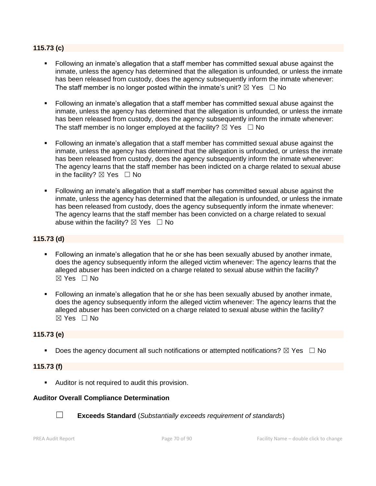### **115.73 (c)**

- Following an inmate's allegation that a staff member has committed sexual abuse against the inmate, unless the agency has determined that the allegation is unfounded, or unless the inmate has been released from custody, does the agency subsequently inform the inmate whenever: The staff member is no longer posted within the inmate's unit?  $\boxtimes$  Yes  $\Box$  No
- Following an inmate's allegation that a staff member has committed sexual abuse against the inmate, unless the agency has determined that the allegation is unfounded, or unless the inmate has been released from custody, does the agency subsequently inform the inmate whenever: The staff member is no longer employed at the facility?  $\boxtimes$  Yes  $\Box$  No
- Following an inmate's allegation that a staff member has committed sexual abuse against the inmate, unless the agency has determined that the allegation is unfounded, or unless the inmate has been released from custody, does the agency subsequently inform the inmate whenever: The agency learns that the staff member has been indicted on a charge related to sexual abuse in the facility?  $\boxtimes$  Yes  $\Box$  No
- Following an inmate's allegation that a staff member has committed sexual abuse against the inmate, unless the agency has determined that the allegation is unfounded, or unless the inmate has been released from custody, does the agency subsequently inform the inmate whenever: The agency learns that the staff member has been convicted on a charge related to sexual abuse within the facility?  $\boxtimes$  Yes  $\Box$  No

### **115.73 (d)**

- Following an inmate's allegation that he or she has been sexually abused by another inmate, does the agency subsequently inform the alleged victim whenever: The agency learns that the alleged abuser has been indicted on a charge related to sexual abuse within the facility? ☒ Yes ☐ No
- Following an inmate's allegation that he or she has been sexually abused by another inmate, does the agency subsequently inform the alleged victim whenever: The agency learns that the alleged abuser has been convicted on a charge related to sexual abuse within the facility?  $\boxtimes$  Yes  $\Box$  No

### **115.73 (e)**

**•** Does the agency document all such notifications or attempted notifications?  $\boxtimes$  Yes  $\Box$  No

#### **115.73 (f)**

■ Auditor is not required to audit this provision.

#### **Auditor Overall Compliance Determination**



☐ **Exceeds Standard** (*Substantially exceeds requirement of standards*)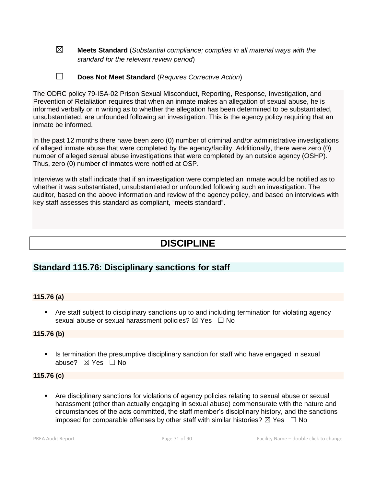- ☒ **Meets Standard** (*Substantial compliance; complies in all material ways with the standard for the relevant review period*)
- ☐ **Does Not Meet Standard** (*Requires Corrective Action*)

The ODRC policy 79-ISA-02 Prison Sexual Misconduct, Reporting, Response, Investigation, and Prevention of Retaliation requires that when an inmate makes an allegation of sexual abuse, he is informed verbally or in writing as to whether the allegation has been determined to be substantiated, unsubstantiated, are unfounded following an investigation. This is the agency policy requiring that an inmate be informed.

In the past 12 months there have been zero (0) number of criminal and/or administrative investigations of alleged inmate abuse that were completed by the agency/facility. Additionally, there were zero (0) number of alleged sexual abuse investigations that were completed by an outside agency (OSHP). Thus, zero (0) number of inmates were notified at OSP.

Interviews with staff indicate that if an investigation were completed an inmate would be notified as to whether it was substantiated, unsubstantiated or unfounded following such an investigation. The auditor, based on the above information and review of the agency policy, and based on interviews with key staff assesses this standard as compliant, "meets standard".

# **DISCIPLINE**

### **Standard 115.76: Disciplinary sanctions for staff**

### **115.76 (a)**

**•** Are staff subject to disciplinary sanctions up to and including termination for violating agency sexual abuse or sexual harassment policies?  $\boxtimes$  Yes  $\Box$  No

### **115.76 (b)**

**EXTE:** Is termination the presumptive disciplinary sanction for staff who have engaged in sexual abuse? ☒ Yes ☐ No

#### **115.76 (c)**

▪ Are disciplinary sanctions for violations of agency policies relating to sexual abuse or sexual harassment (other than actually engaging in sexual abuse) commensurate with the nature and circumstances of the acts committed, the staff member's disciplinary history, and the sanctions imposed for comparable offenses by other staff with similar histories?  $\boxtimes$  Yes  $\Box$  No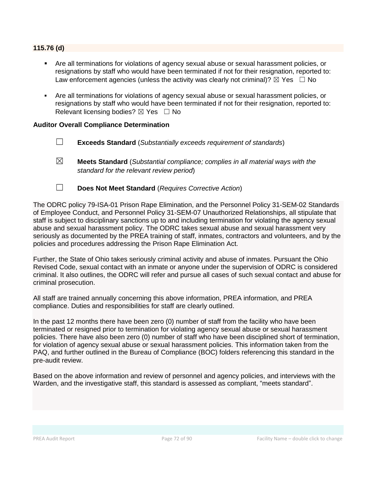### **115.76 (d)**

- Are all terminations for violations of agency sexual abuse or sexual harassment policies, or resignations by staff who would have been terminated if not for their resignation, reported to: Law enforcement agencies (unless the activity was clearly not criminal)?  $\boxtimes$  Yes  $\Box$  No
- Are all terminations for violations of agency sexual abuse or sexual harassment policies, or resignations by staff who would have been terminated if not for their resignation, reported to: Relevant licensing bodies?  $\boxtimes$  Yes  $\Box$  No

#### **Auditor Overall Compliance Determination**

- ☐ **Exceeds Standard** (*Substantially exceeds requirement of standards*)
- ☒ **Meets Standard** (*Substantial compliance; complies in all material ways with the standard for the relevant review period*)
- ☐ **Does Not Meet Standard** (*Requires Corrective Action*)

The ODRC policy 79-ISA-01 Prison Rape Elimination, and the Personnel Policy 31-SEM-02 Standards of Employee Conduct, and Personnel Policy 31-SEM-07 Unauthorized Relationships, all stipulate that staff is subject to disciplinary sanctions up to and including termination for violating the agency sexual abuse and sexual harassment policy. The ODRC takes sexual abuse and sexual harassment very seriously as documented by the PREA training of staff, inmates, contractors and volunteers, and by the policies and procedures addressing the Prison Rape Elimination Act.

Further, the State of Ohio takes seriously criminal activity and abuse of inmates. Pursuant the Ohio Revised Code, sexual contact with an inmate or anyone under the supervision of ODRC is considered criminal. It also outlines, the ODRC will refer and pursue all cases of such sexual contact and abuse for criminal prosecution.

All staff are trained annually concerning this above information, PREA information, and PREA compliance. Duties and responsibilities for staff are clearly outlined.

In the past 12 months there have been zero (0) number of staff from the facility who have been terminated or resigned prior to termination for violating agency sexual abuse or sexual harassment policies. There have also been zero (0) number of staff who have been disciplined short of termination, for violation of agency sexual abuse or sexual harassment policies. This information taken from the PAQ, and further outlined in the Bureau of Compliance (BOC) folders referencing this standard in the pre-audit review.

Based on the above information and review of personnel and agency policies, and interviews with the Warden, and the investigative staff, this standard is assessed as compliant, "meets standard".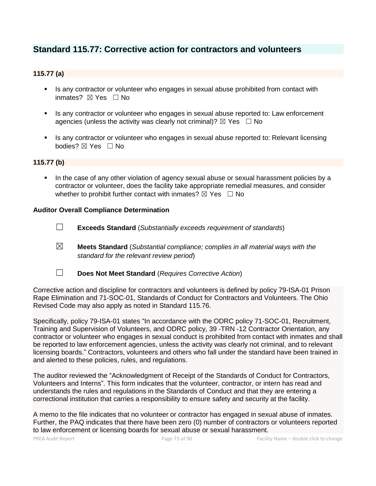# **Standard 115.77: Corrective action for contractors and volunteers**

#### **115.77 (a)**

- Is any contractor or volunteer who engages in sexual abuse prohibited from contact with inmates? ⊠ Yes □ No
- Is any contractor or volunteer who engages in sexual abuse reported to: Law enforcement agencies (unless the activity was clearly not criminal)?  $\boxtimes$  Yes  $\Box$  No
- **EXT** Is any contractor or volunteer who engages in sexual abuse reported to: Relevant licensing bodies? ⊠ Yes □ No

#### **115.77 (b)**

In the case of any other violation of agency sexual abuse or sexual harassment policies by a contractor or volunteer, does the facility take appropriate remedial measures, and consider whether to prohibit further contact with inmates?  $\boxtimes$  Yes  $\Box$  No

#### **Auditor Overall Compliance Determination**

- ☐ **Exceeds Standard** (*Substantially exceeds requirement of standards*)
- ☒ **Meets Standard** (*Substantial compliance; complies in all material ways with the standard for the relevant review period*)
- 
- ☐ **Does Not Meet Standard** (*Requires Corrective Action*)

Corrective action and discipline for contractors and volunteers is defined by policy 79-ISA-01 Prison Rape Elimination and 71-SOC-01, Standards of Conduct for Contractors and Volunteers. The Ohio Revised Code may also apply as noted in Standard 115.76.

Specifically, policy 79-ISA-01 states "In accordance with the ODRC policy 71-SOC-01, Recruitment, Training and Supervision of Volunteers, and ODRC policy, 39 -TRN -12 Contractor Orientation, any contractor or volunteer who engages in sexual conduct is prohibited from contact with inmates and shall be reported to law enforcement agencies, unless the activity was clearly not criminal, and to relevant licensing boards." Contractors, volunteers and others who fall under the standard have been trained in and alerted to these policies, rules, and regulations.

The auditor reviewed the "Acknowledgment of Receipt of the Standards of Conduct for Contractors, Volunteers and Interns". This form indicates that the volunteer, contractor, or intern has read and understands the rules and regulations in the Standards of Conduct and that they are entering a correctional institution that carries a responsibility to ensure safety and security at the facility.

A memo to the file indicates that no volunteer or contractor has engaged in sexual abuse of inmates. Further, the PAQ indicates that there have been zero (0) number of contractors or volunteers reported to law enforcement or licensing boards for sexual abuse or sexual harassment.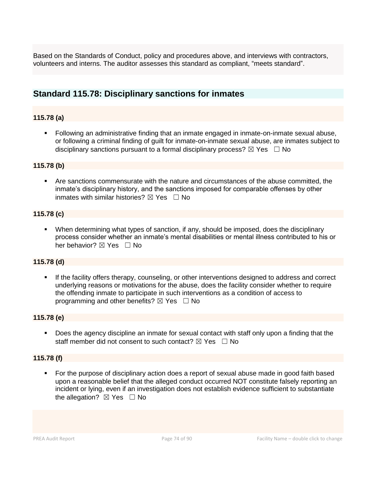Based on the Standards of Conduct, policy and procedures above, and interviews with contractors, volunteers and interns. The auditor assesses this standard as compliant, "meets standard".

# **Standard 115.78: Disciplinary sanctions for inmates**

# **115.78 (a)**

■ Following an administrative finding that an inmate engaged in inmate-on-inmate sexual abuse, or following a criminal finding of guilt for inmate-on-inmate sexual abuse, are inmates subject to disciplinary sanctions pursuant to a formal disciplinary process?  $\boxtimes$  Yes  $\Box$  No

#### **115.78 (b)**

▪ Are sanctions commensurate with the nature and circumstances of the abuse committed, the inmate's disciplinary history, and the sanctions imposed for comparable offenses by other inmates with similar histories?  $\boxtimes$  Yes  $\Box$  No

# **115.78 (c)**

▪ When determining what types of sanction, if any, should be imposed, does the disciplinary process consider whether an inmate's mental disabilities or mental illness contributed to his or her behavior? ⊠ Yes □ No

#### **115.78 (d)**

If the facility offers therapy, counseling, or other interventions designed to address and correct underlying reasons or motivations for the abuse, does the facility consider whether to require the offending inmate to participate in such interventions as a condition of access to programming and other benefits?  $\boxtimes$  Yes  $\Box$  No

#### **115.78 (e)**

■ Does the agency discipline an inmate for sexual contact with staff only upon a finding that the staff member did not consent to such contact?  $\boxtimes$  Yes  $\Box$  No

#### **115.78 (f)**

For the purpose of disciplinary action does a report of sexual abuse made in good faith based upon a reasonable belief that the alleged conduct occurred NOT constitute falsely reporting an incident or lying, even if an investigation does not establish evidence sufficient to substantiate the allegation?  $\boxtimes$  Yes  $\Box$  No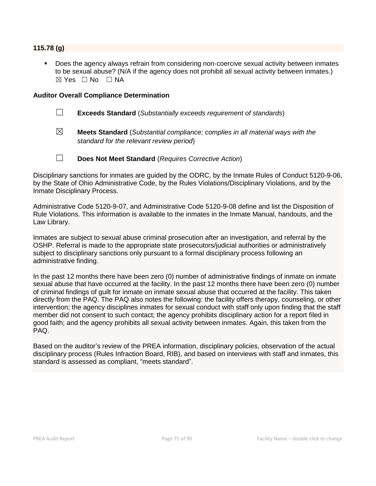#### **115.78 (g)**

Does the agency always refrain from considering non-coercive sexual activity between inmates to be sexual abuse? (N/A if the agency does not prohibit all sexual activity between inmates.)  $\boxtimes$  Yes  $\Box$  No  $\Box$  NA

#### **Auditor Overall Compliance Determination**

- ☐ **Exceeds Standard** (*Substantially exceeds requirement of standards*)
- ☒ **Meets Standard** (*Substantial compliance; complies in all material ways with the standard for the relevant review period*)
- ☐ **Does Not Meet Standard** (*Requires Corrective Action*)

Disciplinary sanctions for inmates are guided by the ODRC, by the Inmate Rules of Conduct 5120-9-06, by the State of Ohio Administrative Code, by the Rules Violations/Disciplinary Violations, and by the Inmate Disciplinary Process.

Administrative Code 5120-9-07, and Administrative Code 5120-9-08 define and list the Disposition of Rule Violations. This information is available to the inmates in the Inmate Manual, handouts, and the Law Library.

Inmates are subject to sexual abuse criminal prosecution after an investigation, and referral by the OSHP. Referral is made to the appropriate state prosecutors/judicial authorities or administratively subject to disciplinary sanctions only pursuant to a formal disciplinary process following an administrative finding.

In the past 12 months there have been zero (0) number of administrative findings of inmate on inmate sexual abuse that have occurred at the facility. In the past 12 months there have been zero (0) number of criminal findings of guilt for inmate on inmate sexual abuse that occurred at the facility. This taken directly from the PAQ. The PAQ also notes the following: the facility offers therapy, counseling, or other intervention; the agency disciplines inmates for sexual conduct with staff only upon finding that the staff member did not consent to such contact; the agency prohibits disciplinary action for a report filed in good faith; and the agency prohibits all sexual activity between inmates. Again, this taken from the PAQ.

Based on the auditor's review of the PREA information, disciplinary policies, observation of the actual disciplinary process (Rules Infraction Board, RIB), and based on interviews with staff and inmates, this standard is assessed as compliant, "meets standard".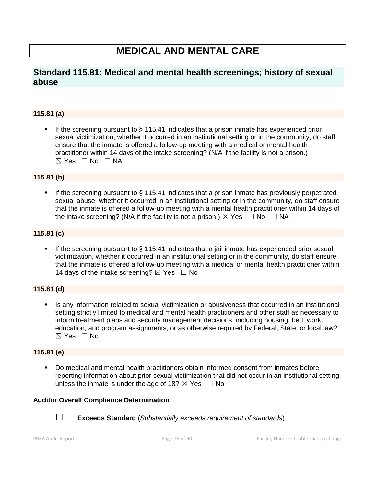# **MEDICAL AND MENTAL CARE**

# **Standard 115.81: Medical and mental health screenings; history of sexual abuse**

# **115.81 (a)**

If the screening pursuant to  $\S$  115.41 indicates that a prison inmate has experienced prior sexual victimization, whether it occurred in an institutional setting or in the community, do staff ensure that the inmate is offered a follow-up meeting with a medical or mental health practitioner within 14 days of the intake screening? (N/A if the facility is not a prison.)  $\boxtimes$  Yes  $\Box$  No  $\Box$  NA

#### **115.81 (b)**

If the screening pursuant to  $\S$  115.41 indicates that a prison inmate has previously perpetrated sexual abuse, whether it occurred in an institutional setting or in the community, do staff ensure that the inmate is offered a follow-up meeting with a mental health practitioner within 14 days of the intake screening? (N/A if the facility is not a prison.)  $\boxtimes$  Yes  $\Box$  No  $\Box$  NA

# **115.81 (c)**

If the screening pursuant to  $\S$  115.41 indicates that a jail inmate has experienced prior sexual victimization, whether it occurred in an institutional setting or in the community, do staff ensure that the inmate is offered a follow-up meeting with a medical or mental health practitioner within 14 days of the intake screening?  $\boxtimes$  Yes  $\Box$  No

# **115.81 (d)**

Is any information related to sexual victimization or abusiveness that occurred in an institutional setting strictly limited to medical and mental health practitioners and other staff as necessary to inform treatment plans and security management decisions, including housing, bed, work, education, and program assignments, or as otherwise required by Federal, State, or local law?  $\boxtimes$  Yes  $\Box$  No

# **115.81 (e)**

Do medical and mental health practitioners obtain informed consent from inmates before reporting information about prior sexual victimization that did not occur in an institutional setting, unless the inmate is under the age of 18?  $\boxtimes$  Yes  $\Box$  No

#### **Auditor Overall Compliance Determination**



☐ **Exceeds Standard** (*Substantially exceeds requirement of standards*)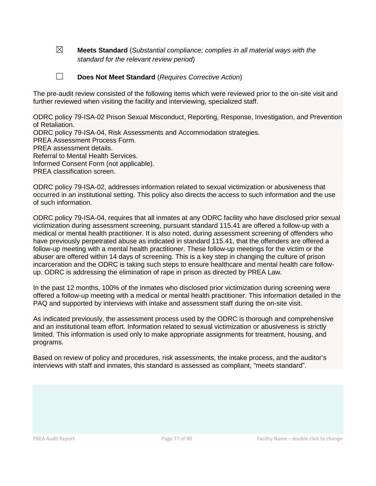☒ **Meets Standard** (*Substantial compliance; complies in all material ways with the standard for the relevant review period*)

# ☐ **Does Not Meet Standard** (*Requires Corrective Action*)

The pre-audit review consisted of the following items which were reviewed prior to the on-site visit and further reviewed when visiting the facility and interviewing, specialized staff.

ODRC policy 79-ISA-02 Prison Sexual Misconduct, Reporting, Response, Investigation, and Prevention of Retaliation. ODRC policy 79-ISA-04, Risk Assessments and Accommodation strategies. PREA Assessment Process Form. PREA assessment details. Referral to Mental Health Services.

Informed Consent Form (not applicable).

PREA classification screen.

ODRC policy 79-ISA-02, addresses information related to sexual victimization or abusiveness that occurred in an institutional setting. This policy also directs the access to such information and the use of such information.

ODRC policy 79-ISA-04, requires that all inmates at any ODRC facility who have disclosed prior sexual victimization during assessment screening, pursuant standard 115.41 are offered a follow-up with a medical or mental health practitioner. It is also noted, during assessment screening of offenders who have previously perpetrated abuse as indicated in standard 115.41, that the offenders are offered a follow-up meeting with a mental health practitioner. These follow-up meetings for the victim or the abuser are offered within 14 days of screening. This is a key step in changing the culture of prison incarceration and the ODRC is taking such steps to ensure healthcare and mental health care followup. ODRC is addressing the elimination of rape in prison as directed by PREA Law.

In the past 12 months, 100% of the inmates who disclosed prior victimization during screening were offered a follow-up meeting with a medical or mental health practitioner. This information detailed in the PAQ and supported by interviews with intake and assessment staff during the on-site visit.

As indicated previously, the assessment process used by the ODRC is thorough and comprehensive and an institutional team effort. Information related to sexual victimization or abusiveness is strictly limited. This information is used only to make appropriate assignments for treatment, housing, and programs.

Based on review of policy and procedures, risk assessments, the intake process, and the auditor's interviews with staff and inmates, this standard is assessed as compliant, "meets standard".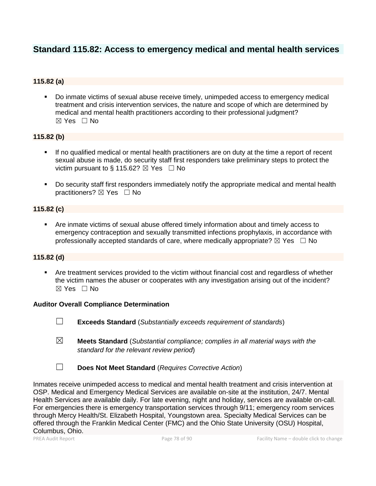# **Standard 115.82: Access to emergency medical and mental health services**

# **115.82 (a)**

▪ Do inmate victims of sexual abuse receive timely, unimpeded access to emergency medical treatment and crisis intervention services, the nature and scope of which are determined by medical and mental health practitioners according to their professional judgment?  $\boxtimes$  Yes  $\Box$  No

# **115.82 (b)**

- If no qualified medical or mental health practitioners are on duty at the time a report of recent sexual abuse is made, do security staff first responders take preliminary steps to protect the victim pursuant to § 115.62?  $\boxtimes$  Yes  $\Box$  No
- Do security staff first responders immediately notify the appropriate medical and mental health practitioners?  $\boxtimes$  Yes  $\Box$  No

# **115.82 (c)**

▪ Are inmate victims of sexual abuse offered timely information about and timely access to emergency contraception and sexually transmitted infections prophylaxis, in accordance with professionally accepted standards of care, where medically appropriate?  $\boxtimes$  Yes  $\Box$  No

# **115.82 (d)**

**•** Are treatment services provided to the victim without financial cost and regardless of whether the victim names the abuser or cooperates with any investigation arising out of the incident?  $\boxtimes$  Yes  $\Box$  No

#### **Auditor Overall Compliance Determination**

- ☐ **Exceeds Standard** (*Substantially exceeds requirement of standards*)
- ☒ **Meets Standard** (*Substantial compliance; complies in all material ways with the standard for the relevant review period*)
- ☐ **Does Not Meet Standard** (*Requires Corrective Action*)

Inmates receive unimpeded access to medical and mental health treatment and crisis intervention at OSP. Medical and Emergency Medical Services are available on-site at the institution, 24/7. Mental Health Services are available daily. For late evening, night and holiday, services are available on-call. For emergencies there is emergency transportation services through 9/11; emergency room services through Mercy Health/St. Elizabeth Hospital, Youngstown area. Specialty Medical Services can be offered through the Franklin Medical Center (FMC) and the Ohio State University (OSU) Hospital, Columbus, Ohio.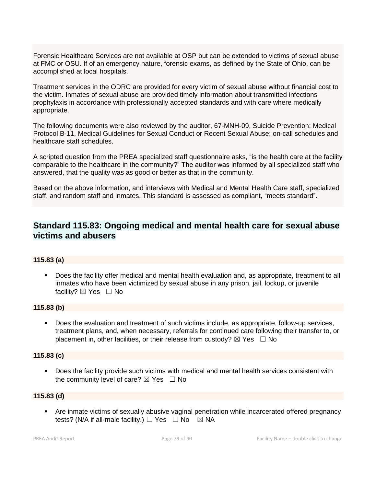Forensic Healthcare Services are not available at OSP but can be extended to victims of sexual abuse at FMC or OSU. If of an emergency nature, forensic exams, as defined by the State of Ohio, can be accomplished at local hospitals.

Treatment services in the ODRC are provided for every victim of sexual abuse without financial cost to the victim. Inmates of sexual abuse are provided timely information about transmitted infections prophylaxis in accordance with professionally accepted standards and with care where medically appropriate.

The following documents were also reviewed by the auditor, 67-MNH-09, Suicide Prevention; Medical Protocol B-11, Medical Guidelines for Sexual Conduct or Recent Sexual Abuse; on-call schedules and healthcare staff schedules.

A scripted question from the PREA specialized staff questionnaire asks, "is the health care at the facility comparable to the healthcare in the community?" The auditor was informed by all specialized staff who answered, that the quality was as good or better as that in the community.

Based on the above information, and interviews with Medical and Mental Health Care staff, specialized staff, and random staff and inmates. This standard is assessed as compliant, "meets standard".

# **Standard 115.83: Ongoing medical and mental health care for sexual abuse victims and abusers**

# **115.83 (a)**

▪ Does the facility offer medical and mental health evaluation and, as appropriate, treatment to all inmates who have been victimized by sexual abuse in any prison, jail, lockup, or juvenile facility?  $\boxtimes$  Yes  $\Box$  No

# **115.83 (b)**

▪ Does the evaluation and treatment of such victims include, as appropriate, follow-up services, treatment plans, and, when necessary, referrals for continued care following their transfer to, or placement in, other facilities, or their release from custody?  $\boxtimes$  Yes  $\Box$  No

# **115.83 (c)**

■ Does the facility provide such victims with medical and mental health services consistent with the community level of care?  $\boxtimes$  Yes  $\Box$  No

# **115.83 (d)**

**EXT** Are inmate victims of sexually abusive vaginal penetration while incarcerated offered pregnancy tests? (N/A if all-male facility.)  $\Box$  Yes  $\Box$  No  $\boxtimes$  NA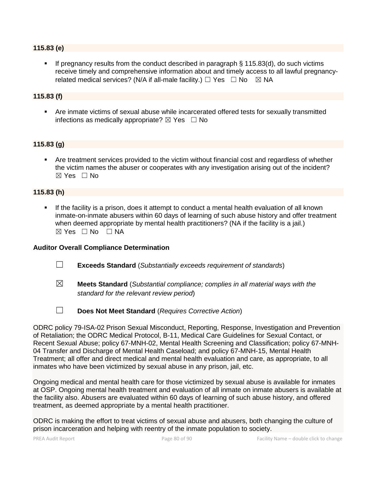#### **115.83 (e)**

If pregnancy results from the conduct described in paragraph  $\S$  115.83(d), do such victims receive timely and comprehensive information about and timely access to all lawful pregnancyrelated medical services? (N/A if all-male facility.)  $\Box$  Yes  $\Box$  No  $\boxtimes$  NA

# **115.83 (f)**

▪ Are inmate victims of sexual abuse while incarcerated offered tests for sexually transmitted infections as medically appropriate?  $\boxtimes$  Yes  $\Box$  No

#### **115.83 (g)**

Are treatment services provided to the victim without financial cost and regardless of whether the victim names the abuser or cooperates with any investigation arising out of the incident?  $\boxtimes$  Yes  $\Box$  No

#### **115.83 (h)**

**.** If the facility is a prison, does it attempt to conduct a mental health evaluation of all known inmate-on-inmate abusers within 60 days of learning of such abuse history and offer treatment when deemed appropriate by mental health practitioners? (NA if the facility is a jail.)  $\boxtimes$  Yes  $\Box$  No  $\Box$  NA

#### **Auditor Overall Compliance Determination**

- ☐ **Exceeds Standard** (*Substantially exceeds requirement of standards*)
- ☒ **Meets Standard** (*Substantial compliance; complies in all material ways with the standard for the relevant review period*)
- ☐ **Does Not Meet Standard** (*Requires Corrective Action*)

ODRC policy 79-ISA-02 Prison Sexual Misconduct, Reporting, Response, Investigation and Prevention of Retaliation; the ODRC Medical Protocol, B-11, Medical Care Guidelines for Sexual Contact, or Recent Sexual Abuse; policy 67-MNH-02, Mental Health Screening and Classification; policy 67-MNH-04 Transfer and Discharge of Mental Health Caseload; and policy 67-MNH-15, Mental Health Treatment; all offer and direct medical and mental health evaluation and care, as appropriate, to all inmates who have been victimized by sexual abuse in any prison, jail, etc.

Ongoing medical and mental health care for those victimized by sexual abuse is available for inmates at OSP. Ongoing mental health treatment and evaluation of all inmate on inmate abusers is available at the facility also. Abusers are evaluated within 60 days of learning of such abuse history, and offered treatment, as deemed appropriate by a mental health practitioner.

ODRC is making the effort to treat victims of sexual abuse and abusers, both changing the culture of prison incarceration and helping with reentry of the inmate population to society.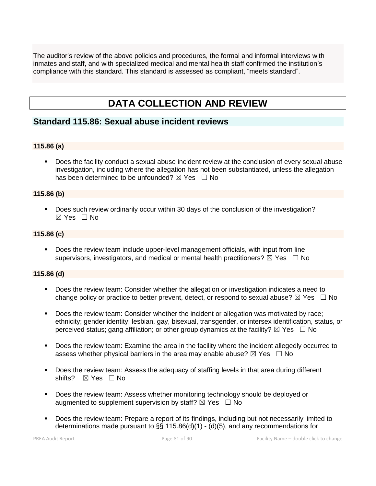The auditor's review of the above policies and procedures, the formal and informal interviews with inmates and staff, and with specialized medical and mental health staff confirmed the institution's compliance with this standard. This standard is assessed as compliant, "meets standard".

# **DATA COLLECTION AND REVIEW**

# **Standard 115.86: Sexual abuse incident reviews**

# **115.86 (a)**

Does the facility conduct a sexual abuse incident review at the conclusion of every sexual abuse investigation, including where the allegation has not been substantiated, unless the allegation has been determined to be unfounded?  $\boxtimes$  Yes  $\Box$  No

#### **115.86 (b)**

■ Does such review ordinarily occur within 30 days of the conclusion of the investigation?  $\boxtimes$  Yes  $\Box$  No

# **115.86 (c)**

■ Does the review team include upper-level management officials, with input from line supervisors, investigators, and medical or mental health practitioners?  $\boxtimes$  Yes  $\Box$  No

#### **115.86 (d)**

- Does the review team: Consider whether the allegation or investigation indicates a need to change policy or practice to better prevent, detect, or respond to sexual abuse?  $\boxtimes$  Yes  $\Box$  No
- Does the review team: Consider whether the incident or allegation was motivated by race; ethnicity; gender identity; lesbian, gay, bisexual, transgender, or intersex identification, status, or perceived status; gang affiliation; or other group dynamics at the facility?  $\boxtimes$  Yes  $\Box$  No
- Does the review team: Examine the area in the facility where the incident allegedly occurred to assess whether physical barriers in the area may enable abuse?  $\boxtimes$  Yes  $\Box$  No
- Does the review team: Assess the adequacy of staffing levels in that area during different shifts? ⊠ Yes □ No
- Does the review team: Assess whether monitoring technology should be deployed or augmented to supplement supervision by staff?  $\boxtimes$  Yes  $\Box$  No
- Does the review team: Prepare a report of its findings, including but not necessarily limited to determinations made pursuant to §§ 115.86(d)(1) - (d)(5), and any recommendations for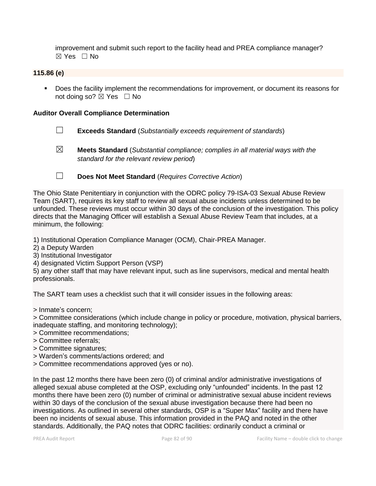improvement and submit such report to the facility head and PREA compliance manager?  $\boxtimes$  Yes  $\Box$  No

### **115.86 (e)**

■ Does the facility implement the recommendations for improvement, or document its reasons for not doing so?  $\boxtimes$  Yes  $\Box$  No

#### **Auditor Overall Compliance Determination**

- ☐ **Exceeds Standard** (*Substantially exceeds requirement of standards*)
- 

☒ **Meets Standard** (*Substantial compliance; complies in all material ways with the standard for the relevant review period*)

☐ **Does Not Meet Standard** (*Requires Corrective Action*)

The Ohio State Penitentiary in conjunction with the ODRC policy 79-ISA-03 Sexual Abuse Review Team (SART), requires its key staff to review all sexual abuse incidents unless determined to be unfounded. These reviews must occur within 30 days of the conclusion of the investigation. This policy directs that the Managing Officer will establish a Sexual Abuse Review Team that includes, at a minimum, the following:

1) Institutional Operation Compliance Manager (OCM), Chair-PREA Manager.

2) a Deputy Warden

3) Institutional Investigator

4) designated Victim Support Person (VSP)

5) any other staff that may have relevant input, such as line supervisors, medical and mental health professionals.

The SART team uses a checklist such that it will consider issues in the following areas:

> Inmate's concern;

> Committee considerations (which include change in policy or procedure, motivation, physical barriers, inadequate staffing, and monitoring technology);

- > Committee recommendations;
- > Committee referrals;
- > Committee signatures;
- > Warden's comments/actions ordered; and
- > Committee recommendations approved (yes or no).

In the past 12 months there have been zero (0) of criminal and/or administrative investigations of alleged sexual abuse completed at the OSP, excluding only "unfounded" incidents. In the past 12 months there have been zero (0) number of criminal or administrative sexual abuse incident reviews within 30 days of the conclusion of the sexual abuse investigation because there had been no investigations. As outlined in several other standards, OSP is a "Super Max" facility and there have been no incidents of sexual abuse. This information provided in the PAQ and noted in the other standards. Additionally, the PAQ notes that ODRC facilities: ordinarily conduct a criminal or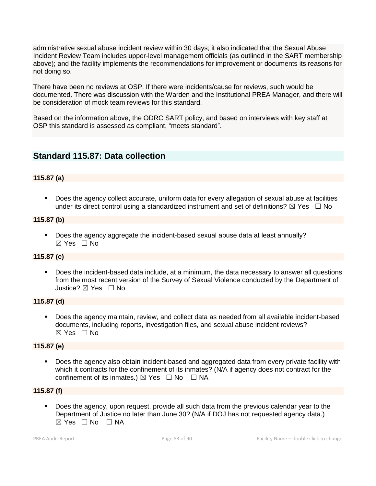administrative sexual abuse incident review within 30 days; it also indicated that the Sexual Abuse Incident Review Team includes upper-level management officials (as outlined in the SART membership above); and the facility implements the recommendations for improvement or documents its reasons for not doing so.

There have been no reviews at OSP. If there were incidents/cause for reviews, such would be documented. There was discussion with the Warden and the Institutional PREA Manager, and there will be consideration of mock team reviews for this standard.

Based on the information above, the ODRC SART policy, and based on interviews with key staff at OSP this standard is assessed as compliant, "meets standard".

# **Standard 115.87: Data collection**

# **115.87 (a)**

Does the agency collect accurate, uniform data for every allegation of sexual abuse at facilities under its direct control using a standardized instrument and set of definitions?  $\boxtimes$  Yes  $\Box$  No

#### **115.87 (b)**

■ Does the agency aggregate the incident-based sexual abuse data at least annually?  $\boxtimes$  Yes  $\Box$  No

# **115.87 (c)**

▪ Does the incident-based data include, at a minimum, the data necessary to answer all questions from the most recent version of the Survey of Sexual Violence conducted by the Department of Justice? ☒ Yes ☐ No

#### **115.87 (d)**

Does the agency maintain, review, and collect data as needed from all available incident-based documents, including reports, investigation files, and sexual abuse incident reviews?  $\boxtimes$  Yes  $\Box$  No

#### **115.87 (e)**

Does the agency also obtain incident-based and aggregated data from every private facility with which it contracts for the confinement of its inmates? (N/A if agency does not contract for the confinement of its inmates.)  $\boxtimes$  Yes  $\Box$  No  $\Box$  NA

#### **115.87 (f)**

Does the agency, upon request, provide all such data from the previous calendar year to the Department of Justice no later than June 30? (N/A if DOJ has not requested agency data.)  $\boxtimes$  Yes  $\Box$  No  $\Box$  NA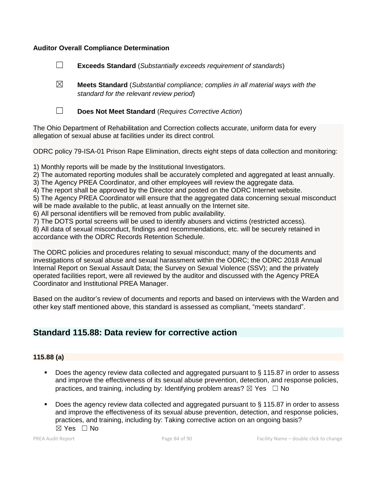### **Auditor Overall Compliance Determination**

☐ **Exceeds Standard** (*Substantially exceeds requirement of standards*)

☒ **Meets Standard** (*Substantial compliance; complies in all material ways with the standard for the relevant review period*)

☐ **Does Not Meet Standard** (*Requires Corrective Action*)

The Ohio Department of Rehabilitation and Correction collects accurate, uniform data for every allegation of sexual abuse at facilities under its direct control.

ODRC policy 79-ISA-01 Prison Rape Elimination, directs eight steps of data collection and monitoring:

1) Monthly reports will be made by the Institutional Investigators.

2) The automated reporting modules shall be accurately completed and aggregated at least annually.

3) The Agency PREA Coordinator, and other employees will review the aggregate data.

4) The report shall be approved by the Director and posted on the ODRC Internet website.

5) The Agency PREA Coordinator will ensure that the aggregated data concerning sexual misconduct will be made available to the public, at least annually on the Internet site.

6) All personal identifiers will be removed from public availability.

7) The DOTS portal screens will be used to identify abusers and victims (restricted access).

8) All data of sexual misconduct, findings and recommendations, etc. will be securely retained in accordance with the ODRC Records Retention Schedule.

The ODRC policies and procedures relating to sexual misconduct; many of the documents and investigations of sexual abuse and sexual harassment within the ODRC; the ODRC 2018 Annual Internal Report on Sexual Assault Data; the Survey on Sexual Violence (SSV); and the privately operated facilities report, were all reviewed by the auditor and discussed with the Agency PREA Coordinator and Institutional PREA Manager.

Based on the auditor's review of documents and reports and based on interviews with the Warden and other key staff mentioned above, this standard is assessed as compliant, "meets standard".

# **Standard 115.88: Data review for corrective action**

# **115.88 (a)**

- Does the agency review data collected and aggregated pursuant to § 115.87 in order to assess and improve the effectiveness of its sexual abuse prevention, detection, and response policies, practices, and training, including by: Identifying problem areas?  $\boxtimes$  Yes  $\Box$  No
- Does the agency review data collected and aggregated pursuant to § 115.87 in order to assess and improve the effectiveness of its sexual abuse prevention, detection, and response policies, practices, and training, including by: Taking corrective action on an ongoing basis?  $\boxtimes$  Yes  $\Box$  No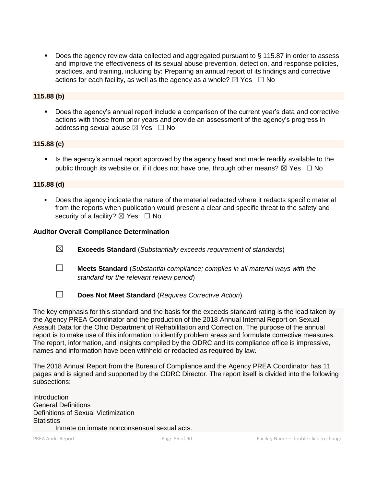Does the agency review data collected and aggregated pursuant to § 115.87 in order to assess and improve the effectiveness of its sexual abuse prevention, detection, and response policies, practices, and training, including by: Preparing an annual report of its findings and corrective actions for each facility, as well as the agency as a whole?  $\boxtimes$  Yes  $\Box$  No

# **115.88 (b)**

Does the agency's annual report include a comparison of the current year's data and corrective actions with those from prior years and provide an assessment of the agency's progress in addressing sexual abuse  $\boxtimes$  Yes  $\Box$  No

#### **115.88 (c)**

**EXECT** Is the agency's annual report approved by the agency head and made readily available to the public through its website or, if it does not have one, through other means?  $\boxtimes$  Yes  $\Box$  No

#### **115.88 (d)**

Does the agency indicate the nature of the material redacted where it redacts specific material from the reports when publication would present a clear and specific threat to the safety and security of a facility?  $\boxtimes$  Yes  $\Box$  No

#### **Auditor Overall Compliance Determination**

- ☒ **Exceeds Standard** (*Substantially exceeds requirement of standards*)
- ☐ **Meets Standard** (*Substantial compliance; complies in all material ways with the standard for the relevant review period*)
- 
- ☐ **Does Not Meet Standard** (*Requires Corrective Action*)

The key emphasis for this standard and the basis for the exceeds standard rating is the lead taken by the Agency PREA Coordinator and the production of the 2018 Annual Internal Report on Sexual Assault Data for the Ohio Department of Rehabilitation and Correction. The purpose of the annual report is to make use of this information to identify problem areas and formulate corrective measures. The report, information, and insights compiled by the ODRC and its compliance office is impressive, names and information have been withheld or redacted as required by law.

The 2018 Annual Report from the Bureau of Compliance and the Agency PREA Coordinator has 11 pages and is signed and supported by the ODRC Director. The report itself is divided into the following subsections:

**Introduction** General Definitions Definitions of Sexual Victimization **Statistics** Inmate on inmate nonconsensual sexual acts.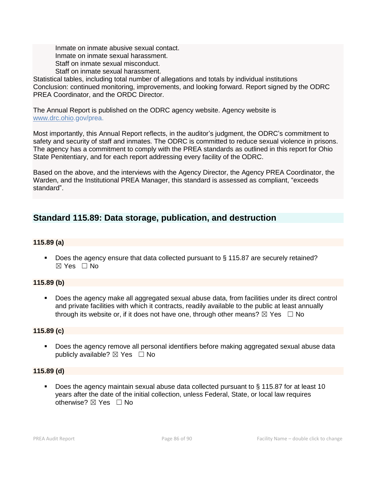Inmate on inmate abusive sexual contact. Inmate on inmate sexual harassment. Staff on inmate sexual misconduct. Staff on inmate sexual harassment.

Statistical tables, including total number of allegations and totals by individual institutions Conclusion: continued monitoring, improvements, and looking forward. Report signed by the ODRC PREA Coordinator, and the ORDC Director.

The Annual Report is published on the ODRC agency website. Agency website is [www.drc.ohio.](http://www.drc.ohio/)gov/prea.

Most importantly, this Annual Report reflects, in the auditor's judgment, the ODRC's commitment to safety and security of staff and inmates. The ODRC is committed to reduce sexual violence in prisons. The agency has a commitment to comply with the PREA standards as outlined in this report for Ohio State Penitentiary, and for each report addressing every facility of the ODRC.

Based on the above, and the interviews with the Agency Director, the Agency PREA Coordinator, the Warden, and the Institutional PREA Manager, this standard is assessed as compliant, "exceeds standard".

# **Standard 115.89: Data storage, publication, and destruction**

# **115.89 (a)**

■ Does the agency ensure that data collected pursuant to § 115.87 are securely retained? ☒ Yes ☐ No

# **115.89 (b)**

Does the agency make all aggregated sexual abuse data, from facilities under its direct control and private facilities with which it contracts, readily available to the public at least annually through its website or, if it does not have one, through other means?  $\boxtimes$  Yes  $\Box$  No

# **115.89 (c)**

■ Does the agency remove all personal identifiers before making aggregated sexual abuse data publicly available?  $\boxtimes$  Yes  $\Box$  No

# **115.89 (d)**

Does the agency maintain sexual abuse data collected pursuant to  $\S$  115.87 for at least 10 years after the date of the initial collection, unless Federal, State, or local law requires otherwise? ⊠ Yes □ No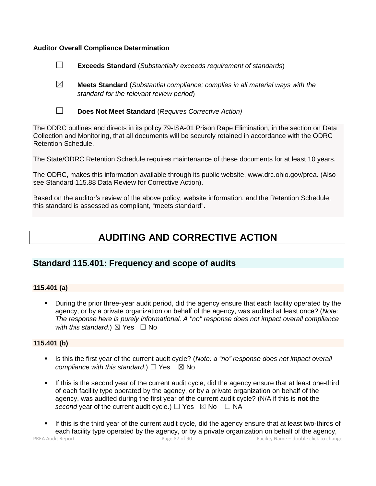#### **Auditor Overall Compliance Determination**

- ☐ **Exceeds Standard** (*Substantially exceeds requirement of standards*)
- ☒ **Meets Standard** (*Substantial compliance; complies in all material ways with the standard for the relevant review period*)
- 
- ☐ **Does Not Meet Standard** (*Requires Corrective Action)*

The ODRC outlines and directs in its policy 79-ISA-01 Prison Rape Elimination, in the section on Data Collection and Monitoring, that all documents will be securely retained in accordance with the ODRC Retention Schedule.

The State/ODRC Retention Schedule requires maintenance of these documents for at least 10 years.

The ODRC, makes this information available through its public website, www.drc.ohio.gov/prea. (Also see Standard 115.88 Data Review for Corrective Action).

Based on the auditor's review of the above policy, website information, and the Retention Schedule, this standard is assessed as compliant, "meets standard".

# **AUDITING AND CORRECTIVE ACTION**

# **Standard 115.401: Frequency and scope of audits**

#### **115.401 (a)**

During the prior three-year audit period, did the agency ensure that each facility operated by the agency, or by a private organization on behalf of the agency, was audited at least once? (*Note: The response here is purely informational. A "no" response does not impact overall compliance with this standard.*)  $\boxtimes$  Yes  $\Box$  No

#### **115.401 (b)**

- Is this the first year of the current audit cycle? (*Note: a "no" response does not impact overall compliance with this standard.*)  $\Box$  Yes  $\boxtimes$  No
- **.** If this is the second year of the current audit cycle, did the agency ensure that at least one-third of each facility type operated by the agency, or by a private organization on behalf of the agency, was audited during the first year of the current audit cycle? (N/A if this is **not** the *second* year of the current audit cycle.) □ Yes  $\boxtimes$  No □ NA
- If this is the third year of the current audit cycle, did the agency ensure that at least two-thirds of each facility type operated by the agency, or by a private organization on behalf of the agency,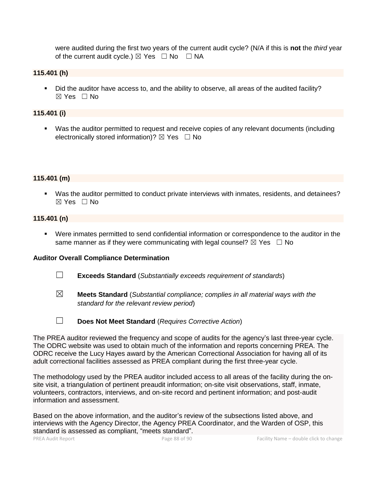were audited during the first two years of the current audit cycle? (N/A if this is **not** the *third* year of the current audit cycle.)  $\boxtimes$  Yes  $\Box$  No  $\Box$  NA

#### **115.401 (h)**

■ Did the auditor have access to, and the ability to observe, all areas of the audited facility?  $\boxtimes$  Yes  $\Box$  No

# **115.401 (i)**

■ Was the auditor permitted to request and receive copies of any relevant documents (including electronically stored information)?  $\boxtimes$  Yes  $\Box$  No

#### **115.401 (m)**

▪ Was the auditor permitted to conduct private interviews with inmates, residents, and detainees? ☒ Yes ☐ No

#### **115.401 (n)**

▪ Were inmates permitted to send confidential information or correspondence to the auditor in the same manner as if they were communicating with legal counsel?  $\boxtimes$  Yes  $\Box$  No

#### **Auditor Overall Compliance Determination**

- ☐ **Exceeds Standard** (*Substantially exceeds requirement of standards*)
- ☒ **Meets Standard** (*Substantial compliance; complies in all material ways with the standard for the relevant review period*)
- ☐ **Does Not Meet Standard** (*Requires Corrective Action*)

The PREA auditor reviewed the frequency and scope of audits for the agency's last three-year cycle. The ODRC website was used to obtain much of the information and reports concerning PREA. The ODRC receive the Lucy Hayes award by the American Correctional Association for having all of its adult correctional facilities assessed as PREA compliant during the first three-year cycle.

The methodology used by the PREA auditor included access to all areas of the facility during the onsite visit, a triangulation of pertinent preaudit information; on-site visit observations, staff, inmate, volunteers, contractors, interviews, and on-site record and pertinent information; and post-audit information and assessment.

Based on the above information, and the auditor's review of the subsections listed above, and interviews with the Agency Director, the Agency PREA Coordinator, and the Warden of OSP, this standard is assessed as compliant, "meets standard".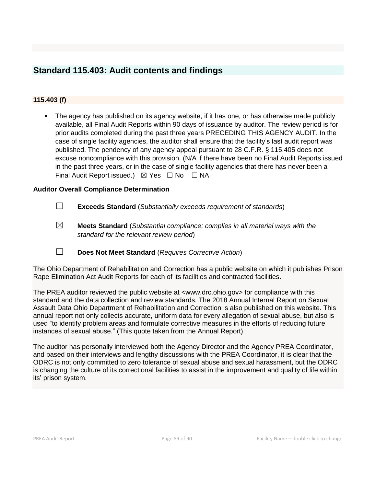# **Standard 115.403: Audit contents and findings**

# **115.403 (f)**

The agency has published on its agency website, if it has one, or has otherwise made publicly available, all Final Audit Reports within 90 days of issuance by auditor. The review period is for prior audits completed during the past three years PRECEDING THIS AGENCY AUDIT. In the case of single facility agencies, the auditor shall ensure that the facility's last audit report was published. The pendency of any agency appeal pursuant to 28 C.F.R. § 115.405 does not excuse noncompliance with this provision. (N/A if there have been no Final Audit Reports issued in the past three years, or in the case of single facility agencies that there has never been a Final Audit Report issued.)  $\boxtimes$  Yes  $\Box$  No  $\Box$  NA

# **Auditor Overall Compliance Determination**

- ☐ **Exceeds Standard** (*Substantially exceeds requirement of standards*)
- ☒ **Meets Standard** (*Substantial compliance; complies in all material ways with the standard for the relevant review period*)
- ☐ **Does Not Meet Standard** (*Requires Corrective Action*)

The Ohio Department of Rehabilitation and Correction has a public website on which it publishes Prison Rape Elimination Act Audit Reports for each of its facilities and contracted facilities.

The PREA auditor reviewed the public website at <www.drc.ohio.gov> for compliance with this standard and the data collection and review standards. The 2018 Annual Internal Report on Sexual Assault Data Ohio Department of Rehabilitation and Correction is also published on this website. This annual report not only collects accurate, uniform data for every allegation of sexual abuse, but also is used "to identify problem areas and formulate corrective measures in the efforts of reducing future instances of sexual abuse." (This quote taken from the Annual Report)

The auditor has personally interviewed both the Agency Director and the Agency PREA Coordinator, and based on their interviews and lengthy discussions with the PREA Coordinator, it is clear that the ODRC is not only committed to zero tolerance of sexual abuse and sexual harassment, but the ODRC is changing the culture of its correctional facilities to assist in the improvement and quality of life within its' prison system.